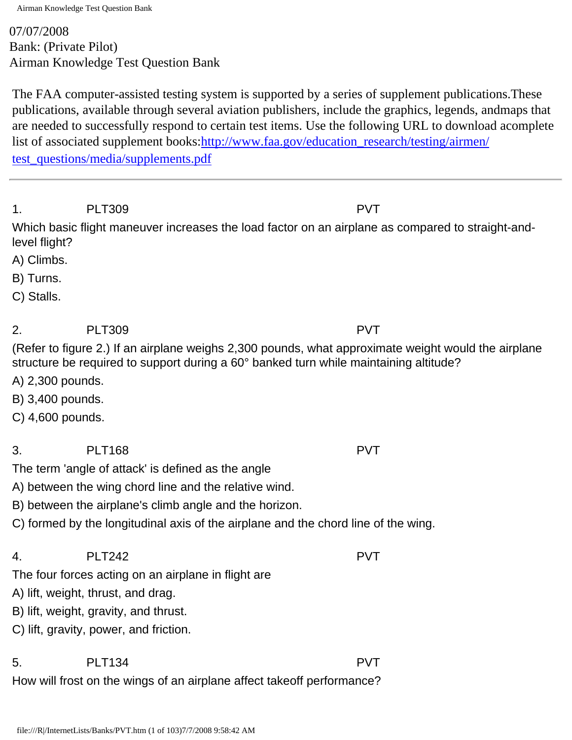07/07/2008 Bank: (Private Pilot) Airman Knowledge Test Question Bank

The FAA computer-assisted testing system is supported by a series of supplement publications.These publications, available through several aviation publishers, include the graphics, legends, andmaps that are needed to successfully respond to certain test items. Use the following URL to download acomplete list of associated supplement books[:http://www.faa.gov/education\\_research/testing/airmen/](http://www.faa.gov/education_research/testing/airmen/test_questions/media/supplements.pdf) [test\\_questions/media/supplements.pdf](http://www.faa.gov/education_research/testing/airmen/test_questions/media/supplements.pdf)

1. PLT309 PVT

Which basic flight maneuver increases the load factor on an airplane as compared to straight-andlevel flight?

- A) Climbs.
- B) Turns.
- C) Stalls.

2. PLT309 PVT

(Refer to figure 2.) If an airplane weighs 2,300 pounds, what approximate weight would the airplane structure be required to support during a 60° banked turn while maintaining altitude?

- A) 2,300 pounds.
- B) 3,400 pounds.
- C) 4,600 pounds.
- 3. PLT168 PVT

The term 'angle of attack' is defined as the angle

A) between the wing chord line and the relative wind.

B) between the airplane's climb angle and the horizon.

C) formed by the longitudinal axis of the airplane and the chord line of the wing.

## 4. PLT242 PVT

The four forces acting on an airplane in flight are

- A) lift, weight, thrust, and drag.
- B) lift, weight, gravity, and thrust.
- C) lift, gravity, power, and friction.

# 5. PLT134 PVT

How will frost on the wings of an airplane affect takeoff performance?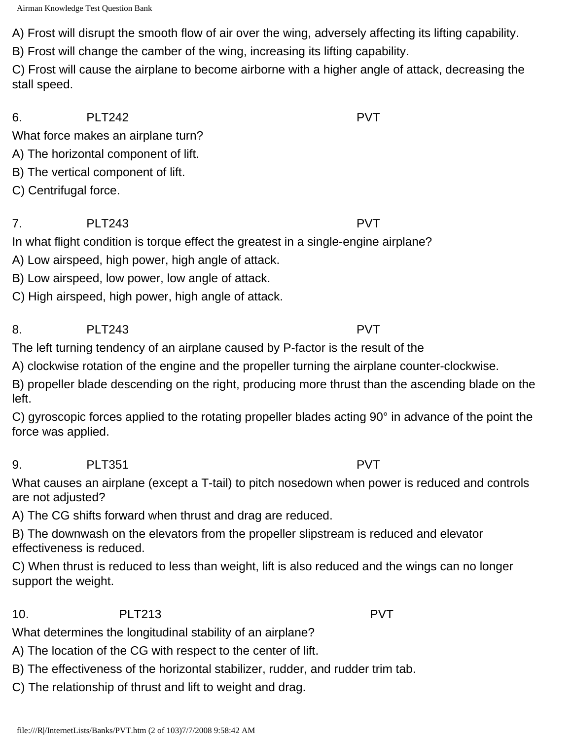A) Frost will disrupt the smooth flow of air over the wing, adversely affecting its lifting capability.

B) Frost will change the camber of the wing, increasing its lifting capability.

C) Frost will cause the airplane to become airborne with a higher angle of attack, decreasing the stall speed.

6. PLT242 PVT

What force makes an airplane turn?

A) The horizontal component of lift.

B) The vertical component of lift.

C) Centrifugal force.

# 7. PLT243 PVT

In what flight condition is torque effect the greatest in a single-engine airplane?

A) Low airspeed, high power, high angle of attack.

B) Low airspeed, low power, low angle of attack.

C) High airspeed, high power, high angle of attack.

### 8. PLT243 PVT

The left turning tendency of an airplane caused by P-factor is the result of the

A) clockwise rotation of the engine and the propeller turning the airplane counter-clockwise.

B) propeller blade descending on the right, producing more thrust than the ascending blade on the left.

C) gyroscopic forces applied to the rotating propeller blades acting 90° in advance of the point the force was applied.

9. PLT351 PVT

What causes an airplane (except a T-tail) to pitch nosedown when power is reduced and controls are not adjusted?

A) The CG shifts forward when thrust and drag are reduced.

B) The downwash on the elevators from the propeller slipstream is reduced and elevator effectiveness is reduced.

C) When thrust is reduced to less than weight, lift is also reduced and the wings can no longer support the weight.

10. PLT213 PVT

What determines the longitudinal stability of an airplane?

A) The location of the CG with respect to the center of lift.

B) The effectiveness of the horizontal stabilizer, rudder, and rudder trim tab.

C) The relationship of thrust and lift to weight and drag.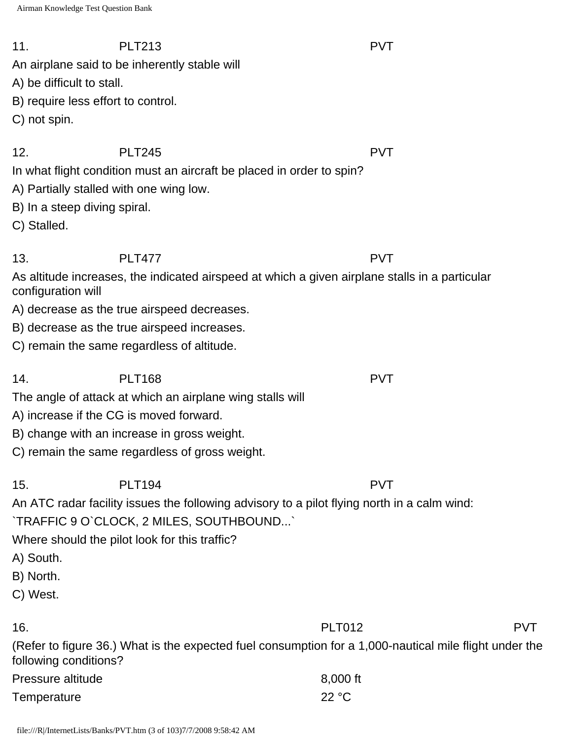11. PLT213 PVT An airplane said to be inherently stable will

A) be difficult to stall.

B) require less effort to control.

C) not spin.

12. PLT245 PVT

In what flight condition must an aircraft be placed in order to spin?

A) Partially stalled with one wing low.

B) In a steep diving spiral.

C) Stalled.

13. PLT477 PVT

As altitude increases, the indicated airspeed at which a given airplane stalls in a particular configuration will

A) decrease as the true airspeed decreases.

B) decrease as the true airspeed increases.

C) remain the same regardless of altitude.

14. PLT168 PVT

The angle of attack at which an airplane wing stalls will

- A) increase if the CG is moved forward.
- B) change with an increase in gross weight.

C) remain the same regardless of gross weight.

# 15. PLT194 PVT

An ATC radar facility issues the following advisory to a pilot flying north in a calm wind: `TRAFFIC 9 O`CLOCK, 2 MILES, SOUTHBOUND...`

Where should the pilot look for this traffic?

- A) South.
- B) North.
- C) West.

16. PLT012 PVT

(Refer to figure 36.) What is the expected fuel consumption for a 1,000-nautical mile flight under the following conditions?

| Pressure altitude | 8,000 ft |
|-------------------|----------|
| Temperature       | 22 °C    |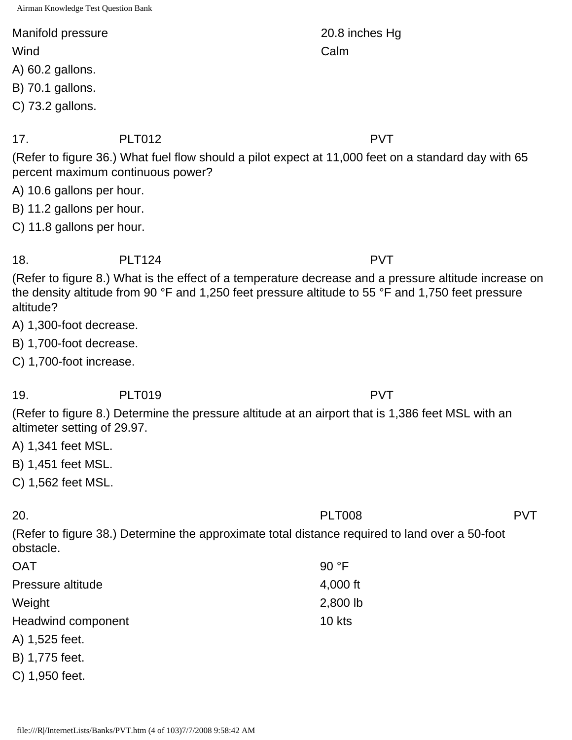### Manifold pressure 20.8 inches Hg

- A) 60.2 gallons.
- B) 70.1 gallons.
- C) 73.2 gallons.

### 17. PLT012 PVT

(Refer to figure 36.) What fuel flow should a pilot expect at 11,000 feet on a standard day with 65 percent maximum continuous power?

- A) 10.6 gallons per hour.
- B) 11.2 gallons per hour.
- C) 11.8 gallons per hour.

18. PLT124 PVT

(Refer to figure 8.) What is the effect of a temperature decrease and a pressure altitude increase on the density altitude from 90 °F and 1,250 feet pressure altitude to 55 °F and 1,750 feet pressure altitude?

- A) 1,300-foot decrease.
- B) 1,700-foot decrease.
- C) 1,700-foot increase.

# 19. PLT019 PVT

(Refer to figure 8.) Determine the pressure altitude at an airport that is 1,386 feet MSL with an altimeter setting of 29.97.

- A) 1,341 feet MSL.
- B) 1,451 feet MSL.
- C) 1,562 feet MSL.

# 20. PLT008 PVT

(Refer to figure 38.) Determine the approximate total distance required to land over a 50-foot obstacle.

| <b>OAT</b>         | 90 °F    |
|--------------------|----------|
| Pressure altitude  | 4,000 ft |
| Weight             | 2,800 lb |
| Headwind component | $10$ kts |
| A) 1,525 feet.     |          |
| B) 1,775 feet.     |          |
| C) 1,950 feet.     |          |

Wind **Calm**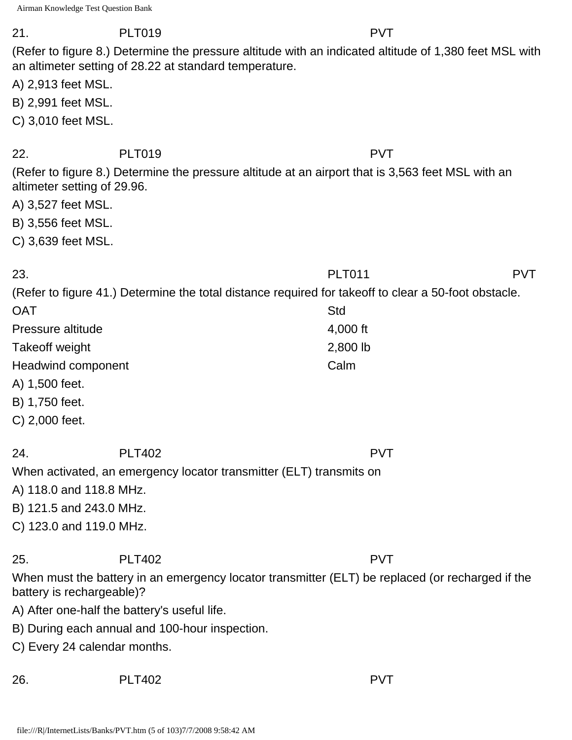21. PLT019 PVT

(Refer to figure 8.) Determine the pressure altitude with an indicated altitude of 1,380 feet MSL with an altimeter setting of 28.22 at standard temperature.

A) 2,913 feet MSL.

B) 2,991 feet MSL.

C) 3,010 feet MSL.

22. PLT019 PVT

(Refer to figure 8.) Determine the pressure altitude at an airport that is 3,563 feet MSL with an altimeter setting of 29.96.

- A) 3,527 feet MSL.
- B) 3,556 feet MSL.

C) 3,639 feet MSL.

| 23.                |                                                                     | <b>PLT011</b>                                                                                         | <b>PVT</b> |
|--------------------|---------------------------------------------------------------------|-------------------------------------------------------------------------------------------------------|------------|
|                    |                                                                     | (Refer to figure 41.) Determine the total distance required for take off to clear a 50-foot obstacle. |            |
| <b>OAT</b>         |                                                                     | Std                                                                                                   |            |
| Pressure altitude  |                                                                     | 4,000 ft                                                                                              |            |
| Takeoff weight     |                                                                     | 2,800 lb                                                                                              |            |
| Headwind component |                                                                     | Calm                                                                                                  |            |
| A) 1,500 feet.     |                                                                     |                                                                                                       |            |
| B) 1,750 feet.     |                                                                     |                                                                                                       |            |
| C) 2,000 feet.     |                                                                     |                                                                                                       |            |
| 24.                | <b>PLT402</b>                                                       | <b>PVT</b>                                                                                            |            |
|                    | When activated, an emergency locator transmitter (ELT) transmits on |                                                                                                       |            |
|                    | A) 118.0 and 118.8 MHz.                                             |                                                                                                       |            |
|                    | B) 121.5 and 243.0 MHz.                                             |                                                                                                       |            |
|                    | C) 123.0 and 119.0 MHz.                                             |                                                                                                       |            |
| 25.                | <b>PLT402</b>                                                       | <b>PVT</b>                                                                                            |            |
|                    | battery is rechargeable)?                                           | When must the battery in an emergency locator transmitter (ELT) be replaced (or recharged if the      |            |
|                    | A) After one-half the battery's useful life.                        |                                                                                                       |            |
|                    | B) During each annual and 100-hour inspection.                      |                                                                                                       |            |
|                    | C) Every 24 calendar months.                                        |                                                                                                       |            |
| 26.                | <b>PLT402</b>                                                       | <b>PVT</b>                                                                                            |            |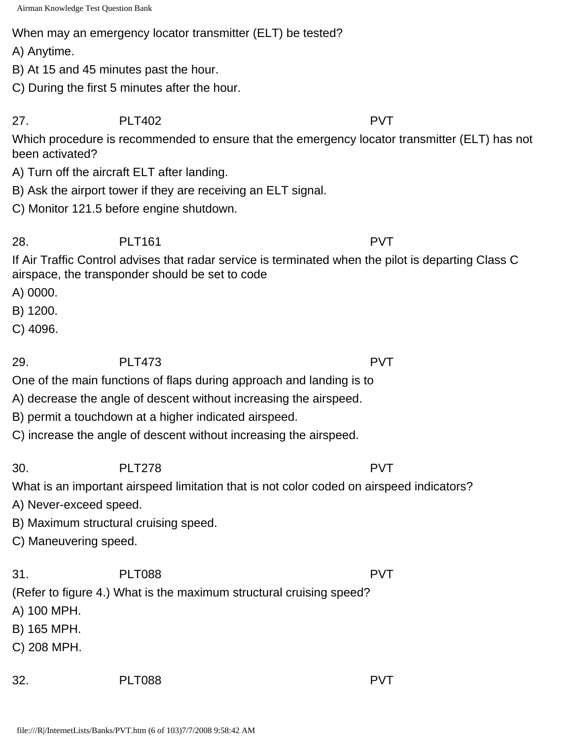When may an emergency locator transmitter (ELT) be tested?

A) Anytime.

B) At 15 and 45 minutes past the hour.

C) During the first 5 minutes after the hour.

27. PLT402 PVT

Which procedure is recommended to ensure that the emergency locator transmitter (ELT) has not been activated?

A) Turn off the aircraft ELT after landing.

B) Ask the airport tower if they are receiving an ELT signal.

C) Monitor 121.5 before engine shutdown.

28. PLT161 POIT PVT

If Air Traffic Control advises that radar service is terminated when the pilot is departing Class C airspace, the transponder should be set to code

A) 0000.

B) 1200.

C) 4096.

29. PLT473 PVT

One of the main functions of flaps during approach and landing is to

A) decrease the angle of descent without increasing the airspeed.

B) permit a touchdown at a higher indicated airspeed.

C) increase the angle of descent without increasing the airspeed.

30. PLT278 PVT

What is an important airspeed limitation that is not color coded on airspeed indicators?

A) Never-exceed speed.

B) Maximum structural cruising speed.

C) Maneuvering speed.

31. PLT088 PVT

(Refer to figure 4.) What is the maximum structural cruising speed?

A) 100 MPH.

B) 165 MPH.

C) 208 MPH.

32. PLT088 PVT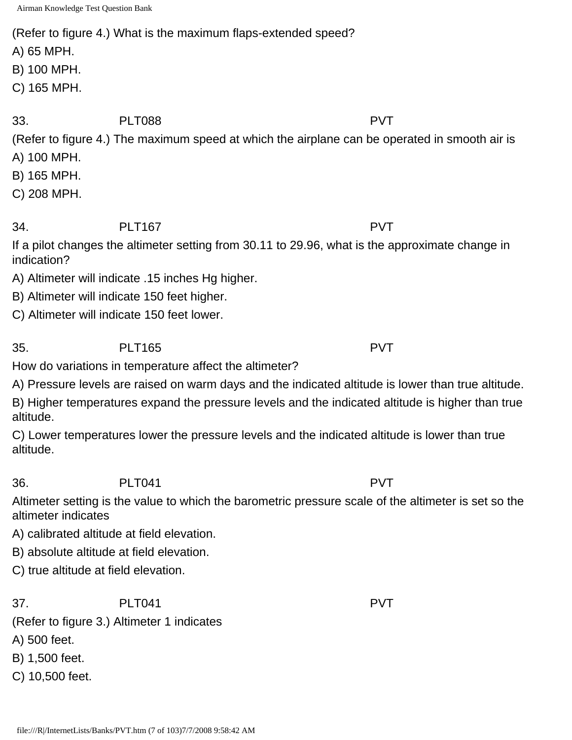(Refer to figure 4.) What is the maximum flaps-extended speed?

A) 65 MPH.

B) 100 MPH.

C) 165 MPH.

33. PLT088 PVT

(Refer to figure 4.) The maximum speed at which the airplane can be operated in smooth air is A) 100 MPH.

- B) 165 MPH.
- C) 208 MPH.

## 34. PLT167 PVT

If a pilot changes the altimeter setting from 30.11 to 29.96, what is the approximate change in indication?

- A) Altimeter will indicate .15 inches Hg higher.
- B) Altimeter will indicate 150 feet higher.
- C) Altimeter will indicate 150 feet lower.

35. PLT165 PVT How do variations in temperature affect the altimeter?

A) Pressure levels are raised on warm days and the indicated altitude is lower than true altitude.

B) Higher temperatures expand the pressure levels and the indicated altitude is higher than true altitude.

C) Lower temperatures lower the pressure levels and the indicated altitude is lower than true altitude.

### 36. PLT041 PVT

Altimeter setting is the value to which the barometric pressure scale of the altimeter is set so the altimeter indicates

- A) calibrated altitude at field elevation.
- B) absolute altitude at field elevation.
- C) true altitude at field elevation.

37. PLT041 PVT

(Refer to figure 3.) Altimeter 1 indicates

A) 500 feet.

B) 1,500 feet.

C) 10,500 feet.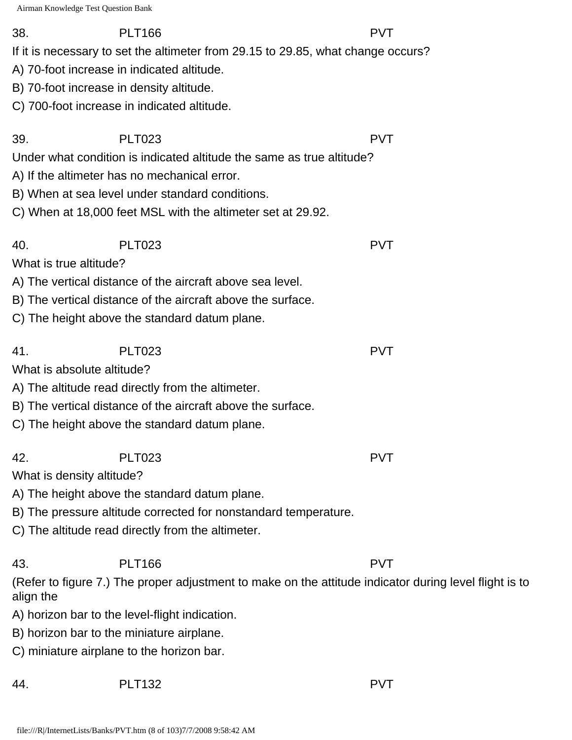38. PLT166 PVT

If it is necessary to set the altimeter from 29.15 to 29.85, what change occurs?

39. PLT023 PVT

- A) 70-foot increase in indicated altitude.
- B) 70-foot increase in density altitude.
- C) 700-foot increase in indicated altitude.

|                        | Under what condition is indicated altitude the same as true altitude? |                                                                                                        |
|------------------------|-----------------------------------------------------------------------|--------------------------------------------------------------------------------------------------------|
|                        | A) If the altimeter has no mechanical error.                          |                                                                                                        |
|                        | B) When at sea level under standard conditions.                       |                                                                                                        |
|                        | C) When at 18,000 feet MSL with the altimeter set at 29.92.           |                                                                                                        |
| 40.                    | <b>PLT023</b>                                                         | <b>PVT</b>                                                                                             |
| What is true altitude? |                                                                       |                                                                                                        |
|                        | A) The vertical distance of the aircraft above sea level.             |                                                                                                        |
|                        | B) The vertical distance of the aircraft above the surface.           |                                                                                                        |
|                        | C) The height above the standard datum plane.                         |                                                                                                        |
| 41.                    | <b>PLT023</b>                                                         | <b>PVT</b>                                                                                             |
|                        | What is absolute altitude?                                            |                                                                                                        |
|                        | A) The altitude read directly from the altimeter.                     |                                                                                                        |
|                        | B) The vertical distance of the aircraft above the surface.           |                                                                                                        |
|                        | C) The height above the standard datum plane.                         |                                                                                                        |
| 42.                    | <b>PLT023</b>                                                         | <b>PVT</b>                                                                                             |
|                        | What is density altitude?                                             |                                                                                                        |
|                        | A) The height above the standard datum plane.                         |                                                                                                        |
|                        | B) The pressure altitude corrected for nonstandard temperature.       |                                                                                                        |
|                        | C) The altitude read directly from the altimeter.                     |                                                                                                        |
| 43.                    | <b>PLT166</b>                                                         | <b>PVT</b>                                                                                             |
| align the              |                                                                       | (Refer to figure 7.) The proper adjustment to make on the attitude indicator during level flight is to |
|                        | A) horizon bar to the level-flight indication.                        |                                                                                                        |
|                        | B) horizon bar to the miniature airplane.                             |                                                                                                        |
|                        | C) miniature airplane to the horizon bar.                             |                                                                                                        |
|                        |                                                                       |                                                                                                        |

44. PLT132 PVT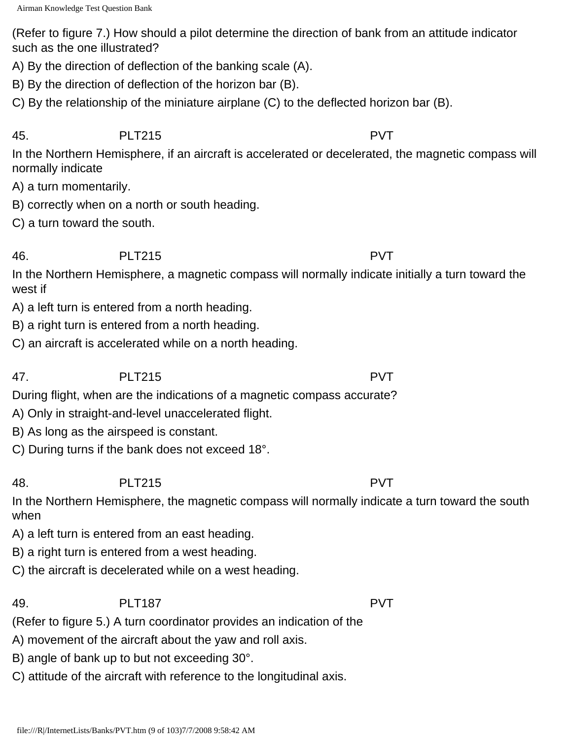(Refer to figure 7.) How should a pilot determine the direction of bank from an attitude indicator such as the one illustrated?

A) By the direction of deflection of the banking scale (A).

B) By the direction of deflection of the horizon bar (B).

C) By the relationship of the miniature airplane (C) to the deflected horizon bar (B).

### 45. PLT215 PVT

In the Northern Hemisphere, if an aircraft is accelerated or decelerated, the magnetic compass will normally indicate

A) a turn momentarily.

B) correctly when on a north or south heading.

C) a turn toward the south.

### 46. PLT215 PVT

In the Northern Hemisphere, a magnetic compass will normally indicate initially a turn toward the west if

A) a left turn is entered from a north heading.

B) a right turn is entered from a north heading.

C) an aircraft is accelerated while on a north heading.

# 47. PLT215 PVT

During flight, when are the indications of a magnetic compass accurate?

A) Only in straight-and-level unaccelerated flight.

B) As long as the airspeed is constant.

C) During turns if the bank does not exceed 18°.

# 48. PLT215 PVT

In the Northern Hemisphere, the magnetic compass will normally indicate a turn toward the south when

A) a left turn is entered from an east heading.

B) a right turn is entered from a west heading.

C) the aircraft is decelerated while on a west heading.

### 49. PLT187 PVT

(Refer to figure 5.) A turn coordinator provides an indication of the

A) movement of the aircraft about the yaw and roll axis.

B) angle of bank up to but not exceeding 30°.

C) attitude of the aircraft with reference to the longitudinal axis.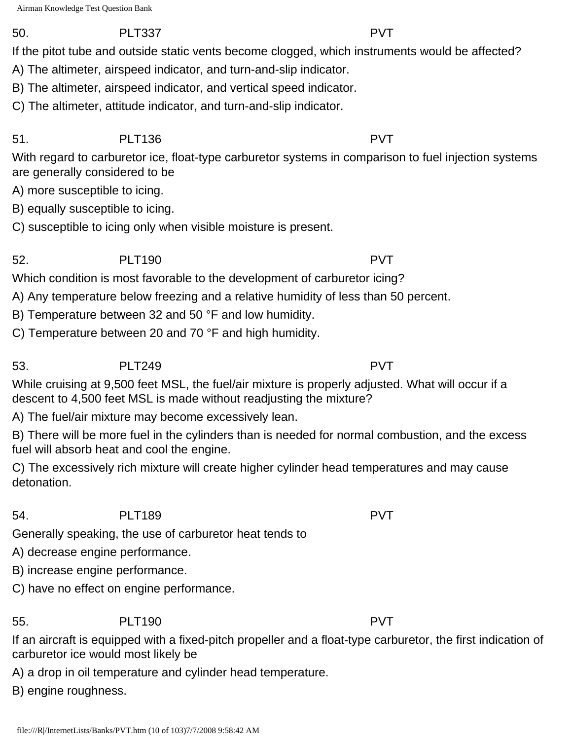### 50. PLT337 PVT

If the pitot tube and outside static vents become clogged, which instruments would be affected?

A) The altimeter, airspeed indicator, and turn-and-slip indicator.

- B) The altimeter, airspeed indicator, and vertical speed indicator.
- C) The altimeter, attitude indicator, and turn-and-slip indicator.

# 51. PLT136 PVT

With regard to carburetor ice, float-type carburetor systems in comparison to fuel injection systems are generally considered to be

A) more susceptible to icing.

B) equally susceptible to icing.

C) susceptible to icing only when visible moisture is present.

# 52. PLT190 PVT

Which condition is most favorable to the development of carburetor icing?

A) Any temperature below freezing and a relative humidity of less than 50 percent.

B) Temperature between 32 and 50 °F and low humidity.

C) Temperature between 20 and 70 °F and high humidity.

# 53. PLT249 PVT

While cruising at 9,500 feet MSL, the fuel/air mixture is properly adjusted. What will occur if a descent to 4,500 feet MSL is made without readjusting the mixture?

A) The fuel/air mixture may become excessively lean.

B) There will be more fuel in the cylinders than is needed for normal combustion, and the excess fuel will absorb heat and cool the engine.

C) The excessively rich mixture will create higher cylinder head temperatures and may cause detonation.

# 54. PLT189 PVT

Generally speaking, the use of carburetor heat tends to

A) decrease engine performance.

B) increase engine performance.

C) have no effect on engine performance.

55. PLT190 PVT

If an aircraft is equipped with a fixed-pitch propeller and a float-type carburetor, the first indication of carburetor ice would most likely be

A) a drop in oil temperature and cylinder head temperature.

B) engine roughness.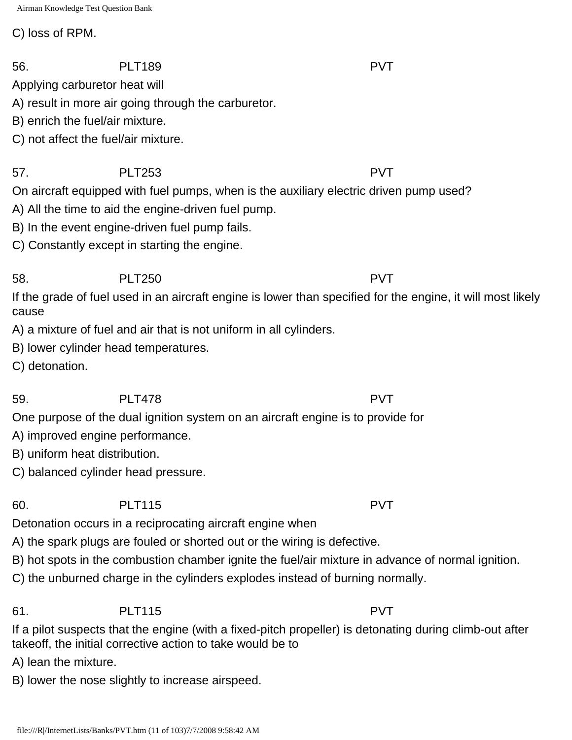C) loss of RPM.

Applying carburetor heat will

A) result in more air going through the carburetor.

B) enrich the fuel/air mixture.

C) not affect the fuel/air mixture.

57. PLT253 PVT On aircraft equipped with fuel pumps, when is the auxiliary electric driven pump used?

A) All the time to aid the engine-driven fuel pump.

B) In the event engine-driven fuel pump fails.

C) Constantly except in starting the engine.

58. PLT250 PVT

If the grade of fuel used in an aircraft engine is lower than specified for the engine, it will most likely cause

A) a mixture of fuel and air that is not uniform in all cylinders.

B) lower cylinder head temperatures.

C) detonation.

59. PLT478 PVT

One purpose of the dual ignition system on an aircraft engine is to provide for

A) improved engine performance.

B) uniform heat distribution.

C) balanced cylinder head pressure.

60. PLT115 PVT

Detonation occurs in a reciprocating aircraft engine when

A) the spark plugs are fouled or shorted out or the wiring is defective.

B) hot spots in the combustion chamber ignite the fuel/air mixture in advance of normal ignition.

C) the unburned charge in the cylinders explodes instead of burning normally.

61. PLT115 PVT

If a pilot suspects that the engine (with a fixed-pitch propeller) is detonating during climb-out after takeoff, the initial corrective action to take would be to

A) lean the mixture.

B) lower the nose slightly to increase airspeed.

56. PLT189 PVT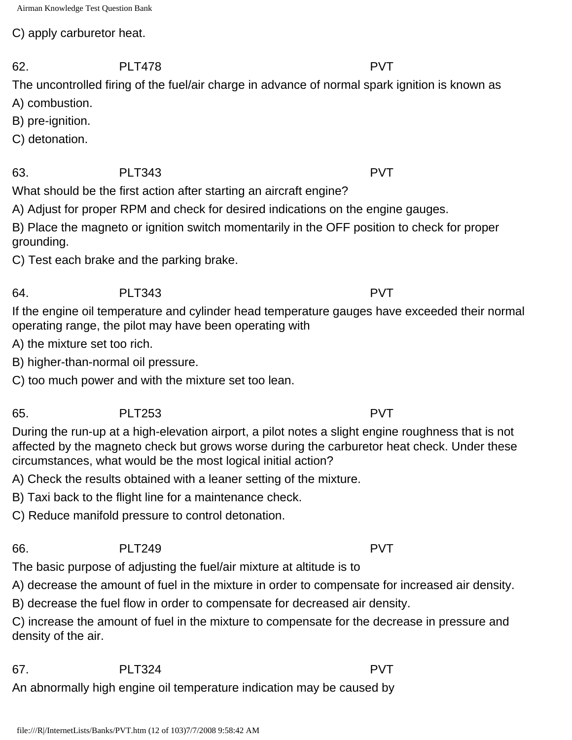C) apply carburetor heat.

The uncontrolled firing of the fuel/air charge in advance of normal spark ignition is known as

- A) combustion.
- B) pre-ignition.
- C) detonation.

63. PLT343 PVT

What should be the first action after starting an aircraft engine?

A) Adjust for proper RPM and check for desired indications on the engine gauges.

B) Place the magneto or ignition switch momentarily in the OFF position to check for proper grounding.

C) Test each brake and the parking brake.

# 64. PLT343 PVT

If the engine oil temperature and cylinder head temperature gauges have exceeded their normal operating range, the pilot may have been operating with

A) the mixture set too rich.

B) higher-than-normal oil pressure.

C) too much power and with the mixture set too lean.

# 65. PLT253 PVT

During the run-up at a high-elevation airport, a pilot notes a slight engine roughness that is not affected by the magneto check but grows worse during the carburetor heat check. Under these circumstances, what would be the most logical initial action?

A) Check the results obtained with a leaner setting of the mixture.

B) Taxi back to the flight line for a maintenance check.

C) Reduce manifold pressure to control detonation.

# 66. PLT249 PVT

The basic purpose of adjusting the fuel/air mixture at altitude is to

A) decrease the amount of fuel in the mixture in order to compensate for increased air density.

B) decrease the fuel flow in order to compensate for decreased air density.

C) increase the amount of fuel in the mixture to compensate for the decrease in pressure and density of the air.

67. PLT324 PVT

An abnormally high engine oil temperature indication may be caused by

62. PLT478 PVT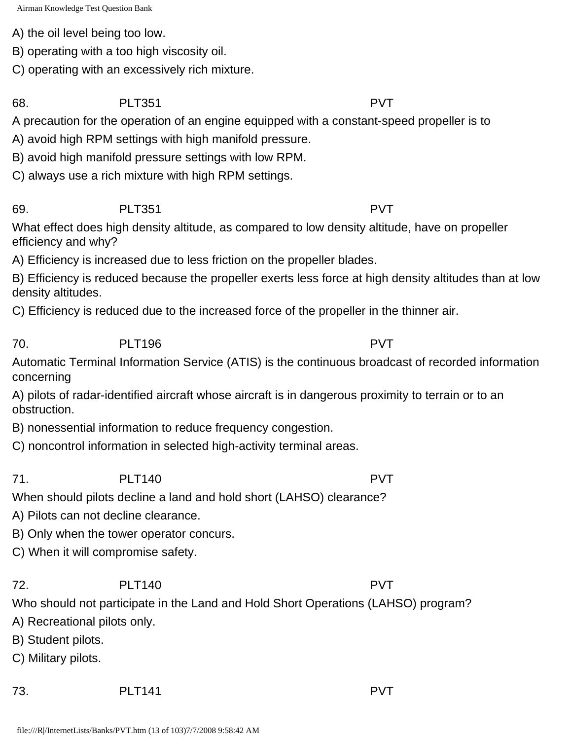A) the oil level being too low.

B) operating with a too high viscosity oil.

C) operating with an excessively rich mixture.

68. PLT351 PVT

A precaution for the operation of an engine equipped with a constant-speed propeller is to

A) avoid high RPM settings with high manifold pressure.

B) avoid high manifold pressure settings with low RPM.

C) always use a rich mixture with high RPM settings.

69. PLT351 PVT

What effect does high density altitude, as compared to low density altitude, have on propeller efficiency and why?

A) Efficiency is increased due to less friction on the propeller blades.

B) Efficiency is reduced because the propeller exerts less force at high density altitudes than at low density altitudes.

C) Efficiency is reduced due to the increased force of the propeller in the thinner air.

70. PLT196 PVT

Automatic Terminal Information Service (ATIS) is the continuous broadcast of recorded information concerning

A) pilots of radar-identified aircraft whose aircraft is in dangerous proximity to terrain or to an obstruction.

B) nonessential information to reduce frequency congestion.

C) noncontrol information in selected high-activity terminal areas.

71. PLT140 PVT When should pilots decline a land and hold short (LAHSO) clearance?

A) Pilots can not decline clearance.

B) Only when the tower operator concurs.

C) When it will compromise safety.

72. PLT140 PVT

Who should not participate in the Land and Hold Short Operations (LAHSO) program?

A) Recreational pilots only.

B) Student pilots.

C) Military pilots.

73. PLT141 PVT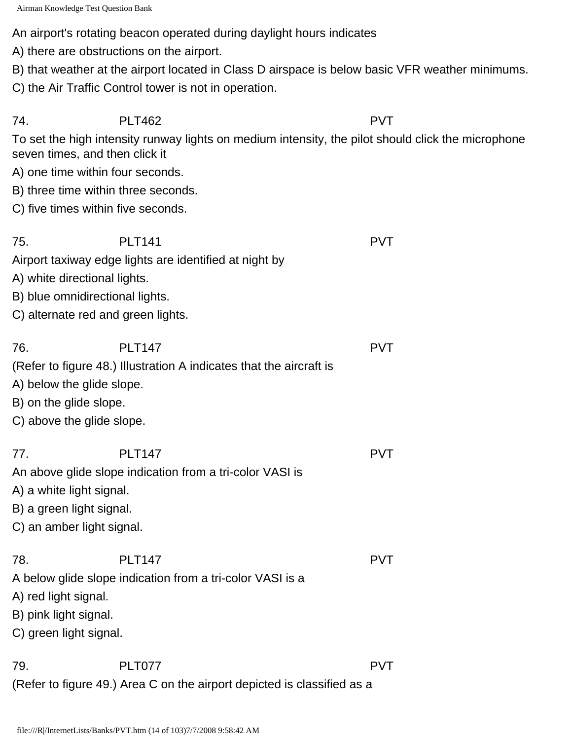An airport's rotating beacon operated during daylight hours indicates

- A) there are obstructions on the airport.
- B) that weather at the airport located in Class D airspace is below basic VFR weather minimums.
- C) the Air Traffic Control tower is not in operation.

74. PLT462 PVT

To set the high intensity runway lights on medium intensity, the pilot should click the microphone seven times, and then click it

- A) one time within four seconds.
- B) three time within three seconds.
- C) five times within five seconds.

| 75. | PLT <sub>141</sub>                                     | <b>PVT</b> |
|-----|--------------------------------------------------------|------------|
|     | Airport taxiway edge lights are identified at night by |            |
|     | A) white directional lights.                           |            |
|     | B) blue omnidirectional lights.                        |            |

C) alternate red and green lights.

| 76. | <b>PLT147</b>                                                       | <b>PVT</b> |
|-----|---------------------------------------------------------------------|------------|
|     | (Refer to figure 48.) Illustration A indicates that the aircraft is |            |

- A) below the glide slope.
- B) on the glide slope.
- C) above the glide slope.

| 77. | <b>PLT147</b> | $PV^{\top}$ |
|-----|---------------|-------------|
|     |               |             |

An above glide slope indication from a tri-color VASI is

- A) a white light signal.
- B) a green light signal.
- C) an amber light signal.

|                                                           | <b>PVT</b> |
|-----------------------------------------------------------|------------|
| A below glide slope indication from a tri-color VASI is a |            |
| A) red light signal.                                      |            |
| B) pink light signal.                                     |            |
| C) green light signal.                                    |            |

79. PLT077 PVT (Refer to figure 49.) Area C on the airport depicted is classified as a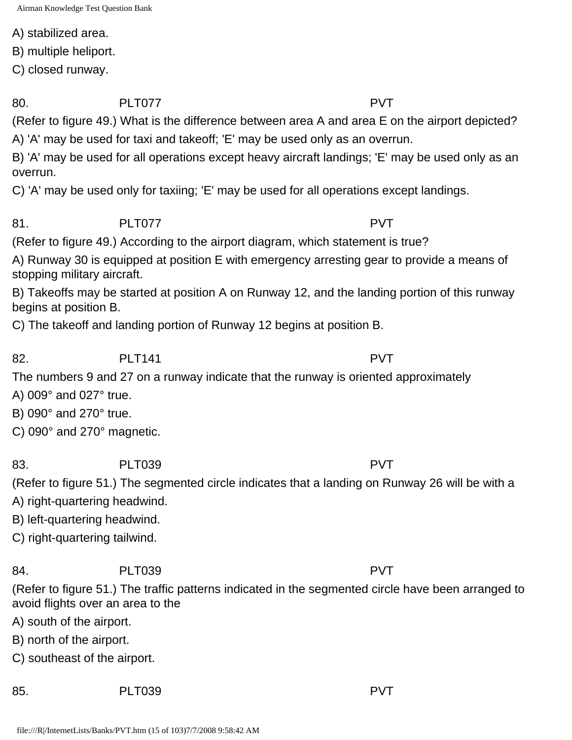A) stabilized area.

B) multiple heliport.

C) closed runway.

80. PLT077 PUT PVT

(Refer to figure 49.) What is the difference between area A and area E on the airport depicted?

A) 'A' may be used for taxi and takeoff; 'E' may be used only as an overrun.

B) 'A' may be used for all operations except heavy aircraft landings; 'E' may be used only as an overrun.

C) 'A' may be used only for taxiing; 'E' may be used for all operations except landings.

81. PLT077 PVT

(Refer to figure 49.) According to the airport diagram, which statement is true?

A) Runway 30 is equipped at position E with emergency arresting gear to provide a means of stopping military aircraft.

B) Takeoffs may be started at position A on Runway 12, and the landing portion of this runway begins at position B.

C) The takeoff and landing portion of Runway 12 begins at position B.

82. PLT141 PUT

The numbers 9 and 27 on a runway indicate that the runway is oriented approximately

A) 009° and 027° true.

B) 090° and 270° true.

C) 090° and 270° magnetic.

83. PLT039 PUT PVT

(Refer to figure 51.) The segmented circle indicates that a landing on Runway 26 will be with a

A) right-quartering headwind.

B) left-quartering headwind.

C) right-quartering tailwind.

84. PLT039 PVT

(Refer to figure 51.) The traffic patterns indicated in the segmented circle have been arranged to avoid flights over an area to the

A) south of the airport.

B) north of the airport.

C) southeast of the airport.

85. PLT039 PUT PUT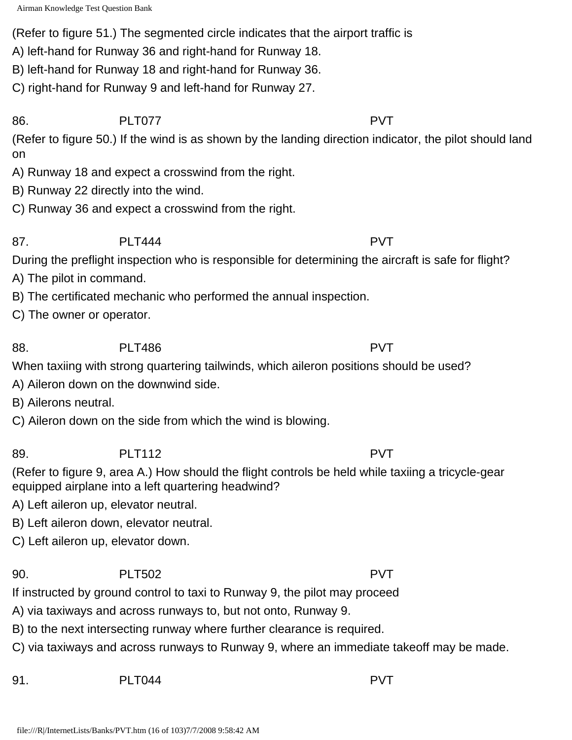(Refer to figure 51.) The segmented circle indicates that the airport traffic is

A) left-hand for Runway 36 and right-hand for Runway 18.

B) left-hand for Runway 18 and right-hand for Runway 36.

C) right-hand for Runway 9 and left-hand for Runway 27.

86. PLT077 PVT (Refer to figure 50.) If the wind is as shown by the landing direction indicator, the pilot should land on

A) Runway 18 and expect a crosswind from the right.

B) Runway 22 directly into the wind.

C) Runway 36 and expect a crosswind from the right.

87. PLT444 PLT444

During the preflight inspection who is responsible for determining the aircraft is safe for flight?

A) The pilot in command.

B) The certificated mechanic who performed the annual inspection.

C) The owner or operator.

88. PLT486 PVT

When taxiing with strong quartering tailwinds, which aileron positions should be used?

A) Aileron down on the downwind side.

B) Ailerons neutral.

C) Aileron down on the side from which the wind is blowing.

89. PLT112 PVT

(Refer to figure 9, area A.) How should the flight controls be held while taxiing a tricycle-gear equipped airplane into a left quartering headwind?

A) Left aileron up, elevator neutral.

B) Left aileron down, elevator neutral.

C) Left aileron up, elevator down.

90. PLT502 PVT

If instructed by ground control to taxi to Runway 9, the pilot may proceed

A) via taxiways and across runways to, but not onto, Runway 9.

B) to the next intersecting runway where further clearance is required.

C) via taxiways and across runways to Runway 9, where an immediate takeoff may be made.

91. PLT044 PVT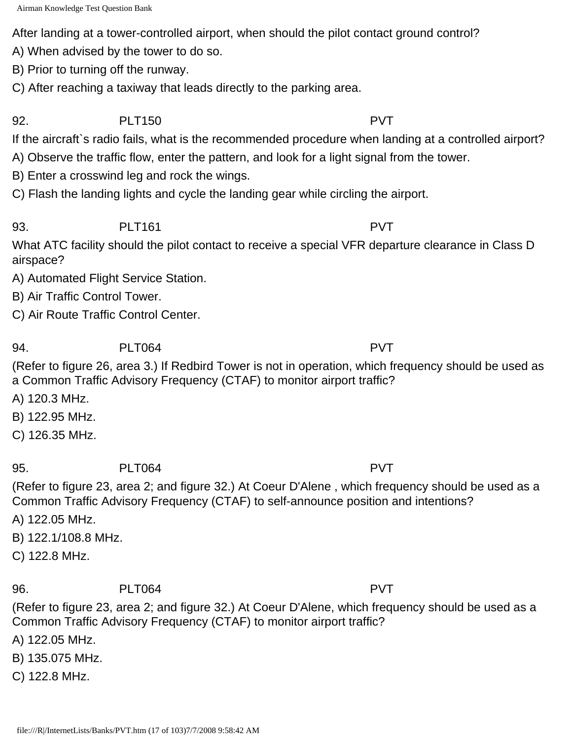After landing at a tower-controlled airport, when should the pilot contact ground control?

A) When advised by the tower to do so.

B) Prior to turning off the runway.

C) After reaching a taxiway that leads directly to the parking area.

92. PLT150 PVT

If the aircraft`s radio fails, what is the recommended procedure when landing at a controlled airport?

- A) Observe the traffic flow, enter the pattern, and look for a light signal from the tower.
- B) Enter a crosswind leg and rock the wings.

C) Flash the landing lights and cycle the landing gear while circling the airport.

93. PLT161 PUT

What ATC facility should the pilot contact to receive a special VFR departure clearance in Class D airspace?

A) Automated Flight Service Station.

B) Air Traffic Control Tower.

C) Air Route Traffic Control Center.

94. PLT064 PVT

(Refer to figure 26, area 3.) If Redbird Tower is not in operation, which frequency should be used as a Common Traffic Advisory Frequency (CTAF) to monitor airport traffic?

A) 120.3 MHz.

B) 122.95 MHz.

C) 126.35 MHz.

95. PLT064 PVT

(Refer to figure 23, area 2; and figure 32.) At Coeur D'Alene , which frequency should be used as a Common Traffic Advisory Frequency (CTAF) to self-announce position and intentions?

A) 122.05 MHz.

B) 122.1/108.8 MHz.

C) 122.8 MHz.

96. PLT064 PVT

(Refer to figure 23, area 2; and figure 32.) At Coeur D'Alene, which frequency should be used as a Common Traffic Advisory Frequency (CTAF) to monitor airport traffic?

A) 122.05 MHz.

B) 135.075 MHz.

C) 122.8 MHz.

file:///R|/InternetLists/Banks/PVT.htm (17 of 103)7/7/2008 9:58:42 AM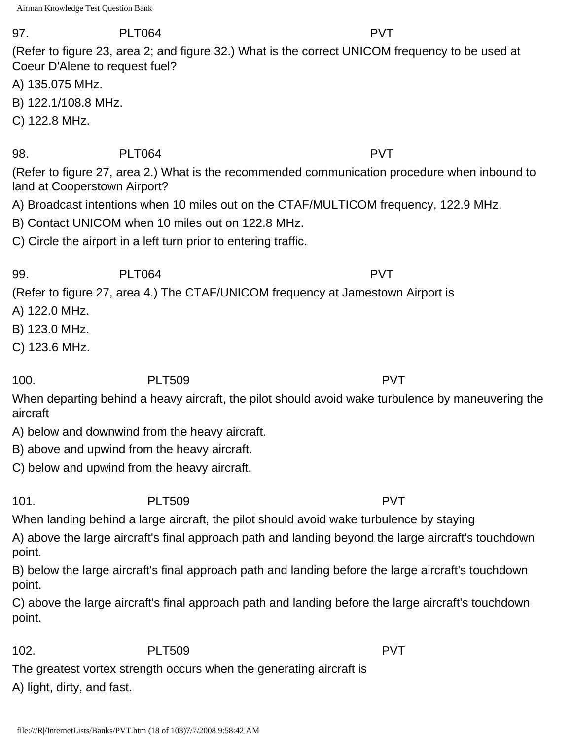### 97. PLT064 PVT

(Refer to figure 23, area 2; and figure 32.) What is the correct UNICOM frequency to be used at Coeur D'Alene to request fuel?

A) 135.075 MHz.

- B) 122.1/108.8 MHz.
- C) 122.8 MHz.

### 98. PLT064 PVT

(Refer to figure 27, area 2.) What is the recommended communication procedure when inbound to land at Cooperstown Airport?

- A) Broadcast intentions when 10 miles out on the CTAF/MULTICOM frequency, 122.9 MHz.
- B) Contact UNICOM when 10 miles out on 122.8 MHz.
- C) Circle the airport in a left turn prior to entering traffic.

99. PLT064 PVT

(Refer to figure 27, area 4.) The CTAF/UNICOM frequency at Jamestown Airport is

- A) 122.0 MHz.
- B) 123.0 MHz.
- C) 123.6 MHz.

100. PLT509 PVT

When departing behind a heavy aircraft, the pilot should avoid wake turbulence by maneuvering the aircraft

- A) below and downwind from the heavy aircraft.
- B) above and upwind from the heavy aircraft.
- C) below and upwind from the heavy aircraft.

101. PLT509 PVT

When landing behind a large aircraft, the pilot should avoid wake turbulence by staying

A) above the large aircraft's final approach path and landing beyond the large aircraft's touchdown point.

B) below the large aircraft's final approach path and landing before the large aircraft's touchdown point.

C) above the large aircraft's final approach path and landing before the large aircraft's touchdown point.

102. PLT509 PVT

The greatest vortex strength occurs when the generating aircraft is

A) light, dirty, and fast.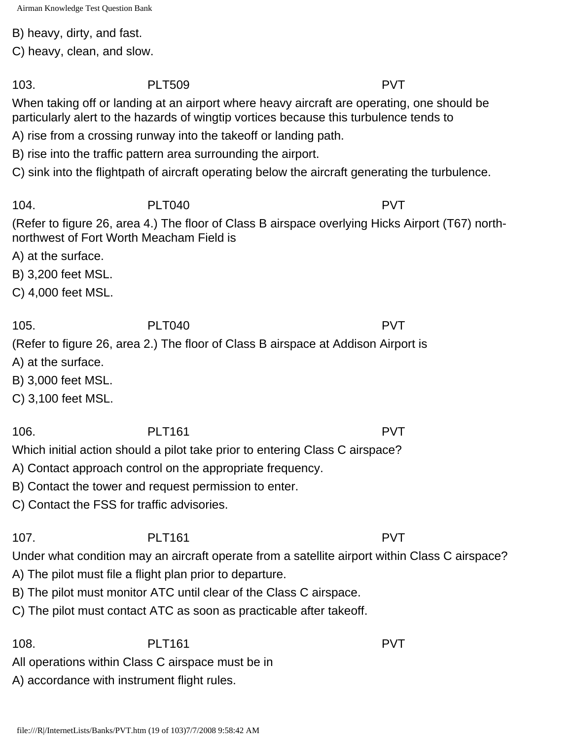B) heavy, dirty, and fast.

C) heavy, clean, and slow.

103. PLT509 PVT

When taking off or landing at an airport where heavy aircraft are operating, one should be particularly alert to the hazards of wingtip vortices because this turbulence tends to

A) rise from a crossing runway into the takeoff or landing path.

B) rise into the traffic pattern area surrounding the airport.

C) sink into the flightpath of aircraft operating below the aircraft generating the turbulence.

104. PLT040 PVT

(Refer to figure 26, area 4.) The floor of Class B airspace overlying Hicks Airport (T67) northnorthwest of Fort Worth Meacham Field is

A) at the surface.

B) 3,200 feet MSL.

C) 4,000 feet MSL.

105. PLT040 PVT

(Refer to figure 26, area 2.) The floor of Class B airspace at Addison Airport is

A) at the surface.

B) 3,000 feet MSL.

C) 3,100 feet MSL.

106. PLT161 PVT

Which initial action should a pilot take prior to entering Class C airspace?

A) Contact approach control on the appropriate frequency.

B) Contact the tower and request permission to enter.

C) Contact the FSS for traffic advisories.

107. PLT161 PVT Under what condition may an aircraft operate from a satellite airport within Class C airspace?

A) The pilot must file a flight plan prior to departure.

B) The pilot must monitor ATC until clear of the Class C airspace.

C) The pilot must contact ATC as soon as practicable after takeoff.

108. PLT161 PVT

All operations within Class C airspace must be in

A) accordance with instrument flight rules.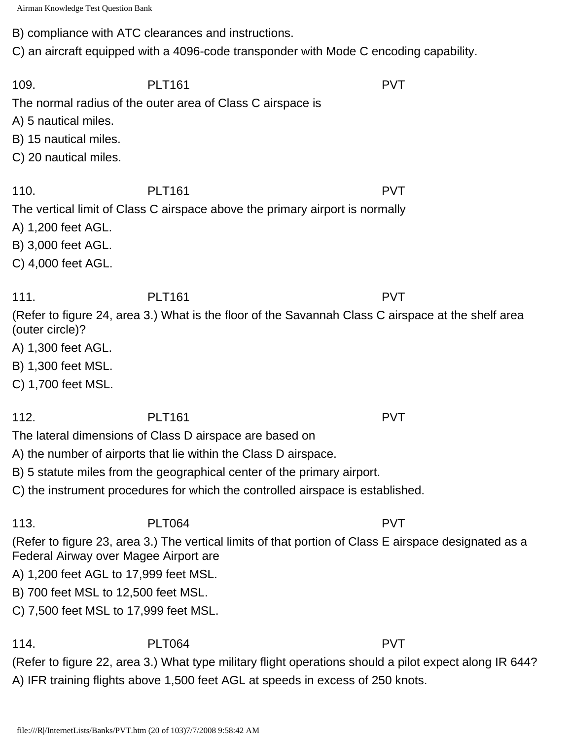B) compliance with ATC clearances and instructions.

C) an aircraft equipped with a 4096-code transponder with Mode C encoding capability.

109. PLT161 PLT161 PVT The normal radius of the outer area of Class C airspace is A) 5 nautical miles. B) 15 nautical miles. C) 20 nautical miles. 110. PLT161 PVT The vertical limit of Class C airspace above the primary airport is normally A) 1,200 feet AGL. B) 3,000 feet AGL. C) 4,000 feet AGL. 111. PLT161 PVT (Refer to figure 24, area 3.) What is the floor of the Savannah Class C airspace at the shelf area (outer circle)? A) 1,300 feet AGL. B) 1,300 feet MSL. C) 1,700 feet MSL. 112. PLT161 PVT The lateral dimensions of Class D airspace are based on A) the number of airports that lie within the Class D airspace. B) 5 statute miles from the geographical center of the primary airport. C) the instrument procedures for which the controlled airspace is established. 113. PLT064 PVT (Refer to figure 23, area 3.) The vertical limits of that portion of Class E airspace designated as a Federal Airway over Magee Airport are A) 1,200 feet AGL to 17,999 feet MSL. B) 700 feet MSL to 12,500 feet MSL. C) 7,500 feet MSL to 17,999 feet MSL. 114. PLT064 PVT (Refer to figure 22, area 3.) What type military flight operations should a pilot expect along IR 644? A) IFR training flights above 1,500 feet AGL at speeds in excess of 250 knots.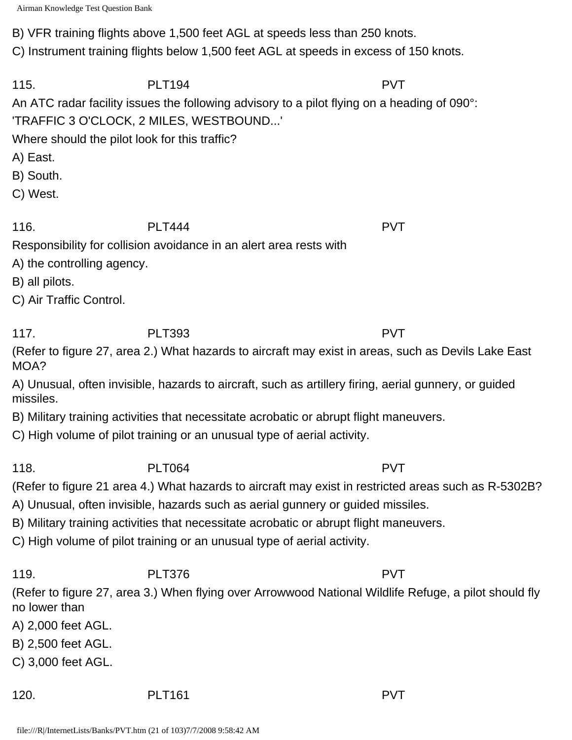B) VFR training flights above 1,500 feet AGL at speeds less than 250 knots.

C) Instrument training flights below 1,500 feet AGL at speeds in excess of 150 knots.

115. PLT194 PVT An ATC radar facility issues the following advisory to a pilot flying on a heading of 090°: 'TRAFFIC 3 O'CLOCK, 2 MILES, WESTBOUND...'

Where should the pilot look for this traffic?

A) East.

B) South.

C) West.

116. PLT444 PVT Responsibility for collision avoidance in an alert area rests with

A) the controlling agency.

B) all pilots.

C) Air Traffic Control.

117. PLT393 PVT

(Refer to figure 27, area 2.) What hazards to aircraft may exist in areas, such as Devils Lake East MOA?

A) Unusual, often invisible, hazards to aircraft, such as artillery firing, aerial gunnery, or guided missiles.

B) Military training activities that necessitate acrobatic or abrupt flight maneuvers.

C) High volume of pilot training or an unusual type of aerial activity.

118. PLT064 PVT

(Refer to figure 21 area 4.) What hazards to aircraft may exist in restricted areas such as R-5302B?

A) Unusual, often invisible, hazards such as aerial gunnery or guided missiles.

B) Military training activities that necessitate acrobatic or abrupt flight maneuvers.

C) High volume of pilot training or an unusual type of aerial activity.

119. PLT376 PVT

(Refer to figure 27, area 3.) When flying over Arrowwood National Wildlife Refuge, a pilot should fly no lower than

A) 2,000 feet AGL.

B) 2,500 feet AGL.

C) 3,000 feet AGL.

120. PLT161 PLT161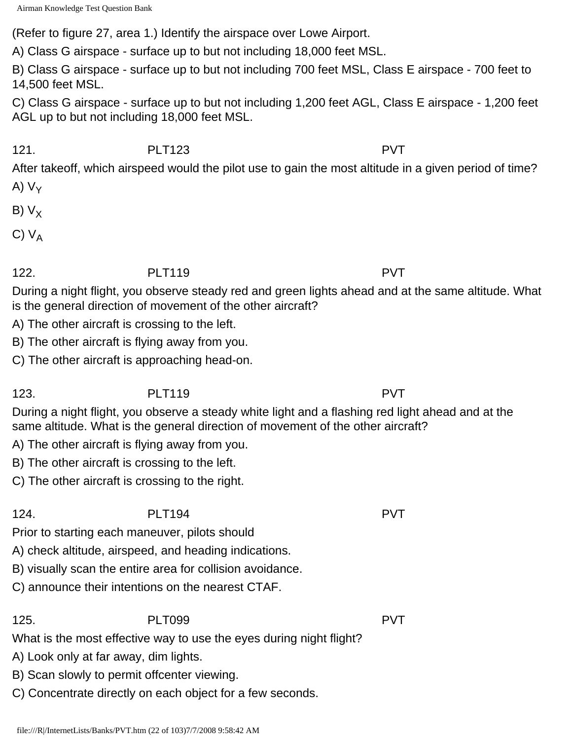(Refer to figure 27, area 1.) Identify the airspace over Lowe Airport.

A) Class G airspace - surface up to but not including 18,000 feet MSL.

B) Class G airspace - surface up to but not including 700 feet MSL, Class E airspace - 700 feet to 14,500 feet MSL.

C) Class G airspace - surface up to but not including 1,200 feet AGL, Class E airspace - 1,200 feet AGL up to but not including 18,000 feet MSL.

121. PLT123 PVT

After takeoff, which airspeed would the pilot use to gain the most altitude in a given period of time? A)  $V_Y$ 

- B)  $V_X$
- C)  $V_A$

# 122. PLT119 PVT

During a night flight, you observe steady red and green lights ahead and at the same altitude. What is the general direction of movement of the other aircraft?

- A) The other aircraft is crossing to the left.
- B) The other aircraft is flying away from you.
- C) The other aircraft is approaching head-on.

# 123. PLT119 PVT

During a night flight, you observe a steady white light and a flashing red light ahead and at the same altitude. What is the general direction of movement of the other aircraft?

- A) The other aircraft is flying away from you.
- B) The other aircraft is crossing to the left.
- C) The other aircraft is crossing to the right.

# 124. PLT194 PVT

Prior to starting each maneuver, pilots should

- A) check altitude, airspeed, and heading indications.
- B) visually scan the entire area for collision avoidance.
- C) announce their intentions on the nearest CTAF.

125. PLT099 PVT

What is the most effective way to use the eyes during night flight?

- A) Look only at far away, dim lights.
- B) Scan slowly to permit offcenter viewing.
- C) Concentrate directly on each object for a few seconds.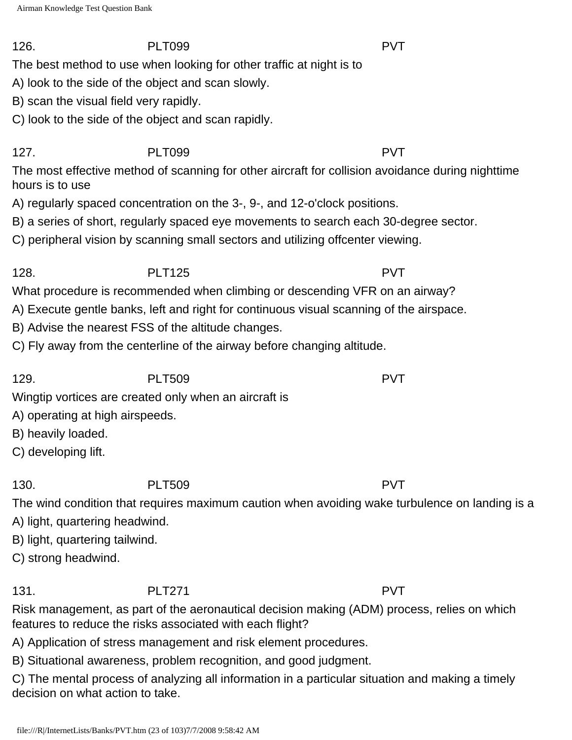The best method to use when looking for other traffic at night is to

A) look to the side of the object and scan slowly.

B) scan the visual field very rapidly.

C) look to the side of the object and scan rapidly.

# 127. PLT099 PVT

The most effective method of scanning for other aircraft for collision avoidance during nighttime hours is to use

A) regularly spaced concentration on the 3-, 9-, and 12-o'clock positions.

B) a series of short, regularly spaced eye movements to search each 30-degree sector.

C) peripheral vision by scanning small sectors and utilizing offcenter viewing.

# 128. PLT125 PVT

What procedure is recommended when climbing or descending VFR on an airway?

A) Execute gentle banks, left and right for continuous visual scanning of the airspace.

B) Advise the nearest FSS of the altitude changes.

C) Fly away from the centerline of the airway before changing altitude.

129. PLT509 PVT

Wingtip vortices are created only when an aircraft is

A) operating at high airspeeds.

B) heavily loaded.

C) developing lift.

# 130. PLT509 PVT

The wind condition that requires maximum caution when avoiding wake turbulence on landing is a

A) light, quartering headwind.

B) light, quartering tailwind.

C) strong headwind.

131. PLT271 PVT

Risk management, as part of the aeronautical decision making (ADM) process, relies on which features to reduce the risks associated with each flight?

A) Application of stress management and risk element procedures.

B) Situational awareness, problem recognition, and good judgment.

C) The mental process of analyzing all information in a particular situation and making a timely decision on what action to take.

126. PLT099 PVT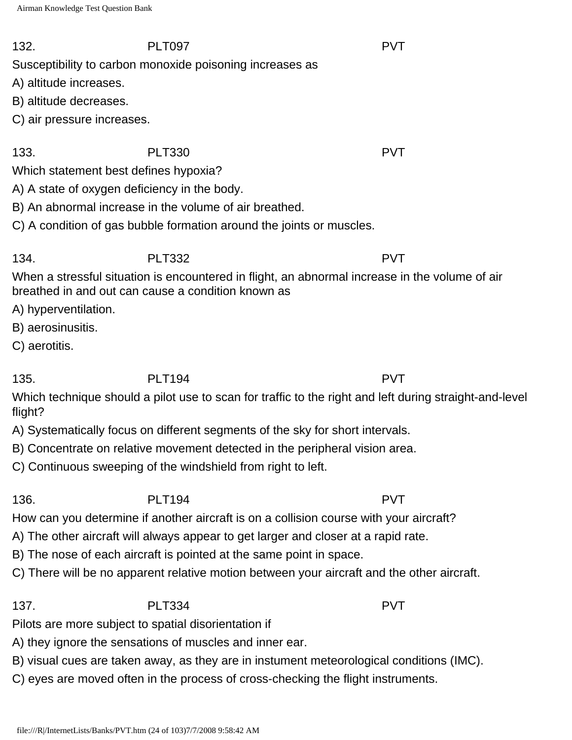Susceptibility to carbon monoxide poisoning increases as

A) altitude increases.

B) altitude decreases.

C) air pressure increases.

133. PLT330 PVT

Which statement best defines hypoxia?

A) A state of oxygen deficiency in the body.

B) An abnormal increase in the volume of air breathed.

C) A condition of gas bubble formation around the joints or muscles.

## 134. PLT332 PVT

When a stressful situation is encountered in flight, an abnormal increase in the volume of air breathed in and out can cause a condition known as

A) hyperventilation.

- B) aerosinusitis.
- C) aerotitis.

135. PLT194 PVT

Which technique should a pilot use to scan for traffic to the right and left during straight-and-level flight?

A) Systematically focus on different segments of the sky for short intervals.

B) Concentrate on relative movement detected in the peripheral vision area.

C) Continuous sweeping of the windshield from right to left.

136. PLT194 PVT How can you determine if another aircraft is on a collision course with your aircraft?

A) The other aircraft will always appear to get larger and closer at a rapid rate.

B) The nose of each aircraft is pointed at the same point in space.

C) There will be no apparent relative motion between your aircraft and the other aircraft.

137. PLT334 PVT

Pilots are more subject to spatial disorientation if

A) they ignore the sensations of muscles and inner ear.

B) visual cues are taken away, as they are in instument meteorological conditions (IMC).

C) eyes are moved often in the process of cross-checking the flight instruments.

132. PLT097 PVT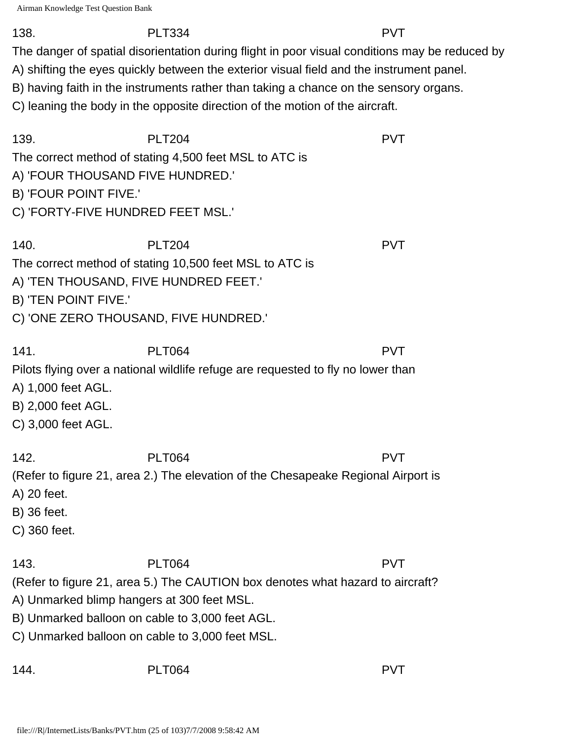### 138. PLT334 PVT

The danger of spatial disorientation during flight in poor visual conditions may be reduced by

A) shifting the eyes quickly between the exterior visual field and the instrument panel.

B) having faith in the instruments rather than taking a chance on the sensory organs.

C) leaning the body in the opposite direction of the motion of the aircraft.

| 139.<br>A) 'FOUR THOUSAND FIVE HUNDRED.'<br>B) 'FOUR POINT FIVE.'<br>C) 'FORTY-FIVE HUNDRED FEET MSL.' | <b>PLT204</b><br>The correct method of stating 4,500 feet MSL to ATC is                                                                                           |                                                                                   | <b>PVT</b> |
|--------------------------------------------------------------------------------------------------------|-------------------------------------------------------------------------------------------------------------------------------------------------------------------|-----------------------------------------------------------------------------------|------------|
| 140.<br>B) 'TEN POINT FIVE.'                                                                           | <b>PLT204</b><br>The correct method of stating 10,500 feet MSL to ATC is<br>A) 'TEN THOUSAND, FIVE HUNDRED FEET.'<br>C) 'ONE ZERO THOUSAND, FIVE HUNDRED.'        |                                                                                   | <b>PVT</b> |
| 141.<br>A) 1,000 feet AGL.<br>B) 2,000 feet AGL.<br>C) 3,000 feet AGL.                                 | <b>PLT064</b>                                                                                                                                                     | Pilots flying over a national wildlife refuge are requested to fly no lower than  | <b>PVT</b> |
| 142.<br>A) 20 feet.<br>B) 36 feet.<br>C) 360 feet.                                                     | <b>PLT064</b>                                                                                                                                                     | (Refer to figure 21, area 2.) The elevation of the Chesapeake Regional Airport is | <b>PVT</b> |
| 143.                                                                                                   | <b>PLT064</b><br>A) Unmarked blimp hangers at 300 feet MSL.<br>B) Unmarked balloon on cable to 3,000 feet AGL.<br>C) Unmarked balloon on cable to 3,000 feet MSL. | (Refer to figure 21, area 5.) The CAUTION box denotes what hazard to aircraft?    | <b>PVT</b> |
| 144.                                                                                                   | <b>PLT064</b>                                                                                                                                                     |                                                                                   | <b>PVT</b> |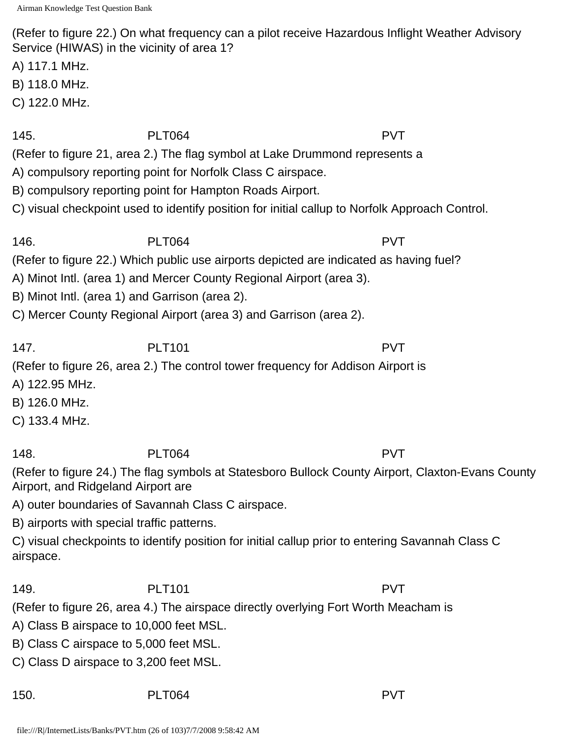(Refer to figure 22.) On what frequency can a pilot receive Hazardous Inflight Weather Advisory Service (HIWAS) in the vicinity of area 1?

A) 117.1 MHz.

B) 118.0 MHz.

C) 122.0 MHz.

### 145. PLT064 PVT

(Refer to figure 21, area 2.) The flag symbol at Lake Drummond represents a

A) compulsory reporting point for Norfolk Class C airspace.

B) compulsory reporting point for Hampton Roads Airport.

C) visual checkpoint used to identify position for initial callup to Norfolk Approach Control.

# 146. PLT064 PVT

(Refer to figure 22.) Which public use airports depicted are indicated as having fuel?

A) Minot Intl. (area 1) and Mercer County Regional Airport (area 3).

B) Minot Intl. (area 1) and Garrison (area 2).

C) Mercer County Regional Airport (area 3) and Garrison (area 2).

147. PLT101 PVT

(Refer to figure 26, area 2.) The control tower frequency for Addison Airport is

A) 122.95 MHz.

B) 126.0 MHz.

C) 133.4 MHz.

148. PLT064 PVT

(Refer to figure 24.) The flag symbols at Statesboro Bullock County Airport, Claxton-Evans County Airport, and Ridgeland Airport are

A) outer boundaries of Savannah Class C airspace.

B) airports with special traffic patterns.

C) visual checkpoints to identify position for initial callup prior to entering Savannah Class C airspace.

149. PLT101 PLT101 PVT

(Refer to figure 26, area 4.) The airspace directly overlying Fort Worth Meacham is

A) Class B airspace to 10,000 feet MSL. B) Class C airspace to 5,000 feet MSL.

C) Class D airspace to 3,200 feet MSL.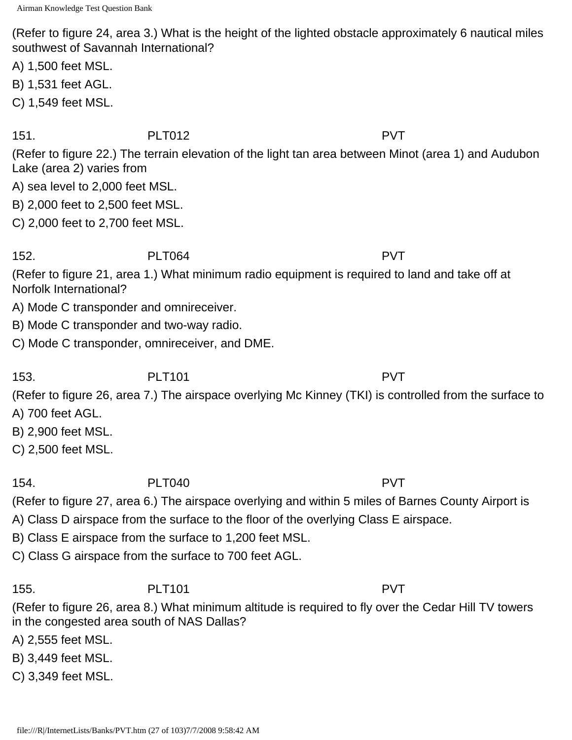(Refer to figure 24, area 3.) What is the height of the lighted obstacle approximately 6 nautical miles southwest of Savannah International?

- A) 1,500 feet MSL.
- B) 1,531 feet AGL.
- C) 1,549 feet MSL.

151. PLT012 PVT

(Refer to figure 22.) The terrain elevation of the light tan area between Minot (area 1) and Audubon Lake (area 2) varies from

A) sea level to 2,000 feet MSL.

- B) 2,000 feet to 2,500 feet MSL.
- C) 2,000 feet to 2,700 feet MSL.

# 152. PLT064 PVT

(Refer to figure 21, area 1.) What minimum radio equipment is required to land and take off at Norfolk International?

- A) Mode C transponder and omnireceiver.
- B) Mode C transponder and two-way radio.
- C) Mode C transponder, omnireceiver, and DME.

# 153. PLT101 PUT PVT

(Refer to figure 26, area 7.) The airspace overlying Mc Kinney (TKI) is controlled from the surface to

- A) 700 feet AGL.
- B) 2,900 feet MSL.
- C) 2,500 feet MSL.

# 154. PLT040 PVT

(Refer to figure 27, area 6.) The airspace overlying and within 5 miles of Barnes County Airport is

- A) Class D airspace from the surface to the floor of the overlying Class E airspace.
- B) Class E airspace from the surface to 1,200 feet MSL.

C) Class G airspace from the surface to 700 feet AGL.

# 155. PLT101 PVT

(Refer to figure 26, area 8.) What minimum altitude is required to fly over the Cedar Hill TV towers in the congested area south of NAS Dallas?

A) 2,555 feet MSL.

- B) 3,449 feet MSL.
- C) 3,349 feet MSL.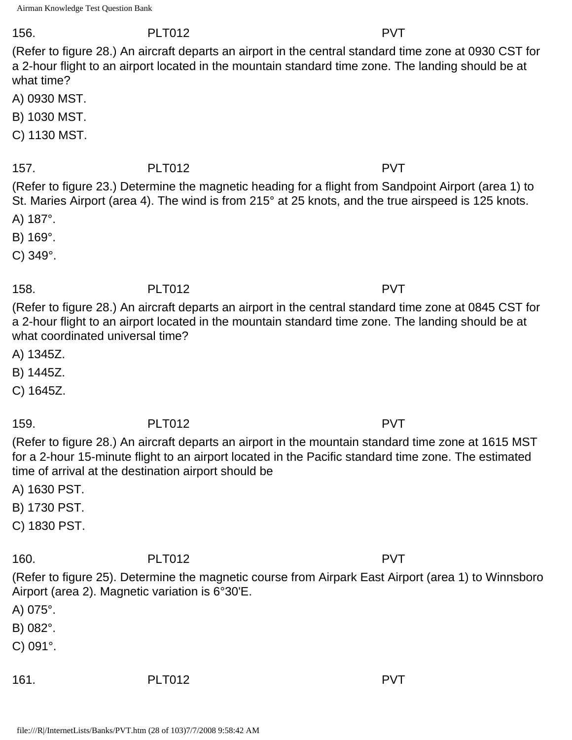### 156. PLT012 PVT

(Refer to figure 28.) An aircraft departs an airport in the central standard time zone at 0930 CST for a 2-hour flight to an airport located in the mountain standard time zone. The landing should be at what time?

A) 0930 MST.

- B) 1030 MST.
- C) 1130 MST.

## 157. PLT012 PVT

(Refer to figure 23.) Determine the magnetic heading for a flight from Sandpoint Airport (area 1) to St. Maries Airport (area 4). The wind is from 215° at 25 knots, and the true airspeed is 125 knots.

A) 187°.

B) 169°.

C) 349°.

# 158. PLT012 PVT

(Refer to figure 28.) An aircraft departs an airport in the central standard time zone at 0845 CST for a 2-hour flight to an airport located in the mountain standard time zone. The landing should be at what coordinated universal time?

A) 1345Z.

B) 1445Z.

C) 1645Z.

# 159. PLT012 PVT

(Refer to figure 28.) An aircraft departs an airport in the mountain standard time zone at 1615 MST for a 2-hour 15-minute flight to an airport located in the Pacific standard time zone. The estimated time of arrival at the destination airport should be

A) 1630 PST.

- B) 1730 PST.
- C) 1830 PST.

# 160. PLT012 PVT

(Refer to figure 25). Determine the magnetic course from Airpark East Airport (area 1) to Winnsboro Airport (area 2). Magnetic variation is 6°30'E.

- A) 075°.
- B) 082°.
- C) 091°.

161. PLT012 PVT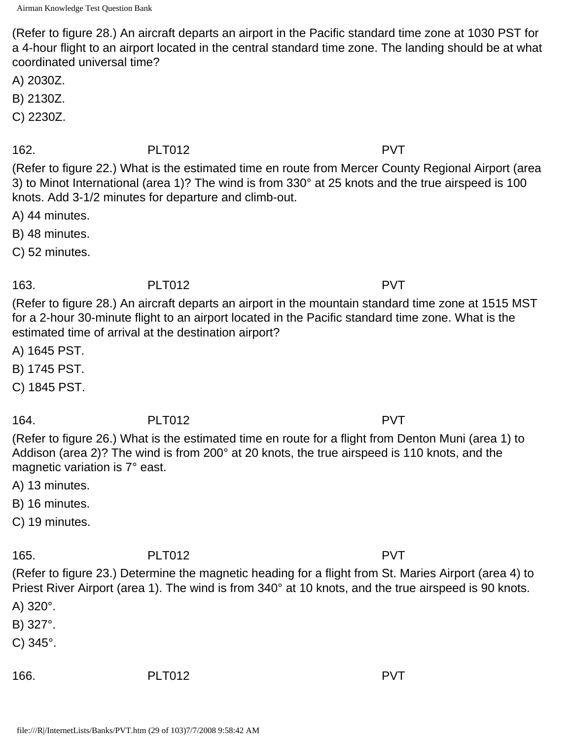(Refer to figure 28.) An aircraft departs an airport in the Pacific standard time zone at 1030 PST for a 4-hour flight to an airport located in the central standard time zone. The landing should be at what coordinated universal time?

A) 2030Z.

B) 2130Z.

C) 2230Z.

### 162. PLT012 PVT

(Refer to figure 22.) What is the estimated time en route from Mercer County Regional Airport (area 3) to Minot International (area 1)? The wind is from 330° at 25 knots and the true airspeed is 100 knots. Add 3-1/2 minutes for departure and climb-out.

A) 44 minutes.

B) 48 minutes.

C) 52 minutes.

## 163. PLT012 PVT

(Refer to figure 28.) An aircraft departs an airport in the mountain standard time zone at 1515 MST for a 2-hour 30-minute flight to an airport located in the Pacific standard time zone. What is the estimated time of arrival at the destination airport?

A) 1645 PST.

B) 1745 PST.

C) 1845 PST.

### 164. PLT012 PVT

(Refer to figure 26.) What is the estimated time en route for a flight from Denton Muni (area 1) to Addison (area 2)? The wind is from 200° at 20 knots, the true airspeed is 110 knots, and the magnetic variation is 7° east.

A) 13 minutes.

B) 16 minutes.

C) 19 minutes.

# 165. PLT012 PVT

(Refer to figure 23.) Determine the magnetic heading for a flight from St. Maries Airport (area 4) to Priest River Airport (area 1). The wind is from 340° at 10 knots, and the true airspeed is 90 knots.

A) 320°.

B) 327°.

C) 345°.

166. PLT012 PVT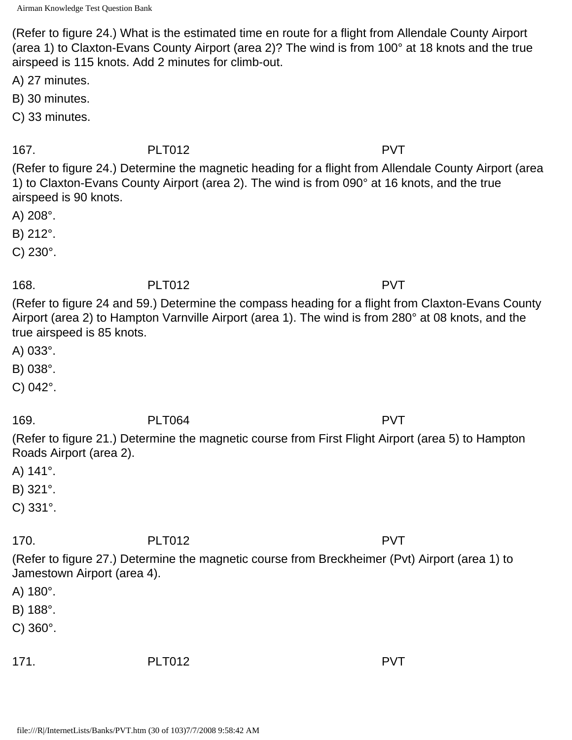(Refer to figure 24.) What is the estimated time en route for a flight from Allendale County Airport (area 1) to Claxton-Evans County Airport (area 2)? The wind is from 100° at 18 knots and the true airspeed is 115 knots. Add 2 minutes for climb-out.

A) 27 minutes.

B) 30 minutes.

C) 33 minutes.

167. PLT012 PVT

(Refer to figure 24.) Determine the magnetic heading for a flight from Allendale County Airport (area 1) to Claxton-Evans County Airport (area 2). The wind is from 090° at 16 knots, and the true airspeed is 90 knots.

A) 208°.

B) 212°.

C) 230°.

## 168. PLT012 PVT

(Refer to figure 24 and 59.) Determine the compass heading for a flight from Claxton-Evans County Airport (area 2) to Hampton Varnville Airport (area 1). The wind is from 280° at 08 knots, and the true airspeed is 85 knots.

A) 033°.

B) 038°.

C) 042°.

169. PLT064 PVT

(Refer to figure 21.) Determine the magnetic course from First Flight Airport (area 5) to Hampton Roads Airport (area 2).

A) 141°.

B) 321°.

C) 331°.

170. PLT012 PVT

(Refer to figure 27.) Determine the magnetic course from Breckheimer (Pvt) Airport (area 1) to Jamestown Airport (area 4).

A) 180°.

B) 188°.

C) 360°.

| 171. | <b>PLT012</b> | <b>PVT</b> |
|------|---------------|------------|
|      |               |            |

file:///R|/InternetLists/Banks/PVT.htm (30 of 103)7/7/2008 9:58:42 AM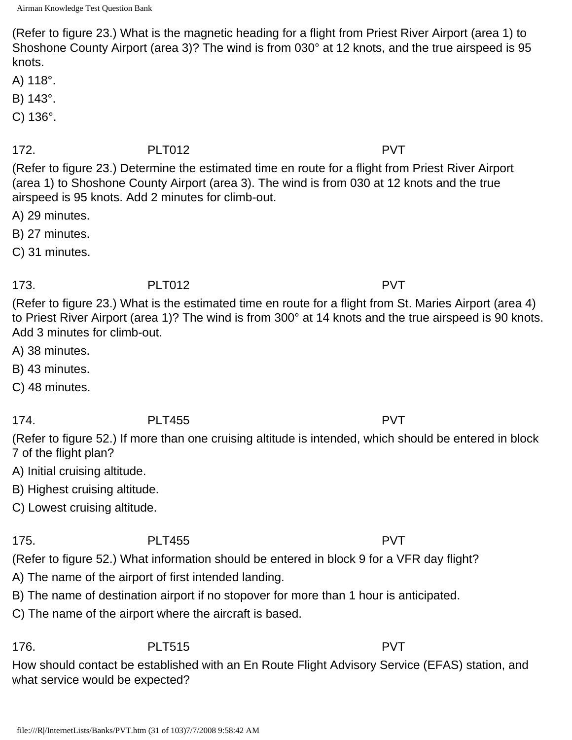(Refer to figure 23.) What is the magnetic heading for a flight from Priest River Airport (area 1) to Shoshone County Airport (area 3)? The wind is from 030° at 12 knots, and the true airspeed is 95 knots.

A) 118°.

B) 143°.

C) 136°.

## 172. PLT012 PVT

(Refer to figure 23.) Determine the estimated time en route for a flight from Priest River Airport (area 1) to Shoshone County Airport (area 3). The wind is from 030 at 12 knots and the true airspeed is 95 knots. Add 2 minutes for climb-out.

A) 29 minutes.

B) 27 minutes.

C) 31 minutes.

### 173. PLT012 PVT

(Refer to figure 23.) What is the estimated time en route for a flight from St. Maries Airport (area 4) to Priest River Airport (area 1)? The wind is from 300° at 14 knots and the true airspeed is 90 knots. Add 3 minutes for climb-out.

A) 38 minutes.

B) 43 minutes.

C) 48 minutes.

### 174. PLT455 PVT

(Refer to figure 52.) If more than one cruising altitude is intended, which should be entered in block 7 of the flight plan?

A) Initial cruising altitude.

B) Highest cruising altitude.

C) Lowest cruising altitude.

### 175. PLT455 PVT

(Refer to figure 52.) What information should be entered in block 9 for a VFR day flight?

A) The name of the airport of first intended landing.

B) The name of destination airport if no stopover for more than 1 hour is anticipated.

C) The name of the airport where the aircraft is based.

# 176. PLT515 PVT

How should contact be established with an En Route Flight Advisory Service (EFAS) station, and what service would be expected?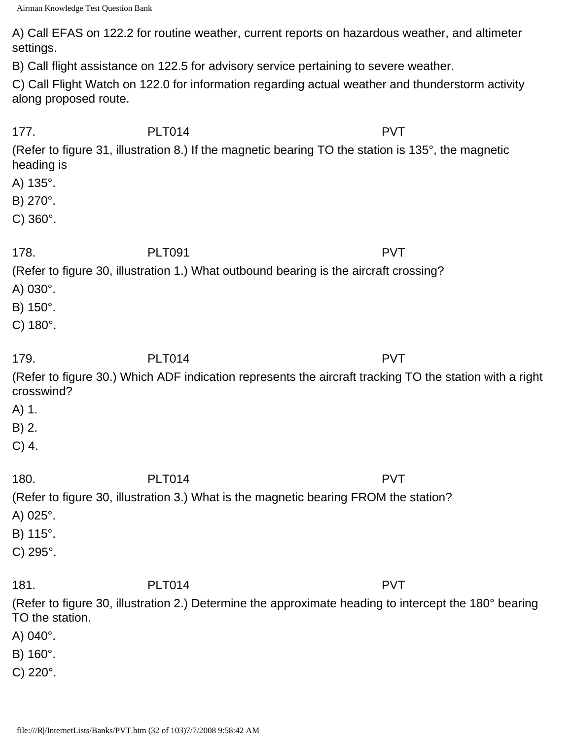A) Call EFAS on 122.2 for routine weather, current reports on hazardous weather, and altimeter settings.

B) Call flight assistance on 122.5 for advisory service pertaining to severe weather.

C) Call Flight Watch on 122.0 for information regarding actual weather and thunderstorm activity along proposed route.

| 177.                  | <b>PLT014</b> | <b>PVT</b>                                                                                              |
|-----------------------|---------------|---------------------------------------------------------------------------------------------------------|
| heading is            |               | (Refer to figure 31, illustration 8.) If the magnetic bearing TO the station is 135°, the magnetic      |
| A) $135^\circ$ .      |               |                                                                                                         |
| B) 270°.              |               |                                                                                                         |
| $C) 360^{\circ}$ .    |               |                                                                                                         |
| 178.                  | <b>PLT091</b> | <b>PVT</b>                                                                                              |
|                       |               | (Refer to figure 30, illustration 1.) What outbound bearing is the aircraft crossing?                   |
| A) $030^\circ$ .      |               |                                                                                                         |
| B) 150°.              |               |                                                                                                         |
| $C) 180^\circ.$       |               |                                                                                                         |
| 179.                  | <b>PLT014</b> | <b>PVT</b>                                                                                              |
| crosswind?            |               | (Refer to figure 30.) Which ADF indication represents the aircraft tracking TO the station with a right |
| A) 1.                 |               |                                                                                                         |
| B) 2.                 |               |                                                                                                         |
| $C)$ 4.               |               |                                                                                                         |
| 180.                  | <b>PLT014</b> | <b>PVT</b>                                                                                              |
|                       |               | (Refer to figure 30, illustration 3.) What is the magnetic bearing FROM the station?                    |
| A) $025^\circ$ .      |               |                                                                                                         |
| B) 115°.              |               |                                                                                                         |
| $C) 295$ °.           |               |                                                                                                         |
| 181.                  | <b>PLT014</b> | <b>PVT</b>                                                                                              |
| TO the station.       |               | (Refer to figure 30, illustration 2.) Determine the approximate heading to intercept the 180° bearing   |
| A) 040°.              |               |                                                                                                         |
| B) 160°.              |               |                                                                                                         |
| $C)$ 220 $^{\circ}$ . |               |                                                                                                         |
|                       |               |                                                                                                         |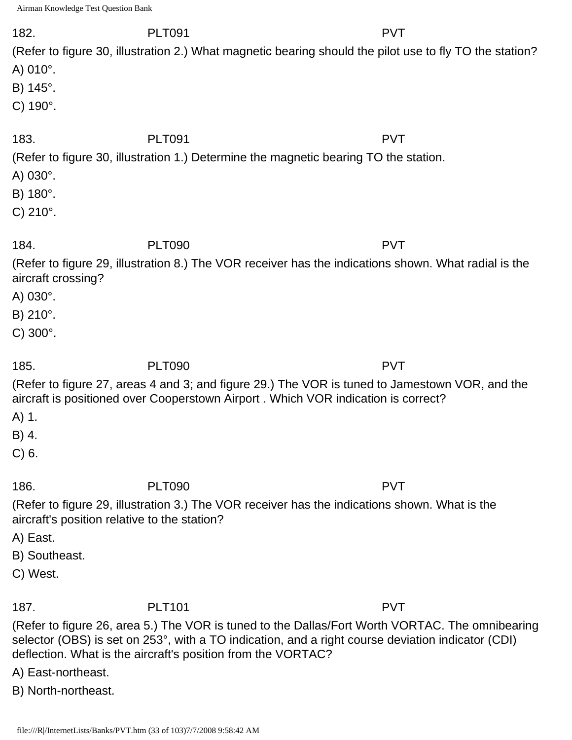| 182.<br>A) $010^{\circ}$ .<br>B) $145^\circ$ .<br>C) $190^\circ$ .                            | <b>PLT091</b><br>(Refer to figure 30, illustration 2.) What magnetic bearing should the pilot use to fly TO the station?                                                                                                                                                              | <b>PVT</b> |
|-----------------------------------------------------------------------------------------------|---------------------------------------------------------------------------------------------------------------------------------------------------------------------------------------------------------------------------------------------------------------------------------------|------------|
| 183.<br>A) $030^\circ$ .<br>B) 180°.<br>C) $210^{\circ}$ .                                    | <b>PLT091</b><br>(Refer to figure 30, illustration 1.) Determine the magnetic bearing TO the station.                                                                                                                                                                                 | <b>PVT</b> |
| 184.<br>aircraft crossing?<br>A) $030^\circ$ .<br>B) 210°.<br>C) $300^\circ$ .                | <b>PLT090</b><br>(Refer to figure 29, illustration 8.) The VOR receiver has the indications shown. What radial is the                                                                                                                                                                 | <b>PVT</b> |
| 185.<br>A) 1.<br>B) 4.<br>$C$ ) 6.                                                            | <b>PLT090</b><br>(Refer to figure 27, areas 4 and 3; and figure 29.) The VOR is tuned to Jamestown VOR, and the<br>aircraft is positioned over Cooperstown Airport. Which VOR indication is correct?                                                                                  | <b>PVT</b> |
| 186.<br>aircraft's position relative to the station?<br>A) East.<br>B) Southeast.<br>C) West. | <b>PLT090</b><br>(Refer to figure 29, illustration 3.) The VOR receiver has the indications shown. What is the                                                                                                                                                                        | <b>PVT</b> |
| 187.<br>A) East-northeast.<br>B) North-northeast.                                             | <b>PLT101</b><br>(Refer to figure 26, area 5.) The VOR is tuned to the Dallas/Fort Worth VORTAC. The omnibearing<br>selector (OBS) is set on 253°, with a TO indication, and a right course deviation indicator (CDI)<br>deflection. What is the aircraft's position from the VORTAC? | <b>PVT</b> |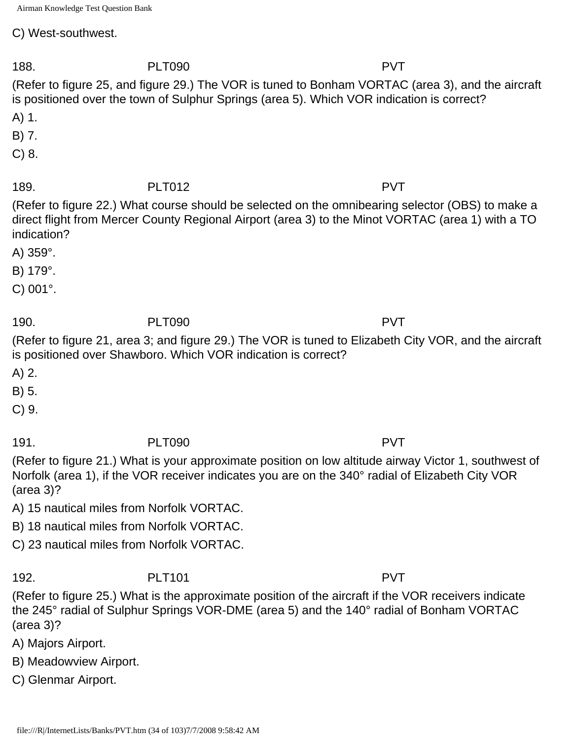C) West-southwest.

188. PLT090 PVT (Refer to figure 25, and figure 29.) The VOR is tuned to Bonham VORTAC (area 3), and the aircraft is positioned over the town of Sulphur Springs (area 5). Which VOR indication is correct? A) 1. B) 7. C) 8. 189. PLT012 PVT (Refer to figure 22.) What course should be selected on the omnibearing selector (OBS) to make a direct flight from Mercer County Regional Airport (area 3) to the Minot VORTAC (area 1) with a TO indication? A) 359°. B) 179°. C) 001°. 190. PLT090 PVT (Refer to figure 21, area 3; and figure 29.) The VOR is tuned to Elizabeth City VOR, and the aircraft is positioned over Shawboro. Which VOR indication is correct? A) 2. B) 5. C) 9. 191. PLT090 PVT (Refer to figure 21.) What is your approximate position on low altitude airway Victor 1, southwest of Norfolk (area 1), if the VOR receiver indicates you are on the 340° radial of Elizabeth City VOR (area 3)? A) 15 nautical miles from Norfolk VORTAC. B) 18 nautical miles from Norfolk VORTAC. C) 23 nautical miles from Norfolk VORTAC. 192. PLT101 PVT (Refer to figure 25.) What is the approximate position of the aircraft if the VOR receivers indicate the 245° radial of Sulphur Springs VOR-DME (area 5) and the 140° radial of Bonham VORTAC (area 3)?

A) Majors Airport.

B) Meadowview Airport.

C) Glenmar Airport.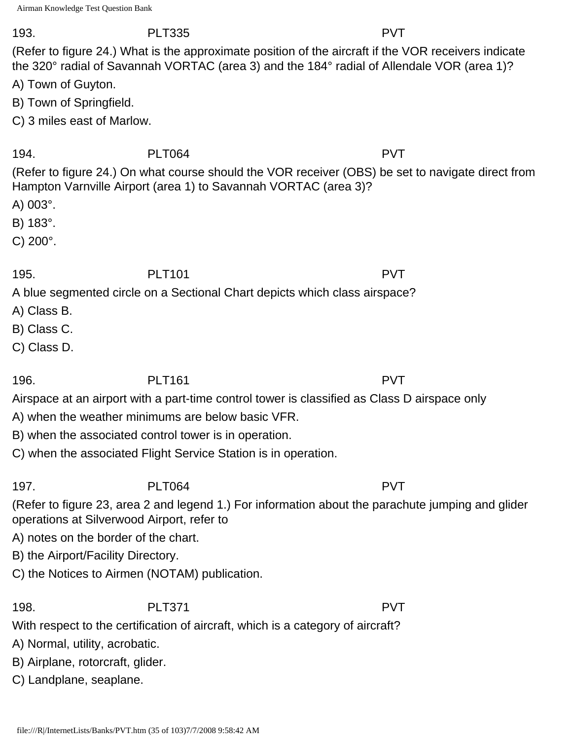### 193. PLT335 PVT

(Refer to figure 24.) What is the approximate position of the aircraft if the VOR receivers indicate the 320° radial of Savannah VORTAC (area 3) and the 184° radial of Allendale VOR (area 1)?

A) Town of Guyton.

B) Town of Springfield.

C) 3 miles east of Marlow.

### 194. PLT064 PVT

(Refer to figure 24.) On what course should the VOR receiver (OBS) be set to navigate direct from Hampton Varnville Airport (area 1) to Savannah VORTAC (area 3)?

A) 003°.

B) 183°.

C) 200°.

### 195. PLT101 PVT

A blue segmented circle on a Sectional Chart depicts which class airspace?

- A) Class B.
- B) Class C.
- C) Class D.

## 196. PLT161 PVT

Airspace at an airport with a part-time control tower is classified as Class D airspace only

A) when the weather minimums are below basic VFR.

B) when the associated control tower is in operation.

C) when the associated Flight Service Station is in operation.

# 197. PLT064 PVT

(Refer to figure 23, area 2 and legend 1.) For information about the parachute jumping and glider operations at Silverwood Airport, refer to

A) notes on the border of the chart.

B) the Airport/Facility Directory.

C) the Notices to Airmen (NOTAM) publication.

198. PLT371 PVT

With respect to the certification of aircraft, which is a category of aircraft?

A) Normal, utility, acrobatic.

B) Airplane, rotorcraft, glider.

C) Landplane, seaplane.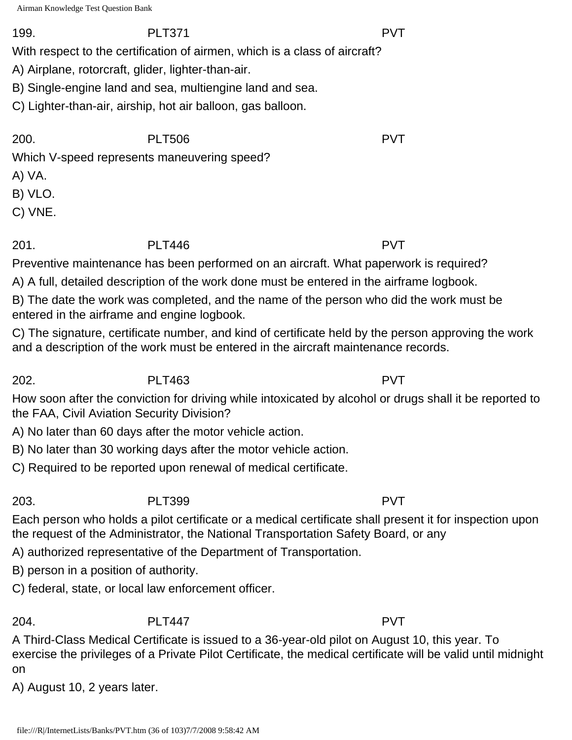### 199. PLT371 PVT

With respect to the certification of airmen, which is a class of aircraft?

A) Airplane, rotorcraft, glider, lighter-than-air.

B) Single-engine land and sea, multiengine land and sea.

C) Lighter-than-air, airship, hot air balloon, gas balloon.

200. PLT506 PVT

Which V-speed represents maneuvering speed?

A) VA.

B) VLO.

C) VNE.

201. PLT446 PVT

Preventive maintenance has been performed on an aircraft. What paperwork is required?

A) A full, detailed description of the work done must be entered in the airframe logbook.

B) The date the work was completed, and the name of the person who did the work must be entered in the airframe and engine logbook.

C) The signature, certificate number, and kind of certificate held by the person approving the work and a description of the work must be entered in the aircraft maintenance records.

202. PLT463 PVT

How soon after the conviction for driving while intoxicated by alcohol or drugs shall it be reported to the FAA, Civil Aviation Security Division?

A) No later than 60 days after the motor vehicle action.

B) No later than 30 working days after the motor vehicle action.

C) Required to be reported upon renewal of medical certificate.

203. PLT399 PVT

Each person who holds a pilot certificate or a medical certificate shall present it for inspection upon the request of the Administrator, the National Transportation Safety Board, or any

A) authorized representative of the Department of Transportation.

B) person in a position of authority.

C) federal, state, or local law enforcement officer.

204. PLT447 PVT

A Third-Class Medical Certificate is issued to a 36-year-old pilot on August 10, this year. To exercise the privileges of a Private Pilot Certificate, the medical certificate will be valid until midnight on

A) August 10, 2 years later.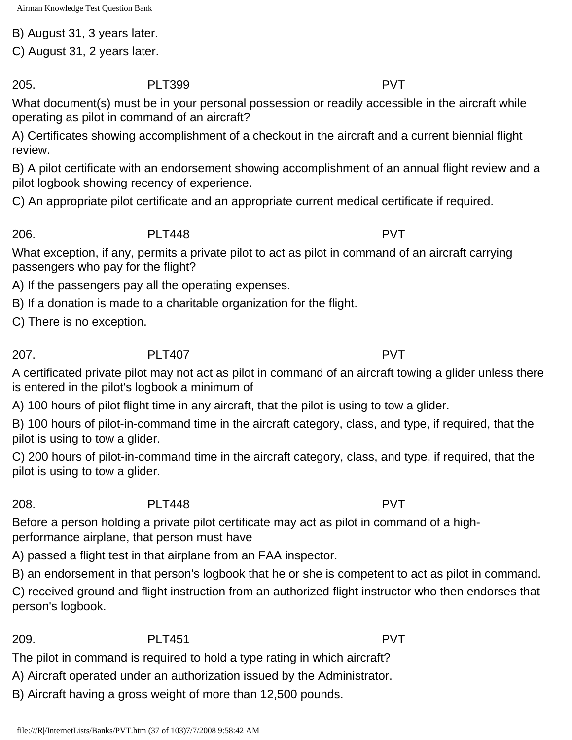B) August 31, 3 years later.

C) August 31, 2 years later.

205. PLT399 PVT

What document(s) must be in your personal possession or readily accessible in the aircraft while operating as pilot in command of an aircraft?

A) Certificates showing accomplishment of a checkout in the aircraft and a current biennial flight review.

B) A pilot certificate with an endorsement showing accomplishment of an annual flight review and a pilot logbook showing recency of experience.

C) An appropriate pilot certificate and an appropriate current medical certificate if required.

206. PLT448 PVT

What exception, if any, permits a private pilot to act as pilot in command of an aircraft carrying passengers who pay for the flight?

A) If the passengers pay all the operating expenses.

B) If a donation is made to a charitable organization for the flight.

C) There is no exception.

207. PLT407 PVT

A certificated private pilot may not act as pilot in command of an aircraft towing a glider unless there is entered in the pilot's logbook a minimum of

A) 100 hours of pilot flight time in any aircraft, that the pilot is using to tow a glider.

B) 100 hours of pilot-in-command time in the aircraft category, class, and type, if required, that the pilot is using to tow a glider.

C) 200 hours of pilot-in-command time in the aircraft category, class, and type, if required, that the pilot is using to tow a glider.

## 208. PLT448 PVT

Before a person holding a private pilot certificate may act as pilot in command of a highperformance airplane, that person must have

A) passed a flight test in that airplane from an FAA inspector.

B) an endorsement in that person's logbook that he or she is competent to act as pilot in command.

C) received ground and flight instruction from an authorized flight instructor who then endorses that person's logbook.

## 209. PLT451 PVT

The pilot in command is required to hold a type rating in which aircraft?

- A) Aircraft operated under an authorization issued by the Administrator.
- B) Aircraft having a gross weight of more than 12,500 pounds.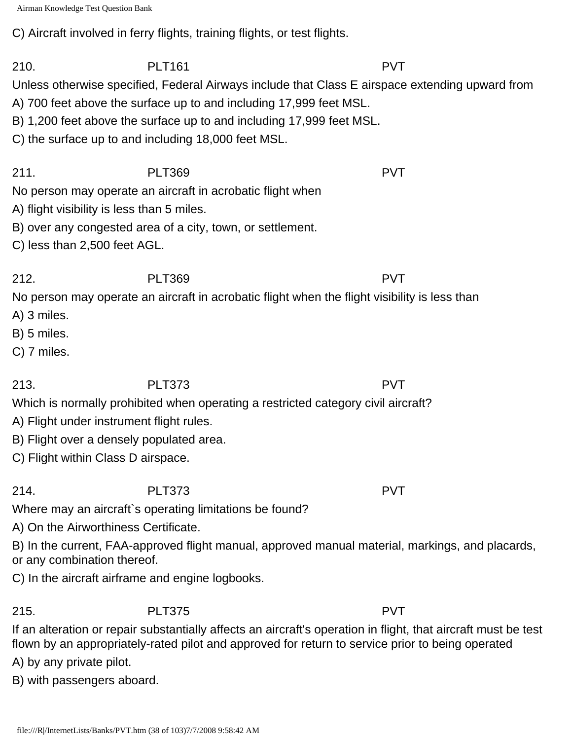```
Airman Knowledge Test Question Bank
```
C) Aircraft involved in ferry flights, training flights, or test flights.

210. PLT161 PVT Unless otherwise specified, Federal Airways include that Class E airspace extending upward from A) 700 feet above the surface up to and including 17,999 feet MSL.

- B) 1,200 feet above the surface up to and including 17,999 feet MSL.
- C) the surface up to and including 18,000 feet MSL.

211. PLT369 PVT

No person may operate an aircraft in acrobatic flight when

- A) flight visibility is less than 5 miles.
- B) over any congested area of a city, town, or settlement.
- C) less than 2,500 feet AGL.

212. PLT369 PVT No person may operate an aircraft in acrobatic flight when the flight visibility is less than

A) 3 miles.

- B) 5 miles.
- C) 7 miles.

213. PLT373 PVT Which is normally prohibited when operating a restricted category civil aircraft?

- A) Flight under instrument flight rules.
- B) Flight over a densely populated area.
- C) Flight within Class D airspace.

214. PLT373 PVT

Where may an aircraft`s operating limitations be found?

A) On the Airworthiness Certificate.

B) In the current, FAA-approved flight manual, approved manual material, markings, and placards, or any combination thereof.

C) In the aircraft airframe and engine logbooks.

# 215. PLT375 PVT

If an alteration or repair substantially affects an aircraft's operation in flight, that aircraft must be test flown by an appropriately-rated pilot and approved for return to service prior to being operated

A) by any private pilot.

B) with passengers aboard.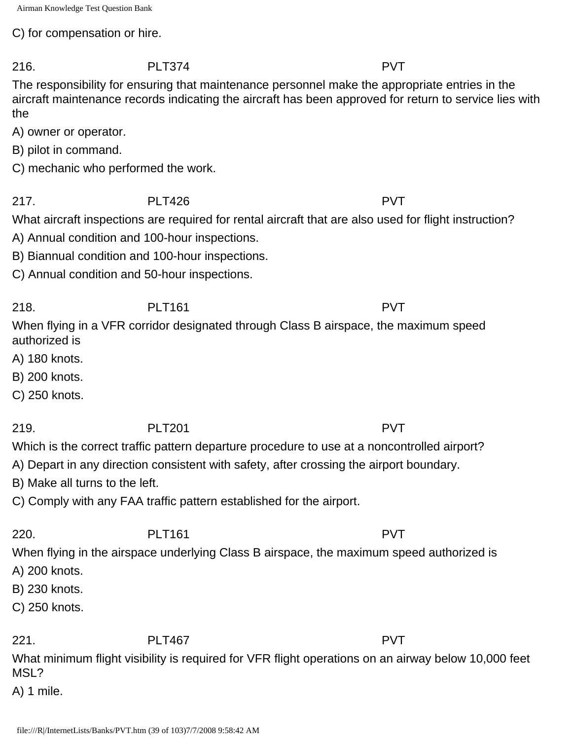C) for compensation or hire.

The responsibility for ensuring that maintenance personnel make the appropriate entries in the aircraft maintenance records indicating the aircraft has been approved for return to service lies with the

A) owner or operator.

- B) pilot in command.
- C) mechanic who performed the work.

217. PLT426 PVT

What aircraft inspections are required for rental aircraft that are also used for flight instruction?

- A) Annual condition and 100-hour inspections.
- B) Biannual condition and 100-hour inspections.
- C) Annual condition and 50-hour inspections.

218. PLT161 PVT When flying in a VFR corridor designated through Class B airspace, the maximum speed authorized is

- A) 180 knots.
- B) 200 knots.
- C) 250 knots.

219. PLT201 PVT Which is the correct traffic pattern departure procedure to use at a noncontrolled airport?

- A) Depart in any direction consistent with safety, after crossing the airport boundary.
- B) Make all turns to the left.
- C) Comply with any FAA traffic pattern established for the airport.

220. PLT161 PVT When flying in the airspace underlying Class B airspace, the maximum speed authorized is

- A) 200 knots.
- B) 230 knots.
- C) 250 knots.

221. PLT467 PVT

What minimum flight visibility is required for VFR flight operations on an airway below 10,000 feet MSL?

A) 1 mile.

216. PLT374 PVT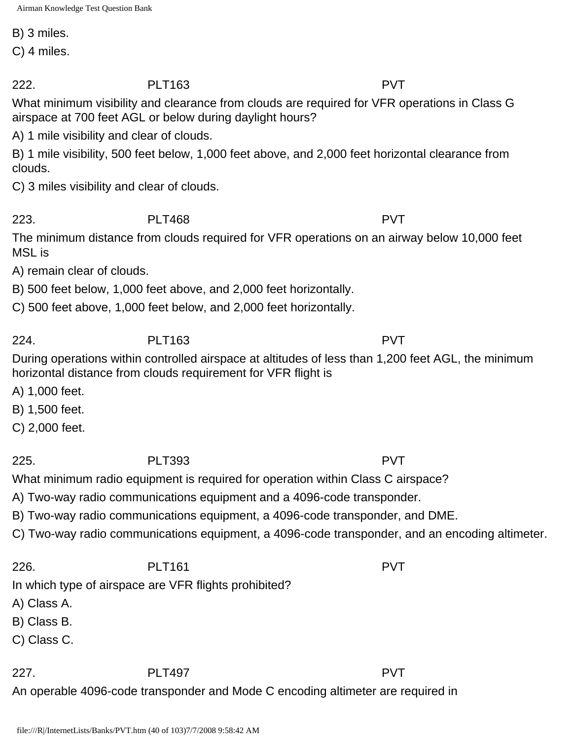B) 3 miles.

C) 4 miles.

222. PLT163 PVT

What minimum visibility and clearance from clouds are required for VFR operations in Class G airspace at 700 feet AGL or below during daylight hours?

A) 1 mile visibility and clear of clouds.

B) 1 mile visibility, 500 feet below, 1,000 feet above, and 2,000 feet horizontal clearance from clouds.

C) 3 miles visibility and clear of clouds.

223. PLT468 PVT

The minimum distance from clouds required for VFR operations on an airway below 10,000 feet MSL is

A) remain clear of clouds.

B) 500 feet below, 1,000 feet above, and 2,000 feet horizontally.

C) 500 feet above, 1,000 feet below, and 2,000 feet horizontally.

224. PLT163 PVT

During operations within controlled airspace at altitudes of less than 1,200 feet AGL, the minimum horizontal distance from clouds requirement for VFR flight is

A) 1,000 feet.

B) 1,500 feet.

C) 2,000 feet.

225. PLT393 PVT

What minimum radio equipment is required for operation within Class C airspace?

A) Two-way radio communications equipment and a 4096-code transponder.

B) Two-way radio communications equipment, a 4096-code transponder, and DME.

C) Two-way radio communications equipment, a 4096-code transponder, and an encoding altimeter.

226. PLT161 PVT

In which type of airspace are VFR flights prohibited?

A) Class A.

B) Class B.

C) Class C.

227. PLT497 PVT

An operable 4096-code transponder and Mode C encoding altimeter are required in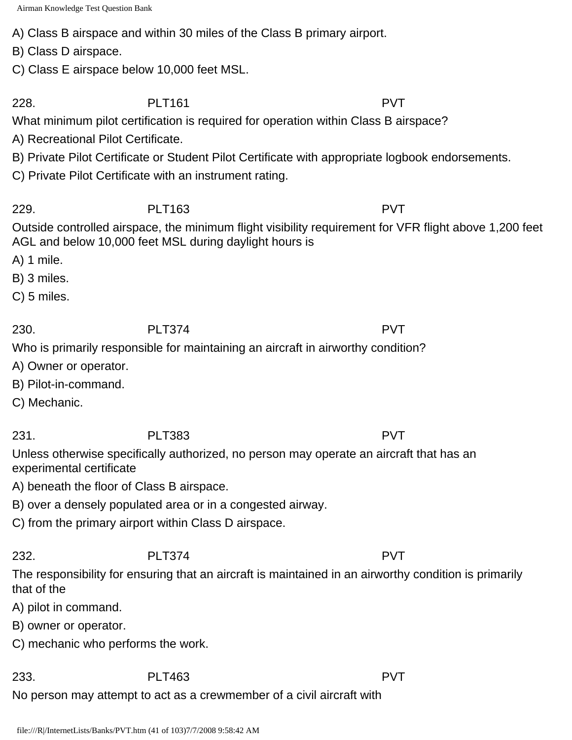A) Class B airspace and within 30 miles of the Class B primary airport.

B) Class D airspace.

C) Class E airspace below 10,000 feet MSL.

228. PLT161 PVT

What minimum pilot certification is required for operation within Class B airspace?

A) Recreational Pilot Certificate.

B) Private Pilot Certificate or Student Pilot Certificate with appropriate logbook endorsements.

C) Private Pilot Certificate with an instrument rating.

229. PLT163 PVT Outside controlled airspace, the minimum flight visibility requirement for VFR flight above 1,200 feet AGL and below 10,000 feet MSL during daylight hours is

A) 1 mile.

B) 3 miles.

C) 5 miles.

230. PLT374 PVT

Who is primarily responsible for maintaining an aircraft in airworthy condition?

- A) Owner or operator.
- B) Pilot-in-command.

C) Mechanic.

231. PLT383 PVT

Unless otherwise specifically authorized, no person may operate an aircraft that has an experimental certificate

A) beneath the floor of Class B airspace.

B) over a densely populated area or in a congested airway.

C) from the primary airport within Class D airspace.

The responsibility for ensuring that an aircraft is maintained in an airworthy condition is primarily that of the

A) pilot in command.

B) owner or operator.

C) mechanic who performs the work.

233. PLT463 PVT No person may attempt to act as a crewmember of a civil aircraft with

file:///R|/InternetLists/Banks/PVT.htm (41 of 103)7/7/2008 9:58:42 AM

232. PLT374 PVT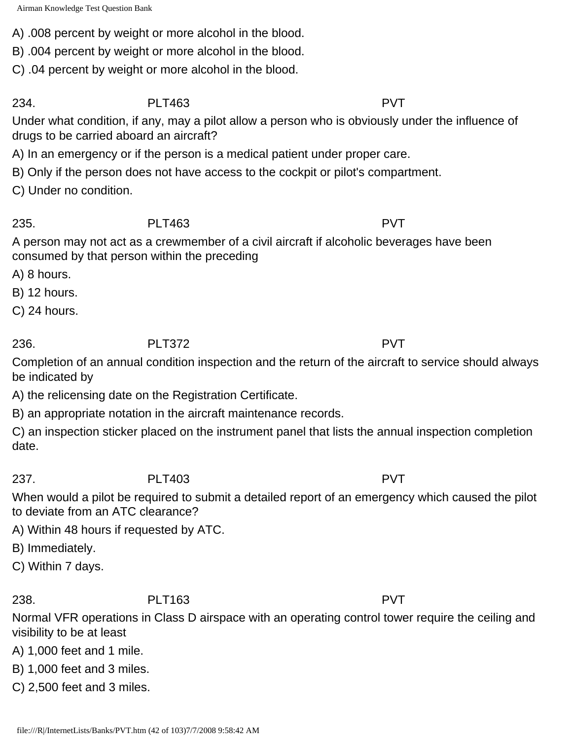A) .008 percent by weight or more alcohol in the blood.

B) .004 percent by weight or more alcohol in the blood.

C) .04 percent by weight or more alcohol in the blood.

234. PLT463 PVT

Under what condition, if any, may a pilot allow a person who is obviously under the influence of drugs to be carried aboard an aircraft?

A) In an emergency or if the person is a medical patient under proper care.

B) Only if the person does not have access to the cockpit or pilot's compartment.

C) Under no condition.

235. PLT463 PVT

A person may not act as a crewmember of a civil aircraft if alcoholic beverages have been consumed by that person within the preceding

A) 8 hours.

B) 12 hours.

C) 24 hours.

236. PLT372 PVT

Completion of an annual condition inspection and the return of the aircraft to service should always be indicated by

A) the relicensing date on the Registration Certificate.

B) an appropriate notation in the aircraft maintenance records.

C) an inspection sticker placed on the instrument panel that lists the annual inspection completion date.

### 237. PLT403 PVT

When would a pilot be required to submit a detailed report of an emergency which caused the pilot to deviate from an ATC clearance?

A) Within 48 hours if requested by ATC.

B) Immediately.

C) Within 7 days.

238. PLT163 PVT

Normal VFR operations in Class D airspace with an operating control tower require the ceiling and visibility to be at least

A) 1,000 feet and 1 mile.

B) 1,000 feet and 3 miles.

C) 2,500 feet and 3 miles.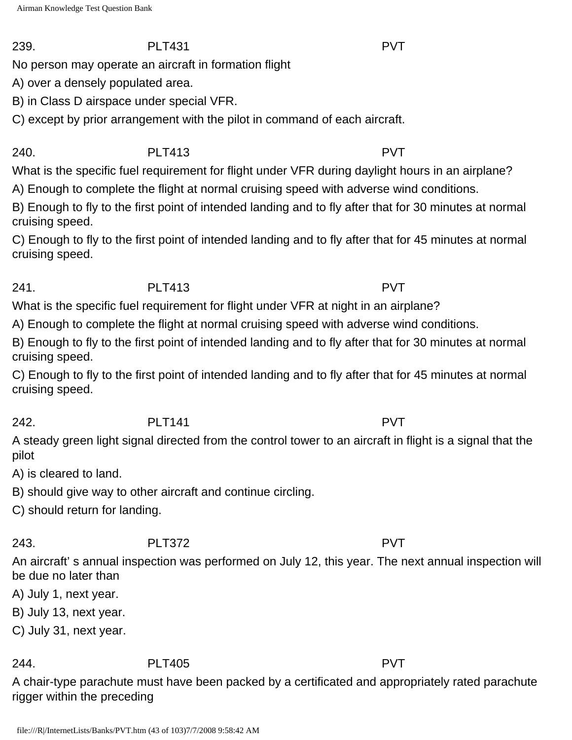No person may operate an aircraft in formation flight

A) over a densely populated area.

B) in Class D airspace under special VFR.

C) except by prior arrangement with the pilot in command of each aircraft.

240. PLT413 PVT

What is the specific fuel requirement for flight under VFR during daylight hours in an airplane?

A) Enough to complete the flight at normal cruising speed with adverse wind conditions.

B) Enough to fly to the first point of intended landing and to fly after that for 30 minutes at normal cruising speed.

C) Enough to fly to the first point of intended landing and to fly after that for 45 minutes at normal cruising speed.

241. PLT413 PVT

What is the specific fuel requirement for flight under VFR at night in an airplane?

A) Enough to complete the flight at normal cruising speed with adverse wind conditions.

B) Enough to fly to the first point of intended landing and to fly after that for 30 minutes at normal cruising speed.

C) Enough to fly to the first point of intended landing and to fly after that for 45 minutes at normal cruising speed.

242. PLT141 PVT A steady green light signal directed from the control tower to an aircraft in flight is a signal that the pilot

A) is cleared to land.

B) should give way to other aircraft and continue circling.

C) should return for landing.

243. PLT372 PVT

An aircraft' s annual inspection was performed on July 12, this year. The next annual inspection will be due no later than

A) July 1, next year.

B) July 13, next year.

C) July 31, next year.

244. PLT405 PVT

A chair-type parachute must have been packed by a certificated and appropriately rated parachute rigger within the preceding

239. PLT431 PVT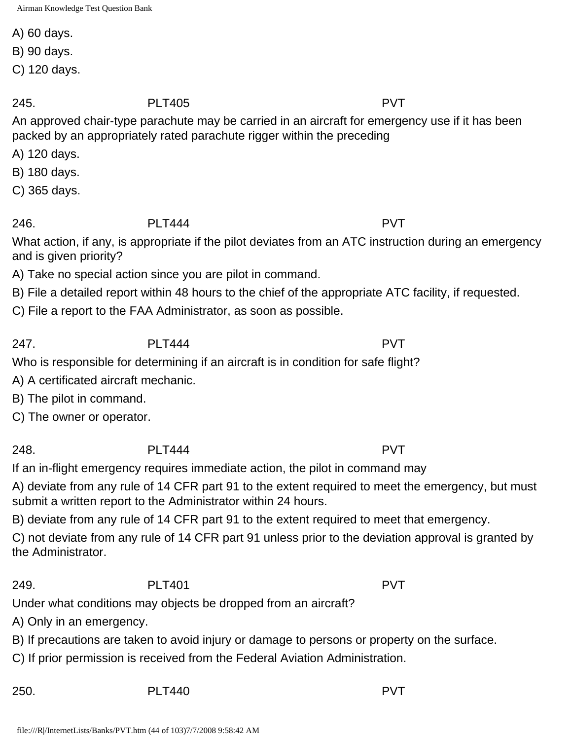A) 60 days.

B) 90 days.

C) 120 days.

## 245. PLT405 PVT

An approved chair-type parachute may be carried in an aircraft for emergency use if it has been packed by an appropriately rated parachute rigger within the preceding

A) 120 days.

B) 180 days.

C) 365 days.

## 246. PLT444 PVT

What action, if any, is appropriate if the pilot deviates from an ATC instruction during an emergency and is given priority?

A) Take no special action since you are pilot in command.

B) File a detailed report within 48 hours to the chief of the appropriate ATC facility, if requested.

C) File a report to the FAA Administrator, as soon as possible.

247. PLT444 PVT

Who is responsible for determining if an aircraft is in condition for safe flight?

A) A certificated aircraft mechanic.

B) The pilot in command.

C) The owner or operator.

248. PLT444 PVT

If an in-flight emergency requires immediate action, the pilot in command may

A) deviate from any rule of 14 CFR part 91 to the extent required to meet the emergency, but must submit a written report to the Administrator within 24 hours.

B) deviate from any rule of 14 CFR part 91 to the extent required to meet that emergency.

C) not deviate from any rule of 14 CFR part 91 unless prior to the deviation approval is granted by the Administrator.

## 249. PLT401 PLT401

Under what conditions may objects be dropped from an aircraft?

A) Only in an emergency.

B) If precautions are taken to avoid injury or damage to persons or property on the surface.

C) If prior permission is received from the Federal Aviation Administration.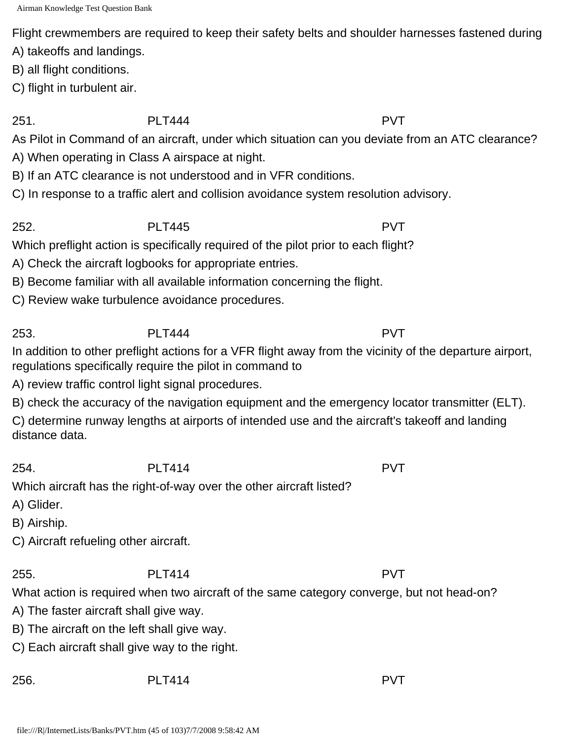Flight crewmembers are required to keep their safety belts and shoulder harnesses fastened during

A) takeoffs and landings.

B) all flight conditions.

C) flight in turbulent air.

251. PLT444 PVT

As Pilot in Command of an aircraft, under which situation can you deviate from an ATC clearance?

A) When operating in Class A airspace at night.

B) If an ATC clearance is not understood and in VFR conditions.

C) In response to a traffic alert and collision avoidance system resolution advisory.

252. PLT445 PVT Which preflight action is specifically required of the pilot prior to each flight?

A) Check the aircraft logbooks for appropriate entries.

B) Become familiar with all available information concerning the flight.

C) Review wake turbulence avoidance procedures.

253. PLT444 PVT

In addition to other preflight actions for a VFR flight away from the vicinity of the departure airport, regulations specifically require the pilot in command to

A) review traffic control light signal procedures.

B) check the accuracy of the navigation equipment and the emergency locator transmitter (ELT).

C) determine runway lengths at airports of intended use and the aircraft's takeoff and landing distance data.

254. PLT414 PVT

Which aircraft has the right-of-way over the other aircraft listed?

A) Glider.

B) Airship.

C) Aircraft refueling other aircraft.

255. PLT414 PVT

What action is required when two aircraft of the same category converge, but not head-on?

A) The faster aircraft shall give way.

B) The aircraft on the left shall give way.

C) Each aircraft shall give way to the right.

256. PLT414 PVT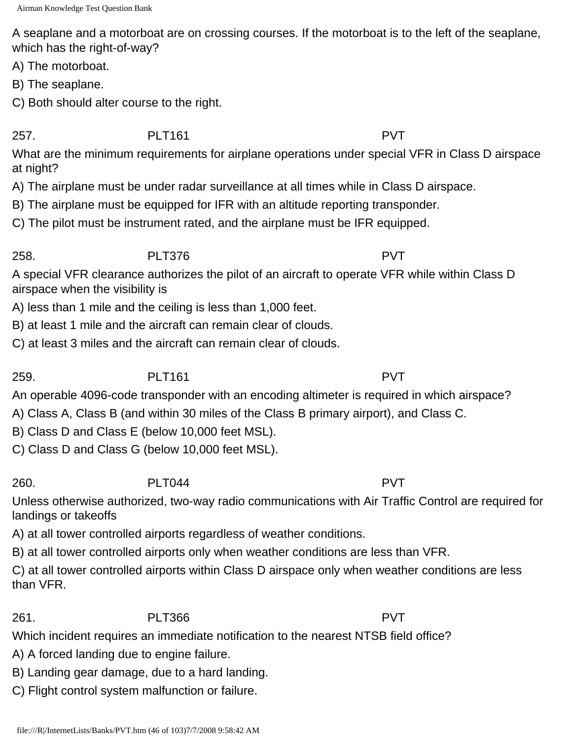A seaplane and a motorboat are on crossing courses. If the motorboat is to the left of the seaplane, which has the right-of-way?

A) The motorboat.

B) The seaplane.

C) Both should alter course to the right.

257. PLT161 PVT What are the minimum requirements for airplane operations under special VFR in Class D airspace at night?

A) The airplane must be under radar surveillance at all times while in Class D airspace.

B) The airplane must be equipped for IFR with an altitude reporting transponder.

C) The pilot must be instrument rated, and the airplane must be IFR equipped.

### 258. PLT376 PVT

A special VFR clearance authorizes the pilot of an aircraft to operate VFR while within Class D airspace when the visibility is

A) less than 1 mile and the ceiling is less than 1,000 feet.

B) at least 1 mile and the aircraft can remain clear of clouds.

C) at least 3 miles and the aircraft can remain clear of clouds.

259. PLT161 PVT

An operable 4096-code transponder with an encoding altimeter is required in which airspace?

A) Class A, Class B (and within 30 miles of the Class B primary airport), and Class C.

B) Class D and Class E (below 10,000 feet MSL).

C) Class D and Class G (below 10,000 feet MSL).

260. PLT044 PVT

Unless otherwise authorized, two-way radio communications with Air Traffic Control are required for landings or takeoffs

A) at all tower controlled airports regardless of weather conditions.

B) at all tower controlled airports only when weather conditions are less than VFR.

C) at all tower controlled airports within Class D airspace only when weather conditions are less than VFR.

## 261. PLT366 PVT

Which incident requires an immediate notification to the nearest NTSB field office?

A) A forced landing due to engine failure.

B) Landing gear damage, due to a hard landing.

C) Flight control system malfunction or failure.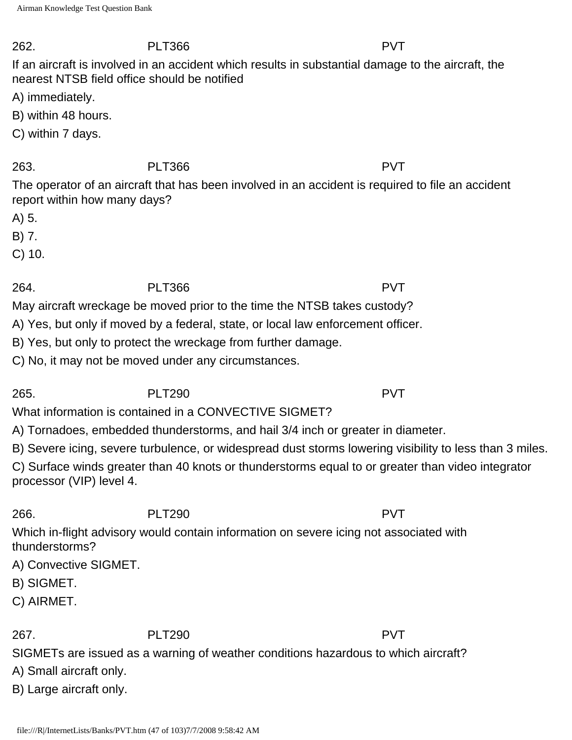#### 262. PLT366 PVT

If an aircraft is involved in an accident which results in substantial damage to the aircraft, the nearest NTSB field office should be notified

A) immediately.

B) within 48 hours.

C) within 7 days.

## 263. PLT366 PVT

The operator of an aircraft that has been involved in an accident is required to file an accident report within how many days?

A) 5.

B) 7.

C) 10.

264. PLT366 PVT

May aircraft wreckage be moved prior to the time the NTSB takes custody?

A) Yes, but only if moved by a federal, state, or local law enforcement officer.

B) Yes, but only to protect the wreckage from further damage.

C) No, it may not be moved under any circumstances.

# 265. PLT290 PVT

What information is contained in a CONVECTIVE SIGMET?

A) Tornadoes, embedded thunderstorms, and hail 3/4 inch or greater in diameter.

B) Severe icing, severe turbulence, or widespread dust storms lowering visibility to less than 3 miles.

C) Surface winds greater than 40 knots or thunderstorms equal to or greater than video integrator processor (VIP) level 4.

# 266. PLT290 PVT

Which in-flight advisory would contain information on severe icing not associated with thunderstorms?

A) Convective SIGMET.

B) SIGMET.

C) AIRMET.

## 267. PLT290 PVT

SIGMETs are issued as a warning of weather conditions hazardous to which aircraft?

A) Small aircraft only.

B) Large aircraft only.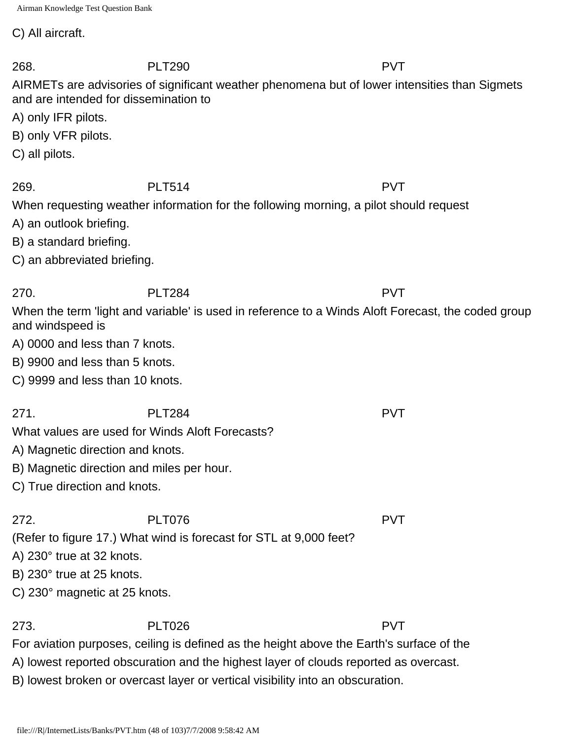C) All aircraft.

268. PLT290 PVT AIRMETs are advisories of significant weather phenomena but of lower intensities than Sigmets and are intended for dissemination to A) only IFR pilots. B) only VFR pilots. C) all pilots. 269. PLT514 PVT When requesting weather information for the following morning, a pilot should request A) an outlook briefing. B) a standard briefing. C) an abbreviated briefing. 270. PLT284 PVT When the term 'light and variable' is used in reference to a Winds Aloft Forecast, the coded group and windspeed is A) 0000 and less than 7 knots. B) 9900 and less than 5 knots. C) 9999 and less than 10 knots. 271. PLT284 PVT What values are used for Winds Aloft Forecasts? A) Magnetic direction and knots. B) Magnetic direction and miles per hour. C) True direction and knots. 272. PLT076 PVT (Refer to figure 17.) What wind is forecast for STL at 9,000 feet? A) 230° true at 32 knots. B) 230° true at 25 knots. C) 230° magnetic at 25 knots. 273. PLT026 PVT

For aviation purposes, ceiling is defined as the height above the Earth's surface of the

A) lowest reported obscuration and the highest layer of clouds reported as overcast.

B) lowest broken or overcast layer or vertical visibility into an obscuration.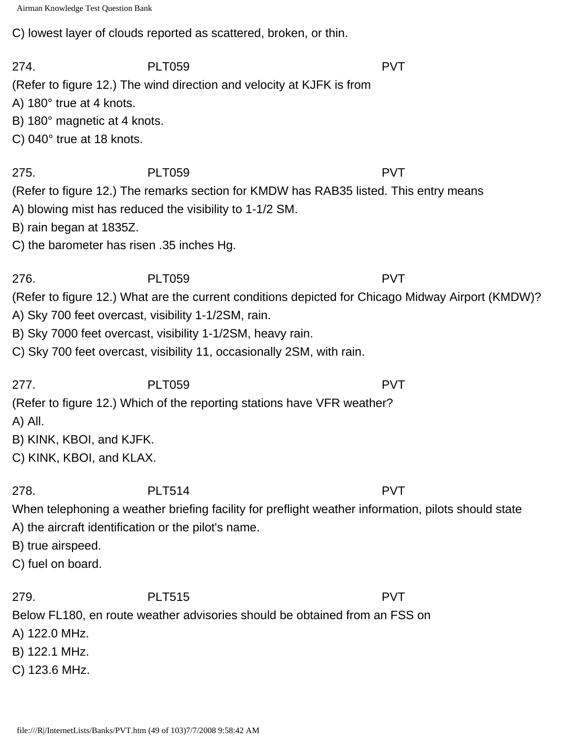C) lowest layer of clouds reported as scattered, broken, or thin.

274. PLT059 PVT (Refer to figure 12.) The wind direction and velocity at KJFK is from A) 180° true at 4 knots. B) 180° magnetic at 4 knots. C) 040° true at 18 knots. 275. PLT059 PVT (Refer to figure 12.) The remarks section for KMDW has RAB35 listed. This entry means A) blowing mist has reduced the visibility to 1-1/2 SM. B) rain began at 1835Z. C) the barometer has risen .35 inches Hg. 276. PLT059 PVT (Refer to figure 12.) What are the current conditions depicted for Chicago Midway Airport (KMDW)? A) Sky 700 feet overcast, visibility 1-1/2SM, rain. B) Sky 7000 feet overcast, visibility 1-1/2SM, heavy rain. C) Sky 700 feet overcast, visibility 11, occasionally 2SM, with rain. 277. PLT059 PVT (Refer to figure 12.) Which of the reporting stations have VFR weather? A) All. B) KINK, KBOI, and KJFK. C) KINK, KBOI, and KLAX. 278. PLT514 PVT When telephoning a weather briefing facility for preflight weather information, pilots should state A) the aircraft identification or the pilot's name. B) true airspeed. C) fuel on board. 279. PLT515 PVT Below FL180, en route weather advisories should be obtained from an FSS on A) 122.0 MHz.

B) 122.1 MHz.

C) 123.6 MHz.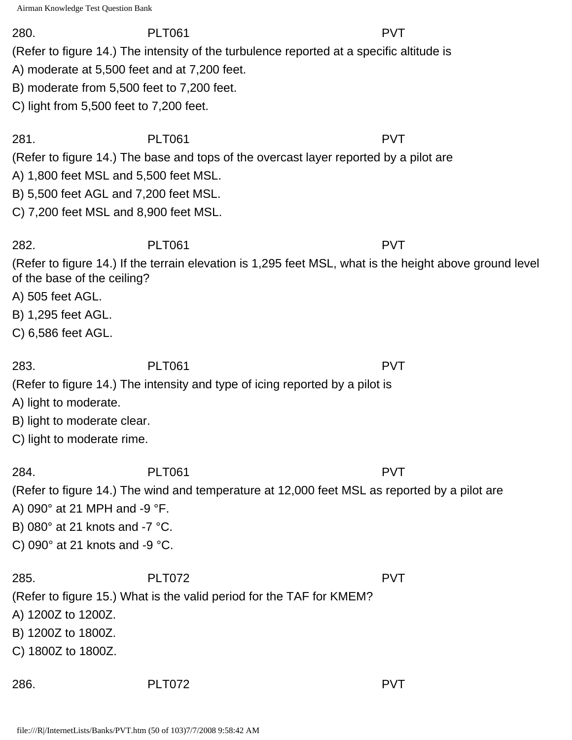#### 280. PLT061 PVT

(Refer to figure 14.) The intensity of the turbulence reported at a specific altitude is

A) moderate at 5,500 feet and at 7,200 feet.

B) moderate from 5,500 feet to 7,200 feet.

C) light from 5,500 feet to 7,200 feet.

281. PLT061 PVT (Refer to figure 14.) The base and tops of the overcast layer reported by a pilot are

A) 1,800 feet MSL and 5,500 feet MSL.

B) 5,500 feet AGL and 7,200 feet MSL.

C) 7,200 feet MSL and 8,900 feet MSL.

282. PLT061 PVT (Refer to figure 14.) If the terrain elevation is 1,295 feet MSL, what is the height above ground level of the base of the ceiling?

A) 505 feet AGL.

- B) 1,295 feet AGL.
- C) 6,586 feet AGL.

283. PLT061 PVT

(Refer to figure 14.) The intensity and type of icing reported by a pilot is

A) light to moderate.

B) light to moderate clear.

C) light to moderate rime.

284. PLT061 PVT

(Refer to figure 14.) The wind and temperature at 12,000 feet MSL as reported by a pilot are A) 090° at 21 MPH and -9 °F.

B) 080° at 21 knots and -7 °C.

C) 090° at 21 knots and -9 °C.

285. PLT072 PVT (Refer to figure 15.) What is the valid period for the TAF for KMEM? A) 1200Z to 1200Z. B) 1200Z to 1800Z. C) 1800Z to 1800Z.

286. PLT072 PVT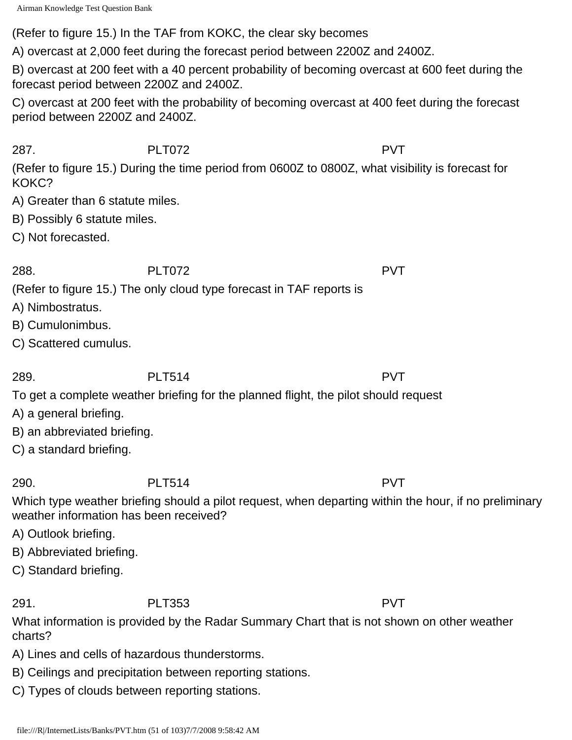(Refer to figure 15.) In the TAF from KOKC, the clear sky becomes

A) overcast at 2,000 feet during the forecast period between 2200Z and 2400Z.

B) overcast at 200 feet with a 40 percent probability of becoming overcast at 600 feet during the forecast period between 2200Z and 2400Z.

C) overcast at 200 feet with the probability of becoming overcast at 400 feet during the forecast period between 2200Z and 2400Z.

287. PLT072 PVT

(Refer to figure 15.) During the time period from 0600Z to 0800Z, what visibility is forecast for KOKC?

- A) Greater than 6 statute miles.
- B) Possibly 6 statute miles.
- C) Not forecasted.

288. PLT072 PVT

(Refer to figure 15.) The only cloud type forecast in TAF reports is

- A) Nimbostratus.
- B) Cumulonimbus.
- C) Scattered cumulus.

289. PLT514 PVT

To get a complete weather briefing for the planned flight, the pilot should request

- A) a general briefing.
- B) an abbreviated briefing.
- C) a standard briefing.

290. PLT514 PVT

Which type weather briefing should a pilot request, when departing within the hour, if no preliminary weather information has been received?

- A) Outlook briefing.
- B) Abbreviated briefing.
- C) Standard briefing.

291. PLT353 PVT

What information is provided by the Radar Summary Chart that is not shown on other weather charts?

- A) Lines and cells of hazardous thunderstorms.
- B) Ceilings and precipitation between reporting stations.
- C) Types of clouds between reporting stations.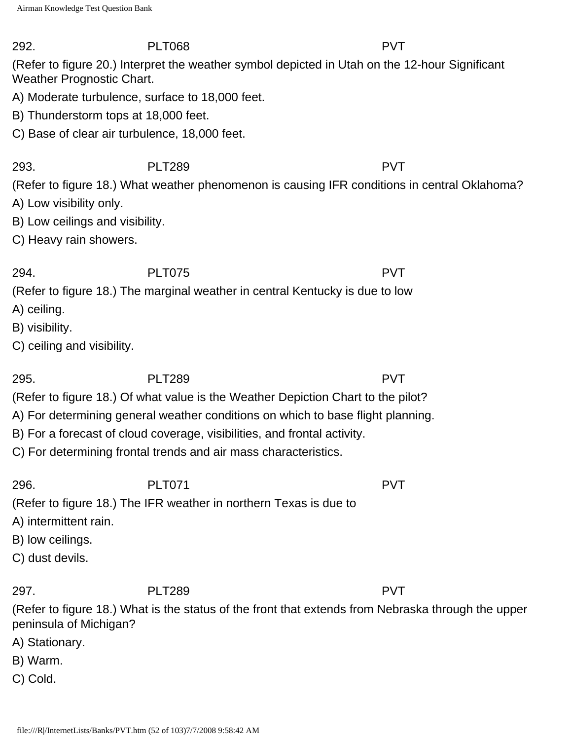292. PLT068 PVT (Refer to figure 20.) Interpret the weather symbol depicted in Utah on the 12-hour Significant Weather Prognostic Chart.

A) Moderate turbulence, surface to 18,000 feet.

- B) Thunderstorm tops at 18,000 feet.
- C) Base of clear air turbulence, 18,000 feet.

## 293. PLT289 PVT

(Refer to figure 18.) What weather phenomenon is causing IFR conditions in central Oklahoma?

- A) Low visibility only.
- B) Low ceilings and visibility.
- C) Heavy rain showers.

### 294. PLT075 PVT

(Refer to figure 18.) The marginal weather in central Kentucky is due to low

- A) ceiling.
- B) visibility.
- C) ceiling and visibility.

# 295. PLT289 PVT

(Refer to figure 18.) Of what value is the Weather Depiction Chart to the pilot?

A) For determining general weather conditions on which to base flight planning.

- B) For a forecast of cloud coverage, visibilities, and frontal activity.
- C) For determining frontal trends and air mass characteristics.

296. PLT071 PVT

(Refer to figure 18.) The IFR weather in northern Texas is due to

- A) intermittent rain.
- B) low ceilings.
- C) dust devils.

297. PLT289 PVT

(Refer to figure 18.) What is the status of the front that extends from Nebraska through the upper peninsula of Michigan?

- A) Stationary.
- B) Warm.
- C) Cold.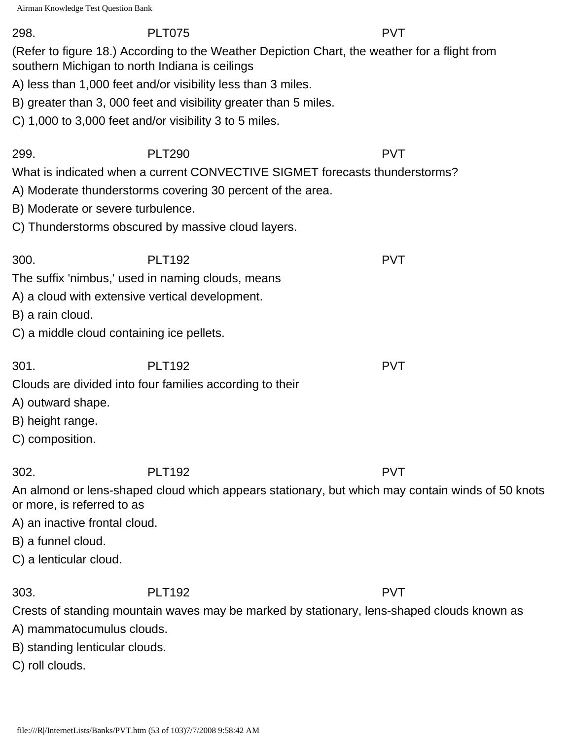#### 298. PLT075 PVT

(Refer to figure 18.) According to the Weather Depiction Chart, the weather for a flight from southern Michigan to north Indiana is ceilings

A) less than 1,000 feet and/or visibility less than 3 miles.

B) greater than 3, 000 feet and visibility greater than 5 miles.

C) 1,000 to 3,000 feet and/or visibility 3 to 5 miles.

### 299. PLT290 PVT

What is indicated when a current CONVECTIVE SIGMET forecasts thunderstorms?

- A) Moderate thunderstorms covering 30 percent of the area.
- B) Moderate or severe turbulence.
- C) Thunderstorms obscured by massive cloud layers.

300. PLT192 PVT The suffix 'nimbus,' used in naming clouds, means

- A) a cloud with extensive vertical development.
- B) a rain cloud.
- C) a middle cloud containing ice pellets.

301. PLT192 PVT

Clouds are divided into four families according to their

- A) outward shape.
- B) height range.
- C) composition.

302. PLT192 PVT

An almond or lens-shaped cloud which appears stationary, but which may contain winds of 50 knots or more, is referred to as

A) an inactive frontal cloud.

B) a funnel cloud.

C) a lenticular cloud.

303. PLT192 PVT

Crests of standing mountain waves may be marked by stationary, lens-shaped clouds known as

- A) mammatocumulus clouds.
- B) standing lenticular clouds.
- C) roll clouds.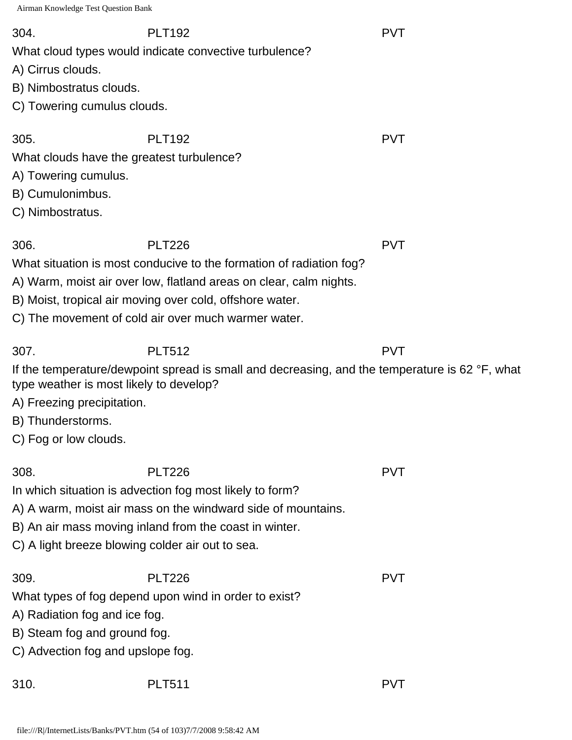304. PLT192 PVT

What cloud types would indicate convective turbulence?

A) Cirrus clouds.

- B) Nimbostratus clouds.
- C) Towering cumulus clouds.

305. PLT192 PVT

What clouds have the greatest turbulence?

- A) Towering cumulus.
- B) Cumulonimbus.
- C) Nimbostratus.

306. PLT226 PVT

What situation is most conducive to the formation of radiation fog?

- A) Warm, moist air over low, flatland areas on clear, calm nights.
- B) Moist, tropical air moving over cold, offshore water.
- C) The movement of cold air over much warmer water.

307. PLT512 PVT

If the temperature/dewpoint spread is small and decreasing, and the temperature is 62 °F, what type weather is most likely to develop?

A) Freezing precipitation.

B) Thunderstorms.

C) Fog or low clouds.

308. PLT226 PVT

In which situation is advection fog most likely to form?

A) A warm, moist air mass on the windward side of mountains.

- B) An air mass moving inland from the coast in winter.
- C) A light breeze blowing colder air out to sea.

| 309.                                                  | <b>PLT226</b> | <b>PVT</b> |
|-------------------------------------------------------|---------------|------------|
| What types of fog depend upon wind in order to exist? |               |            |
| A) Radiation fog and ice fog.                         |               |            |
| B) Steam fog and ground fog.                          |               |            |
| C) Advection fog and upslope fog.                     |               |            |
|                                                       |               |            |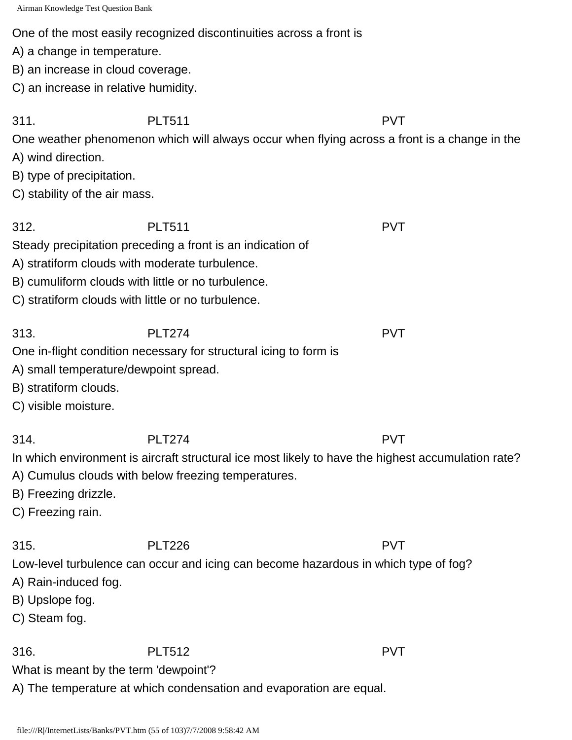#### One of the most easily recognized discontinuities across a front is

A) a change in temperature.

B) an increase in cloud coverage.

C) an increase in relative humidity.

311. PLT511 PVT

One weather phenomenon which will always occur when flying across a front is a change in the

A) wind direction.

B) type of precipitation.

C) stability of the air mass.

312. PLT511 PVT Steady precipitation preceding a front is an indication of

A) stratiform clouds with moderate turbulence.

B) cumuliform clouds with little or no turbulence.

C) stratiform clouds with little or no turbulence.

313. PLT274 PVT

One in-flight condition necessary for structural icing to form is

- A) small temperature/dewpoint spread.
- B) stratiform clouds.
- C) visible moisture.

314. PLT274 PVT

In which environment is aircraft structural ice most likely to have the highest accumulation rate?

- A) Cumulus clouds with below freezing temperatures.
- B) Freezing drizzle.
- C) Freezing rain.

## 315. PLT226 PVT

Low-level turbulence can occur and icing can become hazardous in which type of fog?

- A) Rain-induced fog.
- B) Upslope fog.
- C) Steam fog.

316. PLT512 PVT

What is meant by the term 'dewpoint'?

A) The temperature at which condensation and evaporation are equal.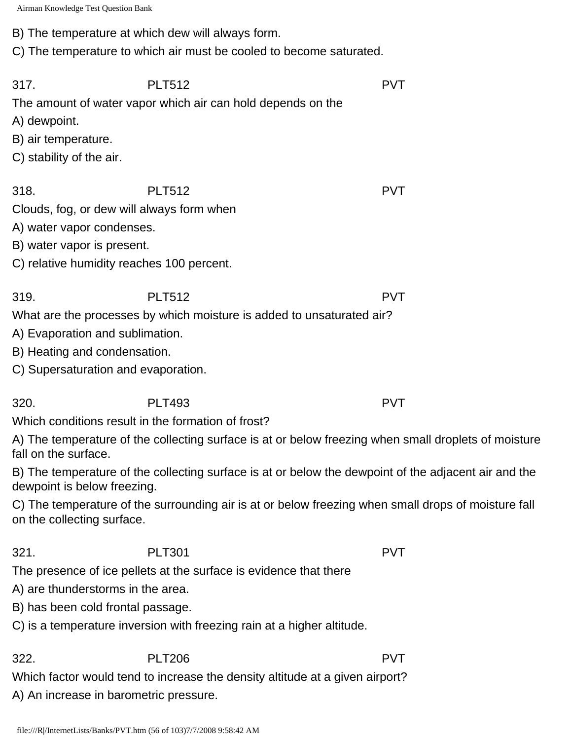B) The temperature at which dew will always form.

C) The temperature to which air must be cooled to become saturated.

| 317.<br>A) dewpoint.<br>B) air temperature.<br>C) stability of the air.                                                                                   | <b>PLT512</b><br>The amount of water vapor which air can hold depends on the                         | <b>PVT</b> |
|-----------------------------------------------------------------------------------------------------------------------------------------------------------|------------------------------------------------------------------------------------------------------|------------|
| 318.<br>Clouds, fog, or dew will always form when<br>A) water vapor condenses.<br>B) water vapor is present.<br>C) relative humidity reaches 100 percent. | <b>PLT512</b>                                                                                        | <b>PVT</b> |
| 319.<br>A) Evaporation and sublimation.<br>B) Heating and condensation.<br>C) Supersaturation and evaporation.                                            | <b>PLT512</b><br>What are the processes by which moisture is added to unsaturated air?               | <b>PVT</b> |
| 320.                                                                                                                                                      | <b>PLT493</b>                                                                                        | <b>PVT</b> |
|                                                                                                                                                           | Which conditions result in the formation of frost?                                                   |            |
| fall on the surface.                                                                                                                                      | A) The temperature of the collecting surface is at or below freezing when small droplets of moisture |            |
| dewpoint is below freezing.                                                                                                                               | B) The temperature of the collecting surface is at or below the dewpoint of the adjacent air and the |            |
| on the collecting surface.                                                                                                                                | C) The temperature of the surrounding air is at or below freezing when small drops of moisture fall  |            |
|                                                                                                                                                           |                                                                                                      |            |
| 321.                                                                                                                                                      | <b>PLT301</b>                                                                                        | <b>PVT</b> |
|                                                                                                                                                           | The presence of ice pellets at the surface is evidence that there                                    |            |
| A) are thunderstorms in the area.                                                                                                                         |                                                                                                      |            |
| B) has been cold frontal passage.                                                                                                                         |                                                                                                      |            |
|                                                                                                                                                           | C) is a temperature inversion with freezing rain at a higher altitude.                               |            |
| 322.                                                                                                                                                      | <b>PLT206</b>                                                                                        | <b>PVT</b> |
|                                                                                                                                                           | Which factor would tend to increase the density altitude at a given airport?                         |            |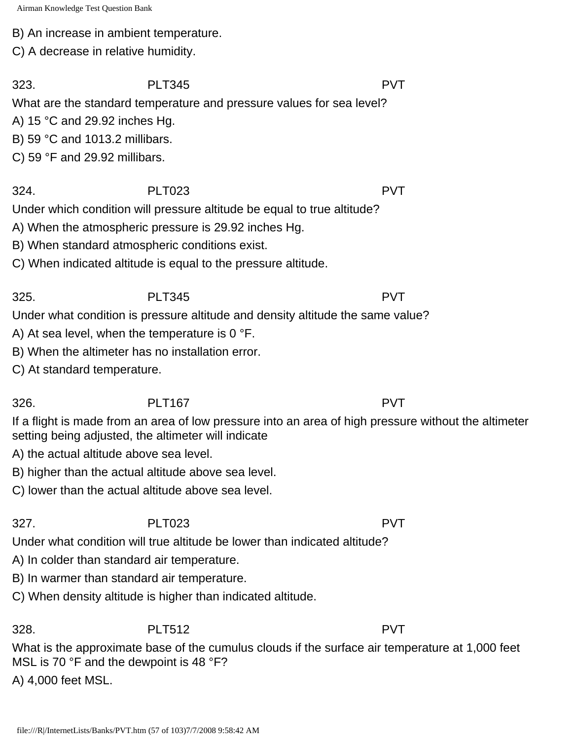B) An increase in ambient temperature.

C) A decrease in relative humidity.

323. PLT345 PVT

What are the standard temperature and pressure values for sea level?

A) 15 °C and 29.92 inches Hg.

B) 59 °C and 1013.2 millibars.

C) 59 °F and 29.92 millibars.

# 324. PLT023 PVT

Under which condition will pressure altitude be equal to true altitude?

A) When the atmospheric pressure is 29.92 inches Hg.

B) When standard atmospheric conditions exist.

C) When indicated altitude is equal to the pressure altitude.

325. PLT345 PVT Under what condition is pressure altitude and density altitude the same value?

A) At sea level, when the temperature is 0 °F.

B) When the altimeter has no installation error.

C) At standard temperature.

# 326. PLT167 PVT

If a flight is made from an area of low pressure into an area of high pressure without the altimeter setting being adjusted, the altimeter will indicate

A) the actual altitude above sea level.

B) higher than the actual altitude above sea level.

C) lower than the actual altitude above sea level.

Under what condition will true altitude be lower than indicated altitude?

A) In colder than standard air temperature.

B) In warmer than standard air temperature.

C) When density altitude is higher than indicated altitude.

328. PLT512 PVT

What is the approximate base of the cumulus clouds if the surface air temperature at 1,000 feet MSL is 70 °F and the dewpoint is 48 °F?

A) 4,000 feet MSL.

327. PLT023 PVT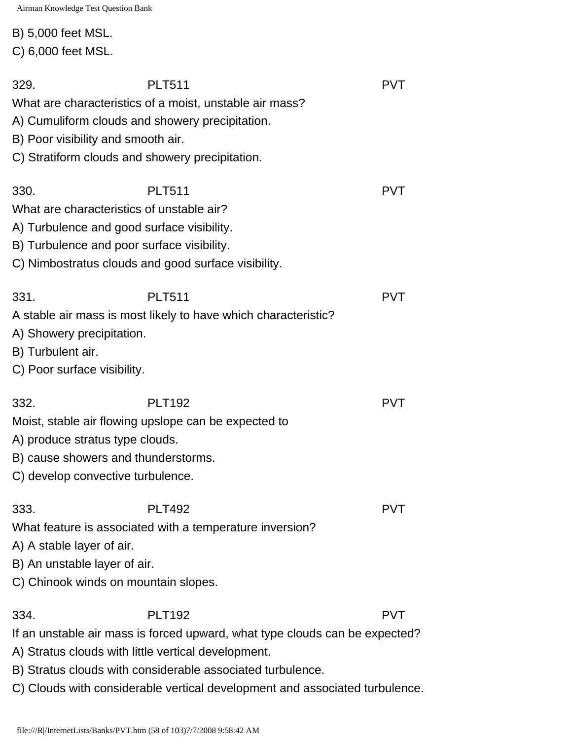### B) 5,000 feet MSL.

C) 6,000 feet MSL.

| 329.<br>B) Poor visibility and smooth air.                                                                          | <b>PLT511</b><br>What are characteristics of a moist, unstable air mass?<br>A) Cumuliform clouds and showery precipitation.<br>C) Stratiform clouds and showery precipitation.                                    | <b>PVT</b> |
|---------------------------------------------------------------------------------------------------------------------|-------------------------------------------------------------------------------------------------------------------------------------------------------------------------------------------------------------------|------------|
| 330.                                                                                                                | <b>PLT511</b><br>What are characteristics of unstable air?<br>A) Turbulence and good surface visibility.<br>B) Turbulence and poor surface visibility.<br>C) Nimbostratus clouds and good surface visibility.     | <b>PVT</b> |
| 331.<br>A) Showery precipitation.<br>B) Turbulent air.<br>C) Poor surface visibility.                               | <b>PLT511</b><br>A stable air mass is most likely to have which characteristic?                                                                                                                                   | <b>PVT</b> |
| 332.<br>A) produce stratus type clouds.<br>B) cause showers and thunderstorms.<br>C) develop convective turbulence. | <b>PLT192</b><br>Moist, stable air flowing upslope can be expected to                                                                                                                                             | <b>PVT</b> |
| 333.<br>A) A stable layer of air.<br>B) An unstable layer of air.                                                   | <b>PLT492</b><br>What feature is associated with a temperature inversion?<br>C) Chinook winds on mountain slopes.                                                                                                 | PVI        |
| 334.                                                                                                                | <b>PLT192</b><br>If an unstable air mass is forced upward, what type clouds can be expected?<br>A) Stratus clouds with little vertical development.<br>B) Stratus clouds with considerable associated turbulence. | <b>PVT</b> |

C) Clouds with considerable vertical development and associated turbulence.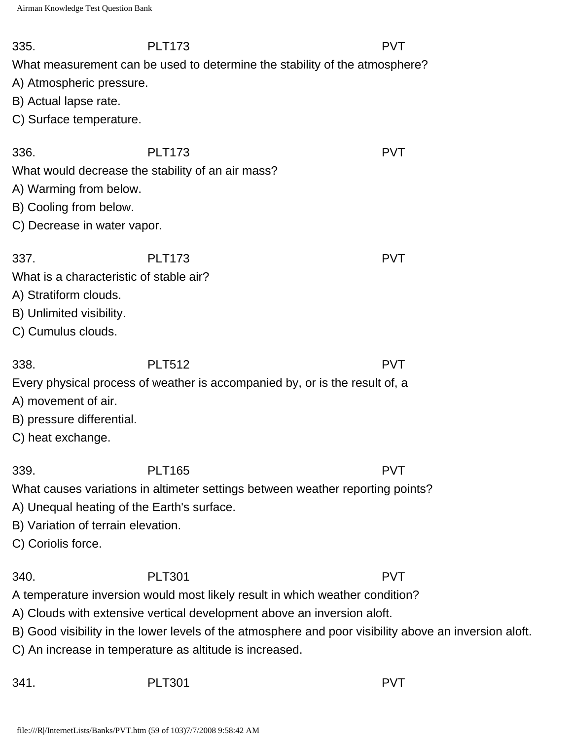| 335.<br>A) Atmospheric pressure.<br>B) Actual lapse rate.<br>C) Surface temperature.                                       | <b>PLT173</b><br>What measurement can be used to determine the stability of the atmosphere?                                                                                                                                                                                                                                                   | <b>PVT</b> |
|----------------------------------------------------------------------------------------------------------------------------|-----------------------------------------------------------------------------------------------------------------------------------------------------------------------------------------------------------------------------------------------------------------------------------------------------------------------------------------------|------------|
| 336.<br>A) Warming from below.<br>B) Cooling from below.<br>C) Decrease in water vapor.                                    | <b>PLT173</b><br>What would decrease the stability of an air mass?                                                                                                                                                                                                                                                                            | <b>PVT</b> |
| 337.<br>What is a characteristic of stable air?<br>A) Stratiform clouds.<br>B) Unlimited visibility.<br>C) Cumulus clouds. | <b>PLT173</b>                                                                                                                                                                                                                                                                                                                                 | <b>PVT</b> |
| 338.<br>A) movement of air.<br>B) pressure differential.<br>C) heat exchange.                                              | <b>PLT512</b><br>Every physical process of weather is accompanied by, or is the result of, a                                                                                                                                                                                                                                                  | <b>PVT</b> |
| 339.<br>A) Unequal heating of the Earth's surface.<br>B) Variation of terrain elevation.<br>C) Coriolis force.             | <b>PLT165</b><br>What causes variations in altimeter settings between weather reporting points?                                                                                                                                                                                                                                               | <b>PVT</b> |
| 340.                                                                                                                       | <b>PLT301</b><br>A temperature inversion would most likely result in which weather condition?<br>A) Clouds with extensive vertical development above an inversion aloft.<br>B) Good visibility in the lower levels of the atmosphere and poor visibility above an inversion aloft.<br>C) An increase in temperature as altitude is increased. | <b>PVT</b> |
| 341.                                                                                                                       | <b>PLT301</b>                                                                                                                                                                                                                                                                                                                                 | <b>PVT</b> |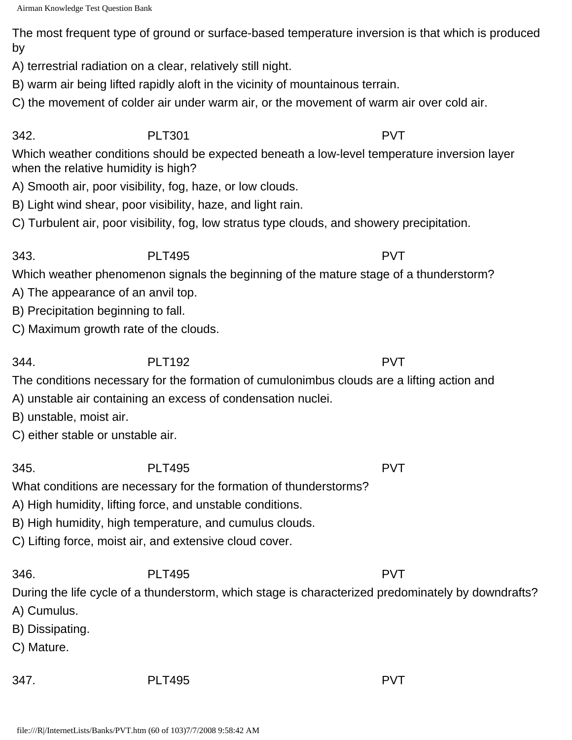The most frequent type of ground or surface-based temperature inversion is that which is produced by

A) terrestrial radiation on a clear, relatively still night.

B) warm air being lifted rapidly aloft in the vicinity of mountainous terrain.

C) the movement of colder air under warm air, or the movement of warm air over cold air.

### 342. PLT301 PVT

Which weather conditions should be expected beneath a low-level temperature inversion layer when the relative humidity is high?

A) Smooth air, poor visibility, fog, haze, or low clouds.

B) Light wind shear, poor visibility, haze, and light rain.

C) Turbulent air, poor visibility, fog, low stratus type clouds, and showery precipitation.

## 343. PLT495 PVT

Which weather phenomenon signals the beginning of the mature stage of a thunderstorm?

- A) The appearance of an anvil top.
- B) Precipitation beginning to fall.
- C) Maximum growth rate of the clouds.

344. PLT192 PVT

The conditions necessary for the formation of cumulonimbus clouds are a lifting action and

- A) unstable air containing an excess of condensation nuclei.
- B) unstable, moist air.

C) either stable or unstable air.

## 345. PLT495 PVT

What conditions are necessary for the formation of thunderstorms?

A) High humidity, lifting force, and unstable conditions.

B) High humidity, high temperature, and cumulus clouds.

C) Lifting force, moist air, and extensive cloud cover.

## 346. PLT495 PVT

During the life cycle of a thunderstorm, which stage is characterized predominately by downdrafts?

- A) Cumulus.
- B) Dissipating.
- C) Mature.
-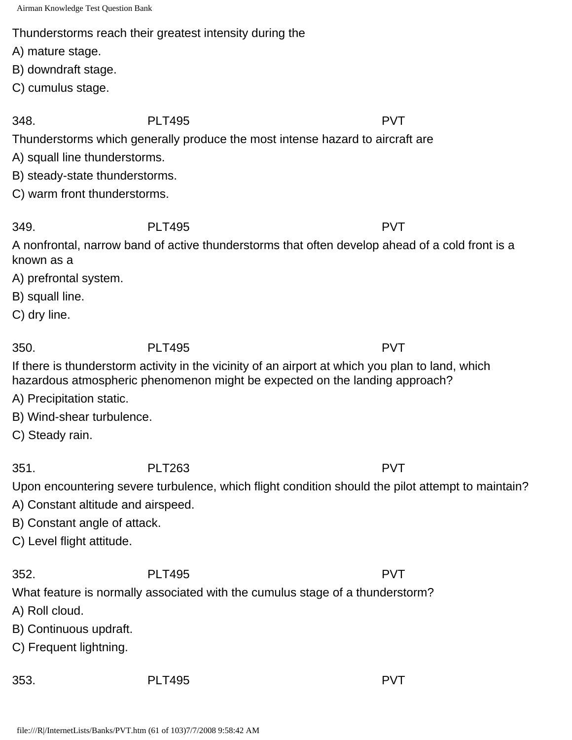Thunderstorms reach their greatest intensity during the

A) mature stage.

B) downdraft stage.

C) cumulus stage.

348. PLT495 PVT

Thunderstorms which generally produce the most intense hazard to aircraft are

A) squall line thunderstorms.

B) steady-state thunderstorms.

C) warm front thunderstorms.

349. PLT495 PVT

A nonfrontal, narrow band of active thunderstorms that often develop ahead of a cold front is a known as a

A) prefrontal system.

B) squall line.

C) dry line.

350. PLT495 PVT

If there is thunderstorm activity in the vicinity of an airport at which you plan to land, which hazardous atmospheric phenomenon might be expected on the landing approach?

A) Precipitation static.

B) Wind-shear turbulence.

C) Steady rain.

351. PLT263 PVT

Upon encountering severe turbulence, which flight condition should the pilot attempt to maintain?

A) Constant altitude and airspeed.

B) Constant angle of attack.

C) Level flight attitude.

352. PLT495 PVT

What feature is normally associated with the cumulus stage of a thunderstorm?

A) Roll cloud.

B) Continuous updraft.

C) Frequent lightning.

353. PLT495 PVT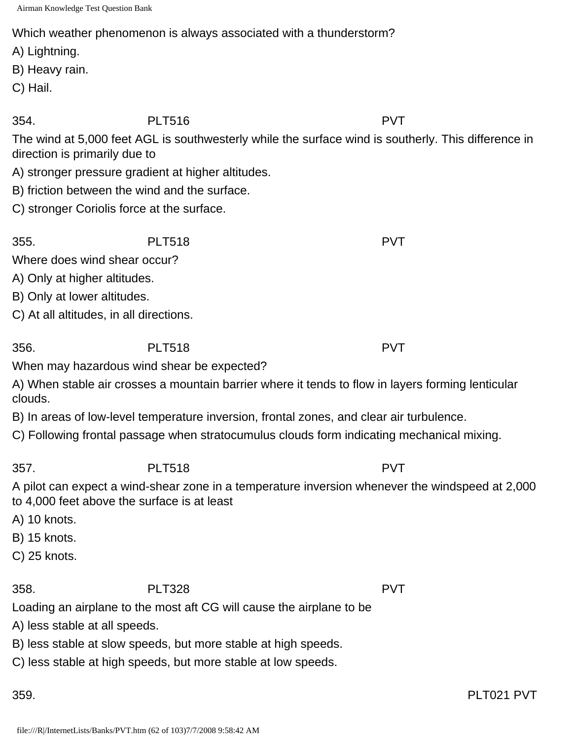Which weather phenomenon is always associated with a thunderstorm?

A) Lightning.

B) Heavy rain.

C) Hail.

354. PLT516 PVT

The wind at 5,000 feet AGL is southwesterly while the surface wind is southerly. This difference in direction is primarily due to

- A) stronger pressure gradient at higher altitudes.
- B) friction between the wind and the surface.
- C) stronger Coriolis force at the surface.

355. PLT518 PVT

Where does wind shear occur?

A) Only at higher altitudes.

B) Only at lower altitudes.

C) At all altitudes, in all directions.

356. PLT518 PVT

When may hazardous wind shear be expected?

A) When stable air crosses a mountain barrier where it tends to flow in layers forming lenticular clouds.

B) In areas of low-level temperature inversion, frontal zones, and clear air turbulence.

C) Following frontal passage when stratocumulus clouds form indicating mechanical mixing.

357. PLT518 PVT

A pilot can expect a wind-shear zone in a temperature inversion whenever the windspeed at 2,000 to 4,000 feet above the surface is at least

A) 10 knots.

B) 15 knots.

C) 25 knots.

358. PLT328 PVT

Loading an airplane to the most aft CG will cause the airplane to be

A) less stable at all speeds.

B) less stable at slow speeds, but more stable at high speeds.

C) less stable at high speeds, but more stable at low speeds.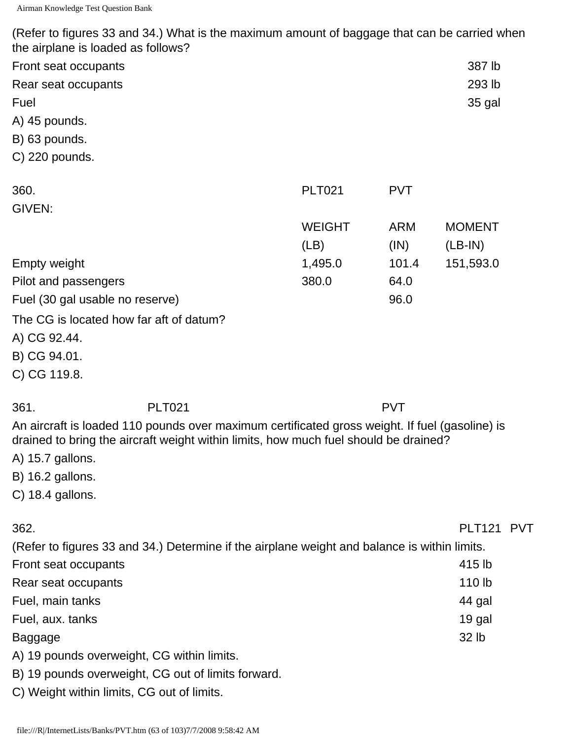(Refer to figures 33 and 34.) What is the maximum amount of baggage that can be carried when the airplane is loaded as follows?

| Front seat occupants                                                                           |               |            | 387 lb        |  |
|------------------------------------------------------------------------------------------------|---------------|------------|---------------|--|
| Rear seat occupants                                                                            |               |            | 293 lb        |  |
| Fuel                                                                                           |               |            | 35 gal        |  |
| A) 45 pounds.                                                                                  |               |            |               |  |
| B) 63 pounds.                                                                                  |               |            |               |  |
| C) 220 pounds.                                                                                 |               |            |               |  |
| 360.                                                                                           | <b>PLT021</b> | <b>PVT</b> |               |  |
| GIVEN:                                                                                         |               |            |               |  |
|                                                                                                | <b>WEIGHT</b> | <b>ARM</b> | <b>MOMENT</b> |  |
|                                                                                                | (LB)          | (IN)       | $(LB-IN)$     |  |
| <b>Empty weight</b>                                                                            | 1,495.0       | 101.4      | 151,593.0     |  |
| Pilot and passengers                                                                           | 380.0         | 64.0       |               |  |
| Fuel (30 gal usable no reserve)                                                                |               | 96.0       |               |  |
| The CG is located how far aft of datum?                                                        |               |            |               |  |
| A) CG 92.44.                                                                                   |               |            |               |  |
| B) CG 94.01.                                                                                   |               |            |               |  |
| C) CG 119.8.                                                                                   |               |            |               |  |
| 361.<br><b>PLT021</b>                                                                          |               | <b>PVT</b> |               |  |
| An aircraft is loaded 110 pounds over maximum certificated gross weight. If fuel (gasoline) is |               |            |               |  |
| drained to bring the aircraft weight within limits, how much fuel should be drained?           |               |            |               |  |
| A) 15.7 gallons.                                                                               |               |            |               |  |
| B) 16.2 gallons.                                                                               |               |            |               |  |
| C) 18.4 gallons.                                                                               |               |            |               |  |
| 362.                                                                                           |               |            | PLT121 PVT    |  |
| (Refer to figures 33 and 34.) Determine if the airplane weight and balance is within limits.   |               |            |               |  |
| Front seat occupants                                                                           |               |            | 415 lb        |  |
| Rear seat occupants                                                                            |               |            | 110 lb        |  |

Fuel, main tanks 44 gal

Fuel, aux. tanks 19 gal

Baggage 32 lb

- A) 19 pounds overweight, CG within limits.
- B) 19 pounds overweight, CG out of limits forward.
- C) Weight within limits, CG out of limits.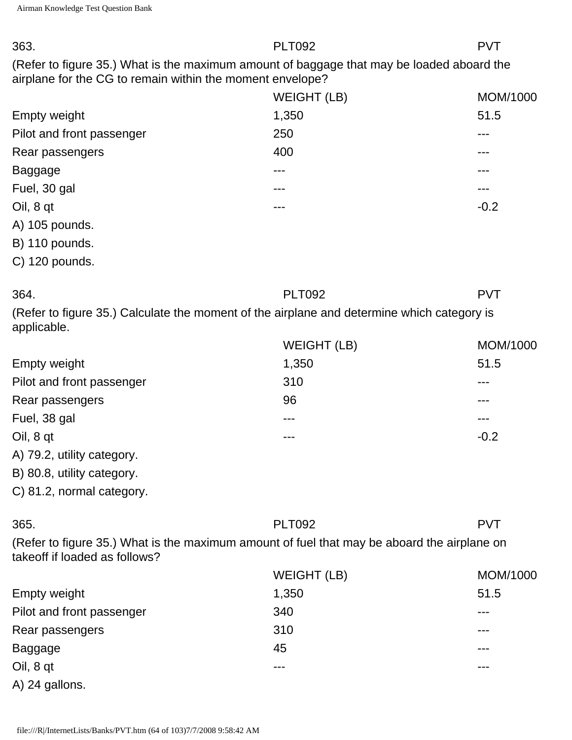| 363.                                                                                                                                                   | <b>PLT092</b>      | <b>PVT</b> |
|--------------------------------------------------------------------------------------------------------------------------------------------------------|--------------------|------------|
| (Refer to figure 35.) What is the maximum amount of baggage that may be loaded aboard the<br>airplane for the CG to remain within the moment envelope? |                    |            |
|                                                                                                                                                        | <b>WEIGHT (LB)</b> | MOM/1000   |
| <b>Empty weight</b>                                                                                                                                    | 1,350              | 51.5       |
| Pilot and front passenger                                                                                                                              | 250                |            |
| Rear passengers                                                                                                                                        | 400                |            |
| <b>Baggage</b>                                                                                                                                         | ---                |            |
| Fuel, 30 gal                                                                                                                                           |                    |            |
| Oil, 8 qt                                                                                                                                              | ---                | $-0.2$     |
| A) 105 pounds.                                                                                                                                         |                    |            |
| B) 110 pounds.                                                                                                                                         |                    |            |
| C) 120 pounds.                                                                                                                                         |                    |            |
| 364.                                                                                                                                                   | <b>PLT092</b>      | <b>PVT</b> |
| (Refer to figure 35.) Calculate the moment of the airplane and determine which category is<br>applicable.                                              |                    |            |
|                                                                                                                                                        | <b>WEIGHT (LB)</b> | MOM/1000   |
| <b>Empty weight</b>                                                                                                                                    | 1,350              | 51.5       |
| Pilot and front passenger                                                                                                                              | 310                |            |
| Rear passengers                                                                                                                                        | 96                 |            |
| Fuel, 38 gal                                                                                                                                           |                    |            |
| Oil, 8 qt                                                                                                                                              |                    | $-0.2$     |
| A) 79.2, utility category.                                                                                                                             |                    |            |
| B) 80.8, utility category.                                                                                                                             |                    |            |
| C) 81.2, normal category.                                                                                                                              |                    |            |
| 365.                                                                                                                                                   | <b>PLT092</b>      | <b>PVT</b> |
| (Refer to figure 35.) What is the maximum amount of fuel that may be aboard the airplane on<br>takeoff if loaded as follows?                           |                    |            |
|                                                                                                                                                        | <b>WEIGHT (LB)</b> | MOM/1000   |
| <b>Empty weight</b>                                                                                                                                    | 1,350              | 51.5       |
| Pilot and front passenger                                                                                                                              | 340                |            |
| Rear passengers                                                                                                                                        | 310                |            |
| <b>Baggage</b>                                                                                                                                         | 45                 |            |
| Oil, 8 qt                                                                                                                                              | ---                |            |
| A) 24 gallons.                                                                                                                                         |                    |            |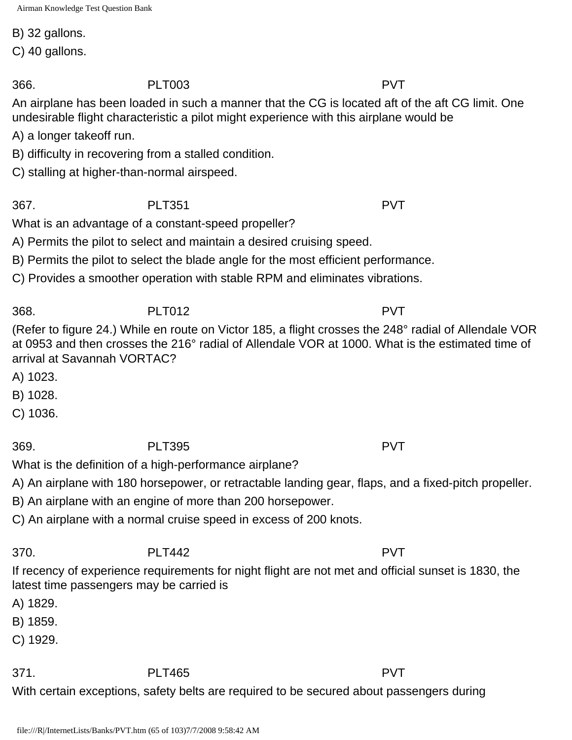B) 32 gallons.

C) 40 gallons.

366. PLT003 PVT

An airplane has been loaded in such a manner that the CG is located aft of the aft CG limit. One undesirable flight characteristic a pilot might experience with this airplane would be

A) a longer takeoff run.

B) difficulty in recovering from a stalled condition.

C) stalling at higher-than-normal airspeed.

367. PLT351 PVT

What is an advantage of a constant-speed propeller?

A) Permits the pilot to select and maintain a desired cruising speed.

B) Permits the pilot to select the blade angle for the most efficient performance.

C) Provides a smoother operation with stable RPM and eliminates vibrations.

368. PLT012 PVT

(Refer to figure 24.) While en route on Victor 185, a flight crosses the 248° radial of Allendale VOR at 0953 and then crosses the 216° radial of Allendale VOR at 1000. What is the estimated time of arrival at Savannah VORTAC?

A) 1023.

B) 1028.

C) 1036.

369. PLT395 PVT

What is the definition of a high-performance airplane? A) An airplane with 180 horsepower, or retractable landing gear, flaps, and a fixed-pitch propeller.

B) An airplane with an engine of more than 200 horsepower.

C) An airplane with a normal cruise speed in excess of 200 knots.

370. PLT442 PVT If recency of experience requirements for night flight are not met and official sunset is 1830, the latest time passengers may be carried is

A) 1829.

B) 1859.

C) 1929.

371. PLT465 PVT

With certain exceptions, safety belts are required to be secured about passengers during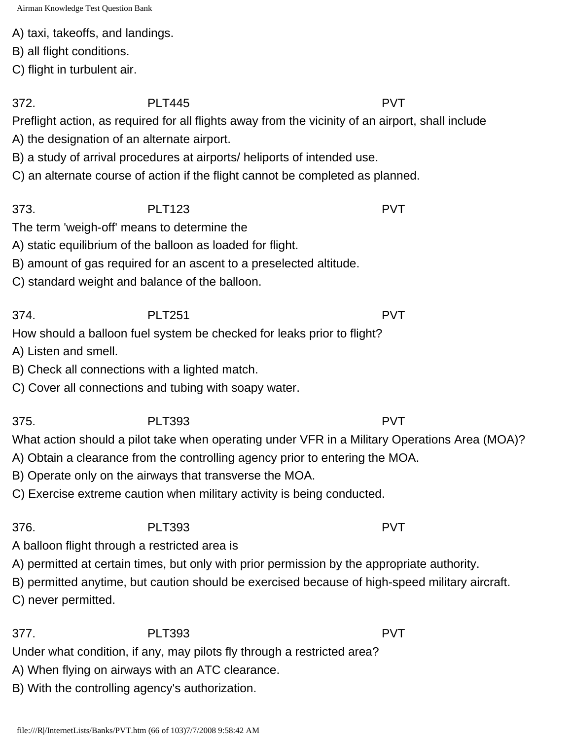A) taxi, takeoffs, and landings.

B) all flight conditions.

C) flight in turbulent air.

372. PLT445 PVT

Preflight action, as required for all flights away from the vicinity of an airport, shall include

A) the designation of an alternate airport.

B) a study of arrival procedures at airports/ heliports of intended use.

C) an alternate course of action if the flight cannot be completed as planned.

373. PLT123 PVT

The term 'weigh-off' means to determine the

A) static equilibrium of the balloon as loaded for flight.

B) amount of gas required for an ascent to a preselected altitude.

C) standard weight and balance of the balloon.

374. PLT251 PVT How should a balloon fuel system be checked for leaks prior to flight?

- A) Listen and smell.
- B) Check all connections with a lighted match.
- C) Cover all connections and tubing with soapy water.

375. PLT393 PVT

What action should a pilot take when operating under VFR in a Military Operations Area (MOA)?

A) Obtain a clearance from the controlling agency prior to entering the MOA.

B) Operate only on the airways that transverse the MOA.

C) Exercise extreme caution when military activity is being conducted.

376. PLT393 PVT

A balloon flight through a restricted area is

A) permitted at certain times, but only with prior permission by the appropriate authority.

B) permitted anytime, but caution should be exercised because of high-speed military aircraft.

C) never permitted.

377. PLT393 PVT

Under what condition, if any, may pilots fly through a restricted area?

A) When flying on airways with an ATC clearance.

B) With the controlling agency's authorization.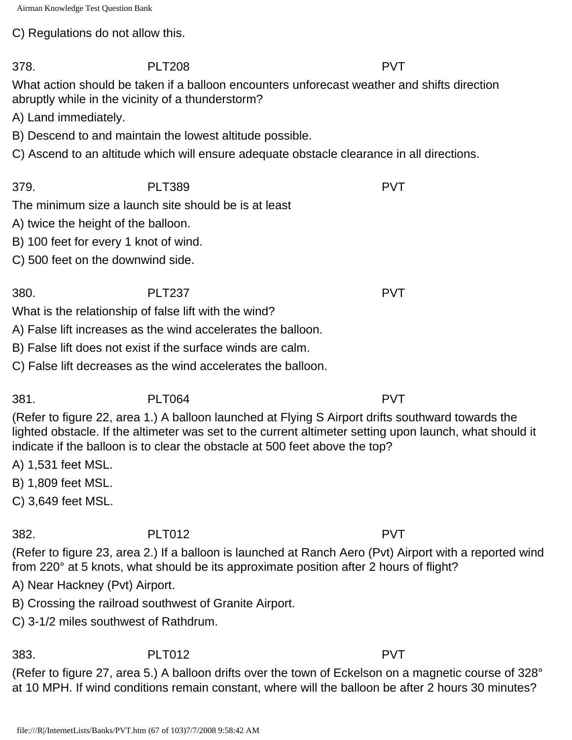C) Regulations do not allow this.

What action should be taken if a balloon encounters unforecast weather and shifts direction abruptly while in the vicinity of a thunderstorm?

A) Land immediately.

B) Descend to and maintain the lowest altitude possible.

C) Ascend to an altitude which will ensure adequate obstacle clearance in all directions.

379. PLT389 PVT The minimum size a launch site should be is at least

A) twice the height of the balloon.

B) 100 feet for every 1 knot of wind.

C) 500 feet on the downwind side.

380. PLT237 PVT What is the relationship of false lift with the wind?

A) False lift increases as the wind accelerates the balloon.

B) False lift does not exist if the surface winds are calm.

C) False lift decreases as the wind accelerates the balloon.

381. PLT064 PVT (Refer to figure 22, area 1.) A balloon launched at Flying S Airport drifts southward towards the lighted obstacle. If the altimeter was set to the current altimeter setting upon launch, what should it indicate if the balloon is to clear the obstacle at 500 feet above the top?

A) 1,531 feet MSL.

B) 1,809 feet MSL.

C) 3,649 feet MSL.

382. PLT012 PVT

(Refer to figure 23, area 2.) If a balloon is launched at Ranch Aero (Pvt) Airport with a reported wind from 220° at 5 knots, what should be its approximate position after 2 hours of flight?

A) Near Hackney (Pvt) Airport.

B) Crossing the railroad southwest of Granite Airport.

C) 3-1/2 miles southwest of Rathdrum.

383. PLT012 PVT

(Refer to figure 27, area 5.) A balloon drifts over the town of Eckelson on a magnetic course of 328° at 10 MPH. If wind conditions remain constant, where will the balloon be after 2 hours 30 minutes?

378. PLT208 PVT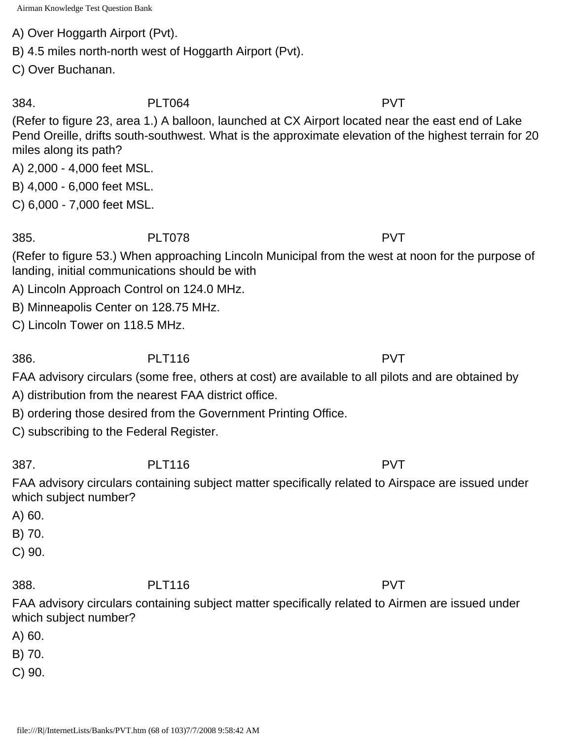A) Over Hoggarth Airport (Pvt).

B) 4.5 miles north-north west of Hoggarth Airport (Pvt).

C) Over Buchanan.

384. PLT064 PVT

(Refer to figure 23, area 1.) A balloon, launched at CX Airport located near the east end of Lake Pend Oreille, drifts south-southwest. What is the approximate elevation of the highest terrain for 20 miles along its path?

A) 2,000 - 4,000 feet MSL.

B) 4,000 - 6,000 feet MSL.

C) 6,000 - 7,000 feet MSL.

385. PLT078 PVT

(Refer to figure 53.) When approaching Lincoln Municipal from the west at noon for the purpose of landing, initial communications should be with

A) Lincoln Approach Control on 124.0 MHz.

B) Minneapolis Center on 128.75 MHz.

C) Lincoln Tower on 118.5 MHz.

386. PLT116 PVT

FAA advisory circulars (some free, others at cost) are available to all pilots and are obtained by

A) distribution from the nearest FAA district office.

B) ordering those desired from the Government Printing Office.

C) subscribing to the Federal Register.

387. PLT116 PVT

FAA advisory circulars containing subject matter specifically related to Airspace are issued under which subject number?

A) 60.

B) 70.

C) 90.

388. PLT116 PVT FAA advisory circulars containing subject matter specifically related to Airmen are issued under

which subject number? A) 60.

B) 70.

C) 90.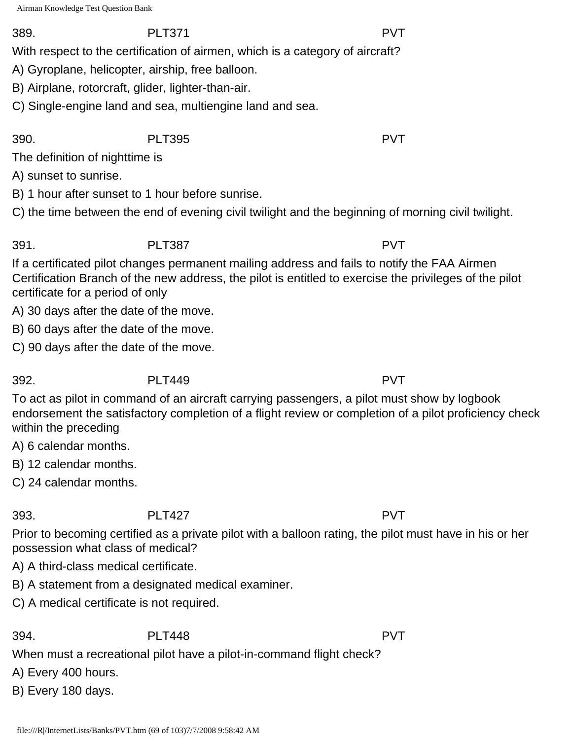#### 389. PLT371 PVT

With respect to the certification of airmen, which is a category of aircraft?

- A) Gyroplane, helicopter, airship, free balloon.
- B) Airplane, rotorcraft, glider, lighter-than-air.
- C) Single-engine land and sea, multiengine land and sea.

#### 390. PLT395 PVT

The definition of nighttime is

A) sunset to sunrise.

B) 1 hour after sunset to 1 hour before sunrise.

C) the time between the end of evening civil twilight and the beginning of morning civil twilight.

391. PLT387 PVT

If a certificated pilot changes permanent mailing address and fails to notify the FAA Airmen Certification Branch of the new address, the pilot is entitled to exercise the privileges of the pilot certificate for a period of only

A) 30 days after the date of the move.

B) 60 days after the date of the move.

C) 90 days after the date of the move.

# 392. PLT449 PVT

To act as pilot in command of an aircraft carrying passengers, a pilot must show by logbook endorsement the satisfactory completion of a flight review or completion of a pilot proficiency check within the preceding

A) 6 calendar months.

B) 12 calendar months.

C) 24 calendar months.

## 393. PLT427 PVT

Prior to becoming certified as a private pilot with a balloon rating, the pilot must have in his or her possession what class of medical?

A) A third-class medical certificate.

B) A statement from a designated medical examiner.

C) A medical certificate is not required.

## 394. PLT448 PVT

When must a recreational pilot have a pilot-in-command flight check?

A) Every 400 hours.

B) Every 180 days.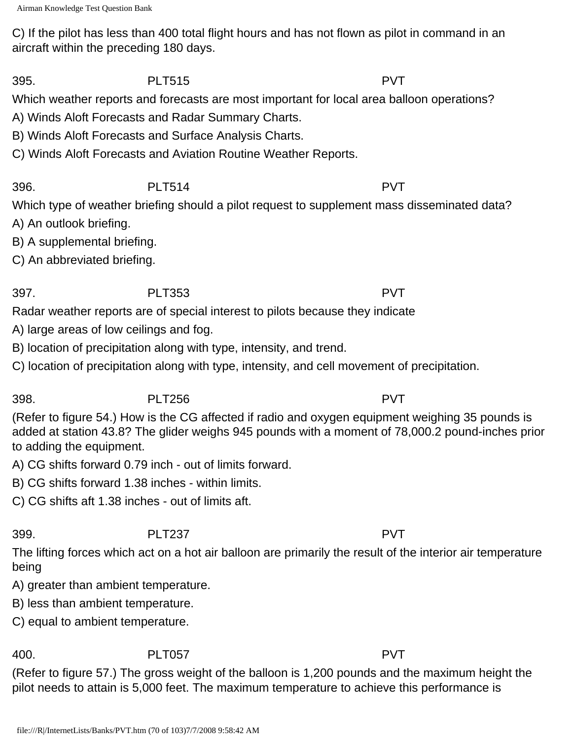C) If the pilot has less than 400 total flight hours and has not flown as pilot in command in an aircraft within the preceding 180 days.

395. PLT515 PVT

Which weather reports and forecasts are most important for local area balloon operations?

A) Winds Aloft Forecasts and Radar Summary Charts.

B) Winds Aloft Forecasts and Surface Analysis Charts.

C) Winds Aloft Forecasts and Aviation Routine Weather Reports.

396. PLT514 PVT Which type of weather briefing should a pilot request to supplement mass disseminated data?

- A) An outlook briefing.
- B) A supplemental briefing.
- C) An abbreviated briefing.

397. PLT353 PVT

Radar weather reports are of special interest to pilots because they indicate

- A) large areas of low ceilings and fog.
- B) location of precipitation along with type, intensity, and trend.
- C) location of precipitation along with type, intensity, and cell movement of precipitation.

398. PLT256 PVT

(Refer to figure 54.) How is the CG affected if radio and oxygen equipment weighing 35 pounds is added at station 43.8? The glider weighs 945 pounds with a moment of 78,000.2 pound-inches prior to adding the equipment.

A) CG shifts forward 0.79 inch - out of limits forward.

- B) CG shifts forward 1.38 inches within limits.
- C) CG shifts aft 1.38 inches out of limits aft.

399. PLT237 PVT

The lifting forces which act on a hot air balloon are primarily the result of the interior air temperature being

A) greater than ambient temperature.

- B) less than ambient temperature.
- C) equal to ambient temperature.

400. PLT057 PVT

(Refer to figure 57.) The gross weight of the balloon is 1,200 pounds and the maximum height the pilot needs to attain is 5,000 feet. The maximum temperature to achieve this performance is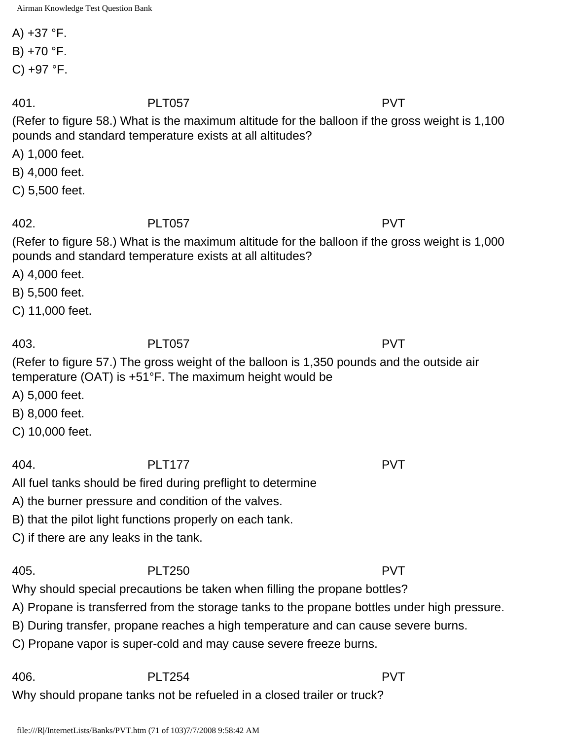A)  $+37$  °F. B) +70 °F.  $C$ ) +97 °F. 401. PLT057 PVT (Refer to figure 58.) What is the maximum altitude for the balloon if the gross weight is 1,100 pounds and standard temperature exists at all altitudes? A) 1,000 feet. B) 4,000 feet. C) 5,500 feet. 402. PLT057 PVT (Refer to figure 58.) What is the maximum altitude for the balloon if the gross weight is 1,000 pounds and standard temperature exists at all altitudes? A) 4,000 feet. B) 5,500 feet. C) 11,000 feet. 403. PLT057 PVT (Refer to figure 57.) The gross weight of the balloon is 1,350 pounds and the outside air temperature (OAT) is +51°F. The maximum height would be A) 5,000 feet. B) 8,000 feet. C) 10,000 feet. 404. PLT177 PVT All fuel tanks should be fired during preflight to determine A) the burner pressure and condition of the valves. B) that the pilot light functions properly on each tank. C) if there are any leaks in the tank. 405. PLT250 PVT Why should special precautions be taken when filling the propane bottles? A) Propane is transferred from the storage tanks to the propane bottles under high pressure. B) During transfer, propane reaches a high temperature and can cause severe burns. C) Propane vapor is super-cold and may cause severe freeze burns. 406. PLT254 PVT Why should propane tanks not be refueled in a closed trailer or truck?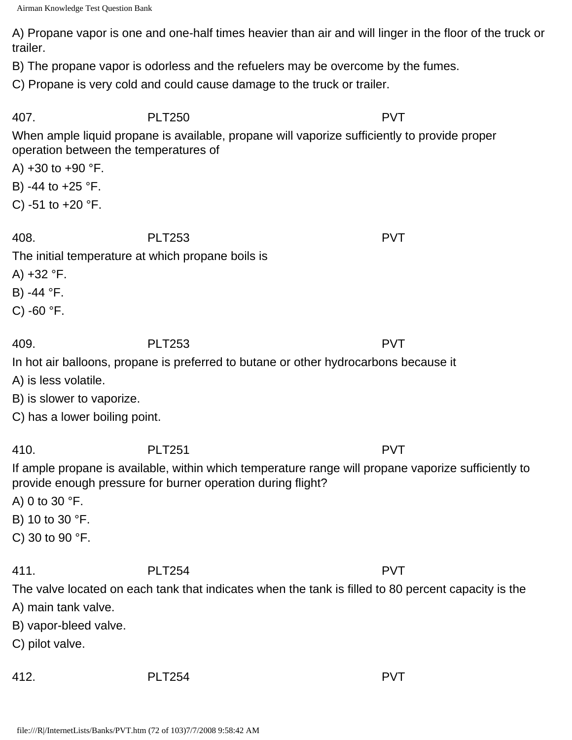A) Propane vapor is one and one-half times heavier than air and will linger in the floor of the truck or trailer.

B) The propane vapor is odorless and the refuelers may be overcome by the fumes.

C) Propane is very cold and could cause damage to the truck or trailer.

407. PLT250 PVT

When ample liquid propane is available, propane will vaporize sufficiently to provide proper operation between the temperatures of

A)  $+30$  to  $+90$  °F.

- B) -44 to +25 °F.
- C) -51 to  $+20$  °F.

408. PLT253 PVT

The initial temperature at which propane boils is

A) +32 °F.

B) -44 °F.

C)  $-60$   $\degree$ F.

409. PLT253 PVT In hot air balloons, propane is preferred to butane or other hydrocarbons because it

A) is less volatile.

B) is slower to vaporize.

C) has a lower boiling point.

410. PLT251 PVT

If ample propane is available, within which temperature range will propane vaporize sufficiently to provide enough pressure for burner operation during flight?

A) 0 to 30 °F.

- B) 10 to 30 °F.
- C) 30 to 90 °F.

## 411. PLT254 PVT

The valve located on each tank that indicates when the tank is filled to 80 percent capacity is the

- A) main tank valve.
- B) vapor-bleed valve.
- C) pilot valve.
- 

412. PLT254 PVT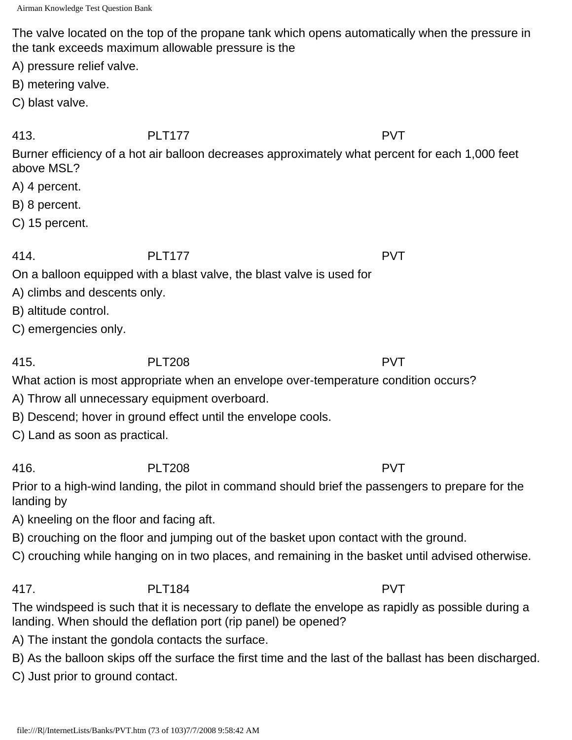The valve located on the top of the propane tank which opens automatically when the pressure in the tank exceeds maximum allowable pressure is the

A) pressure relief valve.

B) metering valve.

C) blast valve.

413. PLT177 PVT

Burner efficiency of a hot air balloon decreases approximately what percent for each 1,000 feet above MSL?

- A) 4 percent.
- B) 8 percent.
- C) 15 percent.

## 414. PLT177 PVT

On a balloon equipped with a blast valve, the blast valve is used for

A) climbs and descents only.

B) altitude control.

C) emergencies only.

415. PLT208 PVT

What action is most appropriate when an envelope over-temperature condition occurs?

- A) Throw all unnecessary equipment overboard.
- B) Descend; hover in ground effect until the envelope cools.

C) Land as soon as practical.

416. PLT208 PVT

Prior to a high-wind landing, the pilot in command should brief the passengers to prepare for the landing by

A) kneeling on the floor and facing aft.

- B) crouching on the floor and jumping out of the basket upon contact with the ground.
- C) crouching while hanging on in two places, and remaining in the basket until advised otherwise.

# 417. PLT184 PVT

The windspeed is such that it is necessary to deflate the envelope as rapidly as possible during a landing. When should the deflation port (rip panel) be opened?

A) The instant the gondola contacts the surface.

B) As the balloon skips off the surface the first time and the last of the ballast has been discharged.

C) Just prior to ground contact.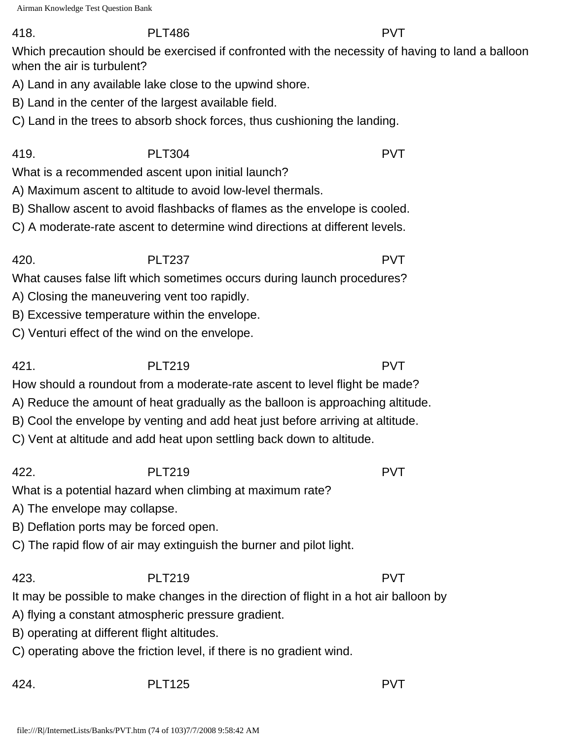### 418. PLT486 PVT

Which precaution should be exercised if confronted with the necessity of having to land a balloon when the air is turbulent?

A) Land in any available lake close to the upwind shore.

- B) Land in the center of the largest available field.
- C) Land in the trees to absorb shock forces, thus cushioning the landing.

419. PLT304 PVT What is a recommended ascent upon initial launch?

- A) Maximum ascent to altitude to avoid low-level thermals.
- B) Shallow ascent to avoid flashbacks of flames as the envelope is cooled.
- C) A moderate-rate ascent to determine wind directions at different levels.

420. PLT237 PVT What causes false lift which sometimes occurs during launch procedures?

- A) Closing the maneuvering vent too rapidly.
- B) Excessive temperature within the envelope.
- C) Venturi effect of the wind on the envelope.

421. PLT219 PVT

How should a roundout from a moderate-rate ascent to level flight be made?

- A) Reduce the amount of heat gradually as the balloon is approaching altitude.
- B) Cool the envelope by venting and add heat just before arriving at altitude.
- C) Vent at altitude and add heat upon settling back down to altitude.

422. PLT219 PVT

What is a potential hazard when climbing at maximum rate?

A) The envelope may collapse.

B) Deflation ports may be forced open.

C) The rapid flow of air may extinguish the burner and pilot light.

423. PLT219 PVT

It may be possible to make changes in the direction of flight in a hot air balloon by

- A) flying a constant atmospheric pressure gradient.
- B) operating at different flight altitudes.
- C) operating above the friction level, if there is no gradient wind.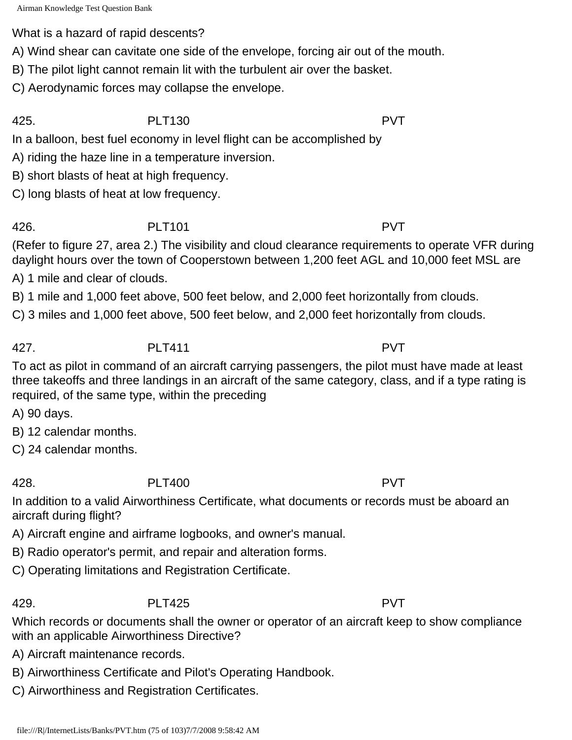What is a hazard of rapid descents?

A) Wind shear can cavitate one side of the envelope, forcing air out of the mouth.

B) The pilot light cannot remain lit with the turbulent air over the basket.

C) Aerodynamic forces may collapse the envelope.

425. PLT130 PVT

In a balloon, best fuel economy in level flight can be accomplished by

A) riding the haze line in a temperature inversion.

B) short blasts of heat at high frequency.

C) long blasts of heat at low frequency.

426. PLT101 PVT

(Refer to figure 27, area 2.) The visibility and cloud clearance requirements to operate VFR during daylight hours over the town of Cooperstown between 1,200 feet AGL and 10,000 feet MSL are

A) 1 mile and clear of clouds.

B) 1 mile and 1,000 feet above, 500 feet below, and 2,000 feet horizontally from clouds.

C) 3 miles and 1,000 feet above, 500 feet below, and 2,000 feet horizontally from clouds.

427. PLT411 PVT

To act as pilot in command of an aircraft carrying passengers, the pilot must have made at least three takeoffs and three landings in an aircraft of the same category, class, and if a type rating is required, of the same type, within the preceding

A) 90 days.

B) 12 calendar months.

C) 24 calendar months.

428. PLT400 PVT

In addition to a valid Airworthiness Certificate, what documents or records must be aboard an aircraft during flight?

A) Aircraft engine and airframe logbooks, and owner's manual.

B) Radio operator's permit, and repair and alteration forms.

C) Operating limitations and Registration Certificate.

429. PLT425 PVT

Which records or documents shall the owner or operator of an aircraft keep to show compliance with an applicable Airworthiness Directive?

A) Aircraft maintenance records.

B) Airworthiness Certificate and Pilot's Operating Handbook.

C) Airworthiness and Registration Certificates.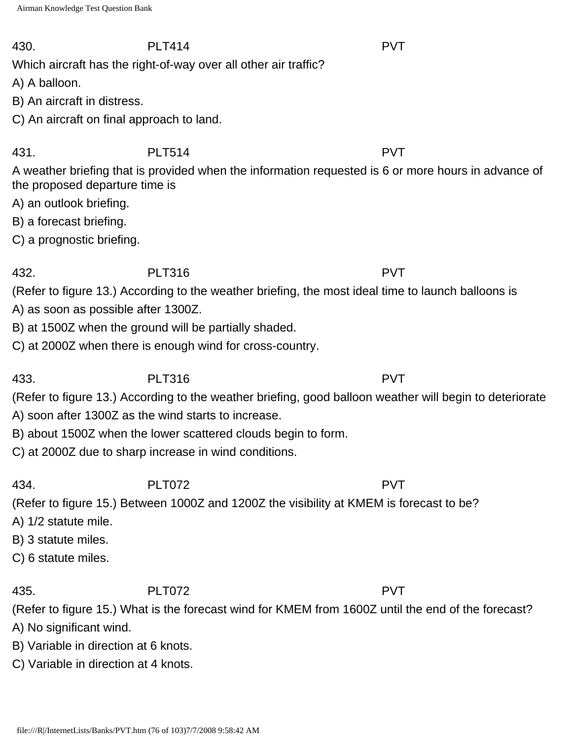### 430. PLT414 PVT

Which aircraft has the right-of-way over all other air traffic?

A) A balloon.

B) An aircraft in distress.

C) An aircraft on final approach to land.

431. PLT514 PVT

A weather briefing that is provided when the information requested is 6 or more hours in advance of the proposed departure time is

A) an outlook briefing.

B) a forecast briefing.

C) a prognostic briefing.

# 432. PLT316 PVT

(Refer to figure 13.) According to the weather briefing, the most ideal time to launch balloons is A) as soon as possible after 1300Z.

B) at 1500Z when the ground will be partially shaded.

C) at 2000Z when there is enough wind for cross-country.

433. PLT316 PVT

(Refer to figure 13.) According to the weather briefing, good balloon weather will begin to deteriorate

A) soon after 1300Z as the wind starts to increase.

B) about 1500Z when the lower scattered clouds begin to form.

C) at 2000Z due to sharp increase in wind conditions.

434. PLT072 PVT

(Refer to figure 15.) Between 1000Z and 1200Z the visibility at KMEM is forecast to be?

A) 1/2 statute mile.

B) 3 statute miles.

C) 6 statute miles.

435. PLT072 PVT

(Refer to figure 15.) What is the forecast wind for KMEM from 1600Z until the end of the forecast?

A) No significant wind.

B) Variable in direction at 6 knots.

C) Variable in direction at 4 knots.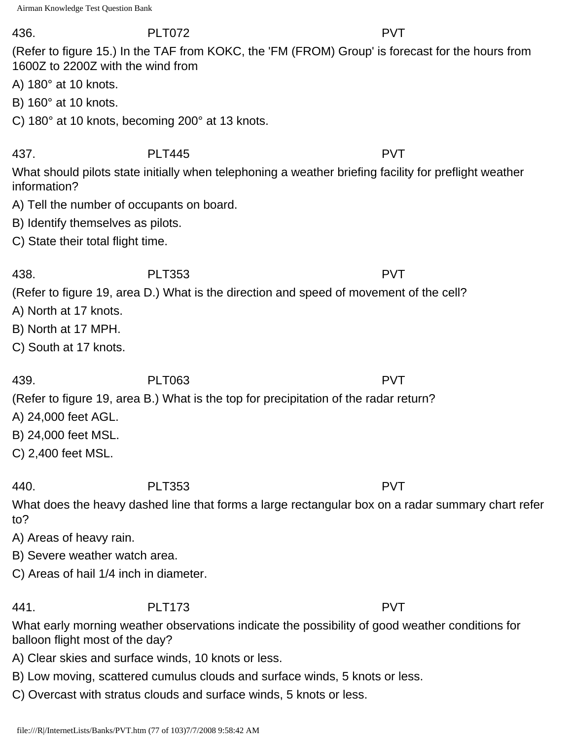### 436. PLT072 PVT

(Refer to figure 15.) In the TAF from KOKC, the 'FM (FROM) Group' is forecast for the hours from 1600Z to 2200Z with the wind from

- A) 180° at 10 knots.
- B) 160° at 10 knots.
- C) 180° at 10 knots, becoming 200° at 13 knots.

437. PLT445 PVT

What should pilots state initially when telephoning a weather briefing facility for preflight weather information?

- A) Tell the number of occupants on board.
- B) Identify themselves as pilots.
- C) State their total flight time.

(Refer to figure 19, area D.) What is the direction and speed of movement of the cell?

438. PLT353 PVT

- A) North at 17 knots.
- B) North at 17 MPH.
- C) South at 17 knots.

439. PLT063 PVT

(Refer to figure 19, area B.) What is the top for precipitation of the radar return?

- A) 24,000 feet AGL.
- B) 24,000 feet MSL.
- C) 2,400 feet MSL.

440. PLT353 PVT

What does the heavy dashed line that forms a large rectangular box on a radar summary chart refer to?

- A) Areas of heavy rain.
- B) Severe weather watch area.

C) Areas of hail 1/4 inch in diameter.

441. PLT173 PVT

What early morning weather observations indicate the possibility of good weather conditions for balloon flight most of the day?

- A) Clear skies and surface winds, 10 knots or less.
- B) Low moving, scattered cumulus clouds and surface winds, 5 knots or less.
- C) Overcast with stratus clouds and surface winds, 5 knots or less.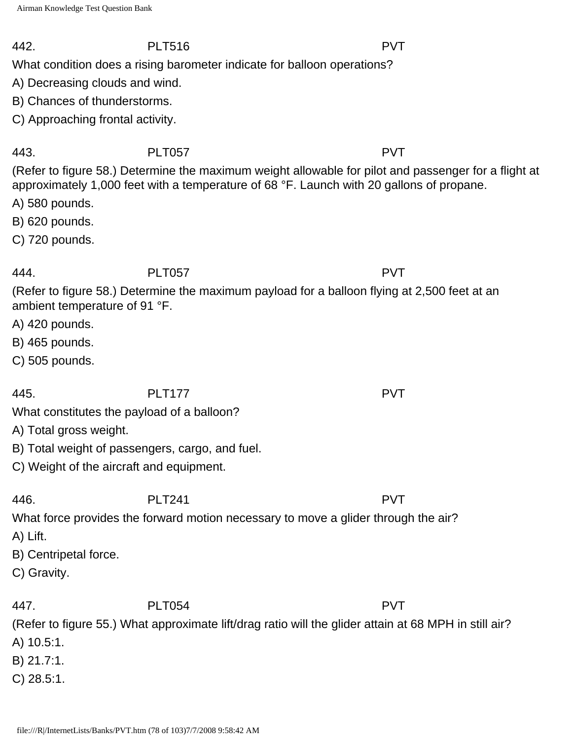### 442. PLT516 PVT

What condition does a rising barometer indicate for balloon operations?

A) Decreasing clouds and wind.

B) Chances of thunderstorms.

C) Approaching frontal activity.

## 443. PLT057 PVT

(Refer to figure 58.) Determine the maximum weight allowable for pilot and passenger for a flight at approximately 1,000 feet with a temperature of 68 °F. Launch with 20 gallons of propane.

A) 580 pounds.

B) 620 pounds.

C) 720 pounds.

# 444. PLT057 PVT

(Refer to figure 58.) Determine the maximum payload for a balloon flying at 2,500 feet at an ambient temperature of 91 °F.

A) 420 pounds.

B) 465 pounds.

C) 505 pounds.

445. PLT177 PVT

What constitutes the payload of a balloon?

- A) Total gross weight.
- B) Total weight of passengers, cargo, and fuel.
- C) Weight of the aircraft and equipment.

446. PLT241 PVT

What force provides the forward motion necessary to move a glider through the air?

- A) Lift.
- B) Centripetal force.
- C) Gravity.

447. PLT054 PVT

(Refer to figure 55.) What approximate lift/drag ratio will the glider attain at 68 MPH in still air?

A) 10.5:1.

- B) 21.7:1.
- C) 28.5:1.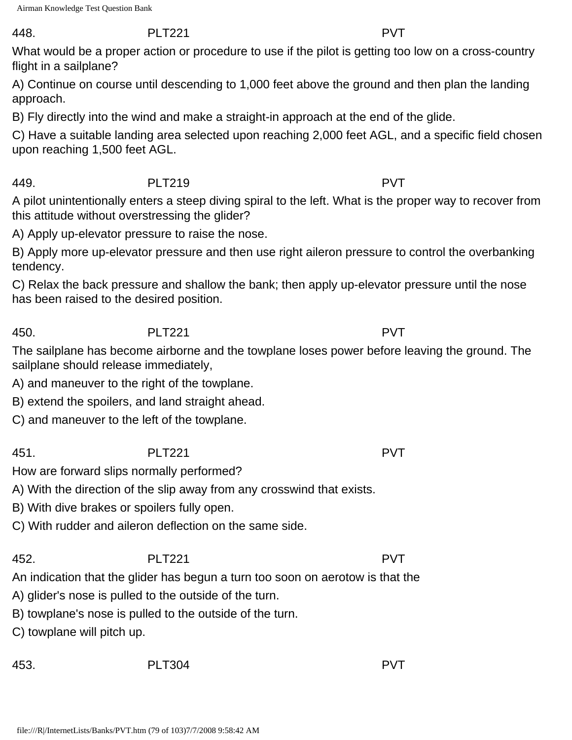### 448. PLT221 PVT

What would be a proper action or procedure to use if the pilot is getting too low on a cross-country flight in a sailplane?

A) Continue on course until descending to 1,000 feet above the ground and then plan the landing approach.

B) Fly directly into the wind and make a straight-in approach at the end of the glide.

C) Have a suitable landing area selected upon reaching 2,000 feet AGL, and a specific field chosen upon reaching 1,500 feet AGL.

### 449. PLT219 PVT

A pilot unintentionally enters a steep diving spiral to the left. What is the proper way to recover from this attitude without overstressing the glider?

A) Apply up-elevator pressure to raise the nose.

B) Apply more up-elevator pressure and then use right aileron pressure to control the overbanking tendency.

C) Relax the back pressure and shallow the bank; then apply up-elevator pressure until the nose has been raised to the desired position.

450. PLT221 PVT

The sailplane has become airborne and the towplane loses power before leaving the ground. The sailplane should release immediately,

A) and maneuver to the right of the towplane.

B) extend the spoilers, and land straight ahead.

C) and maneuver to the left of the towplane.

451. PLT221 PVT

How are forward slips normally performed?

A) With the direction of the slip away from any crosswind that exists.

B) With dive brakes or spoilers fully open.

C) With rudder and aileron deflection on the same side.

## 452. PLT221 PVT

An indication that the glider has begun a turn too soon on aerotow is that the

A) glider's nose is pulled to the outside of the turn.

B) towplane's nose is pulled to the outside of the turn.

C) towplane will pitch up.

453. PLT304 PVT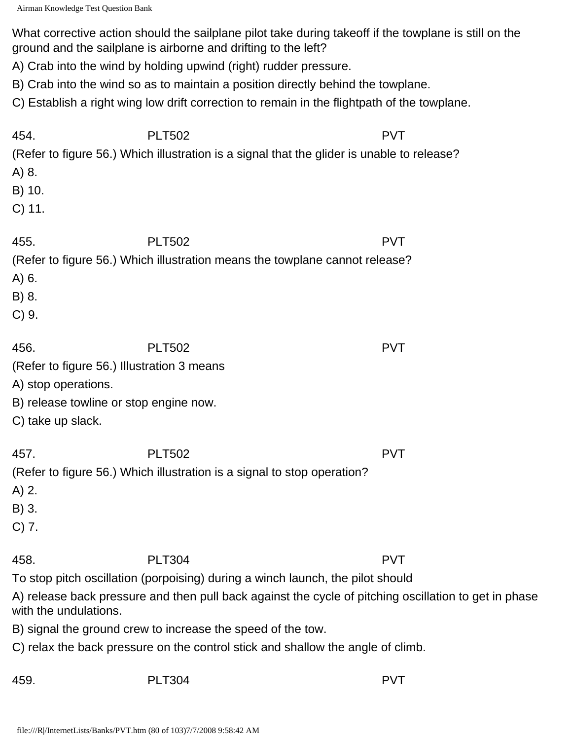What corrective action should the sailplane pilot take during takeoff if the towplane is still on the ground and the sailplane is airborne and drifting to the left?

A) Crab into the wind by holding upwind (right) rudder pressure.

B) Crab into the wind so as to maintain a position directly behind the towplane.

C) Establish a right wing low drift correction to remain in the flightpath of the towplane.

| 454.<br>A) 8.<br>B) 10.<br>$C)$ 11.                                                                                                      | <b>PLT502</b><br>(Refer to figure 56.) Which illustration is a signal that the glider is unable to release?                                                                                                                                                                                                                                                | <b>PVT</b> |
|------------------------------------------------------------------------------------------------------------------------------------------|------------------------------------------------------------------------------------------------------------------------------------------------------------------------------------------------------------------------------------------------------------------------------------------------------------------------------------------------------------|------------|
| 455.<br>A) 6.<br>B) 8.<br>C) 9.                                                                                                          | <b>PLT502</b><br>(Refer to figure 56.) Which illustration means the towplane cannot release?                                                                                                                                                                                                                                                               | <b>PVT</b> |
| 456.<br>(Refer to figure 56.) Illustration 3 means<br>A) stop operations.<br>B) release towline or stop engine now.<br>C) take up slack. | <b>PLT502</b>                                                                                                                                                                                                                                                                                                                                              | <b>PVT</b> |
| 457.<br>$A)$ 2.<br>B) 3.<br>$C)$ 7.                                                                                                      | <b>PLT502</b><br>(Refer to figure 56.) Which illustration is a signal to stop operation?                                                                                                                                                                                                                                                                   | <b>PVT</b> |
| 458.<br>with the undulations.                                                                                                            | <b>PLT304</b><br>To stop pitch oscillation (porpoising) during a winch launch, the pilot should<br>A) release back pressure and then pull back against the cycle of pitching oscillation to get in phase<br>B) signal the ground crew to increase the speed of the tow.<br>C) relax the back pressure on the control stick and shallow the angle of climb. | <b>PVT</b> |
| 459.                                                                                                                                     | <b>PLT304</b>                                                                                                                                                                                                                                                                                                                                              | <b>PVT</b> |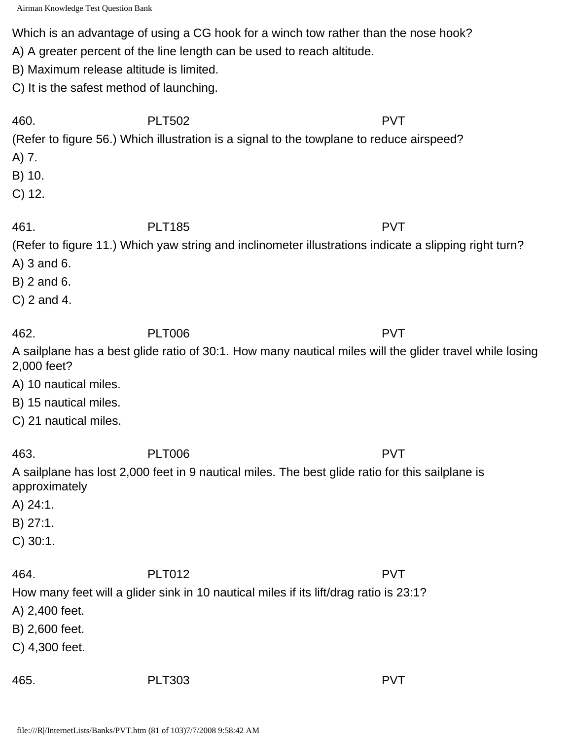Which is an advantage of using a CG hook for a winch tow rather than the nose hook?

A) A greater percent of the line length can be used to reach altitude.

B) Maximum release altitude is limited.

C) It is the safest method of launching.

| 460.                  | <b>PLT502</b>                                                                                           | <b>PVT</b> |
|-----------------------|---------------------------------------------------------------------------------------------------------|------------|
|                       | (Refer to figure 56.) Which illustration is a signal to the towplane to reduce airspeed?                |            |
| A) 7.                 |                                                                                                         |            |
| B) 10.                |                                                                                                         |            |
| $C)$ 12.              |                                                                                                         |            |
|                       |                                                                                                         |            |
| 461.                  | <b>PLT185</b>                                                                                           | <b>PVT</b> |
|                       | (Refer to figure 11.) Which yaw string and inclinometer illustrations indicate a slipping right turn?   |            |
| $A)$ 3 and 6.         |                                                                                                         |            |
| B) 2 and 6.           |                                                                                                         |            |
| $C$ ) 2 and 4.        |                                                                                                         |            |
|                       |                                                                                                         |            |
| 462.                  | <b>PLT006</b>                                                                                           | <b>PVT</b> |
| 2,000 feet?           | A sailplane has a best glide ratio of 30:1. How many nautical miles will the glider travel while losing |            |
| A) 10 nautical miles. |                                                                                                         |            |
| B) 15 nautical miles. |                                                                                                         |            |
| C) 21 nautical miles. |                                                                                                         |            |
|                       |                                                                                                         |            |
| 463.                  | <b>PLT006</b>                                                                                           | <b>PVT</b> |
| approximately         | A sailplane has lost 2,000 feet in 9 nautical miles. The best glide ratio for this sailplane is         |            |
| A) 24:1.              |                                                                                                         |            |
| B) 27:1.              |                                                                                                         |            |
| $C)$ 30:1.            |                                                                                                         |            |
| 464.                  | <b>PLT012</b>                                                                                           | <b>PVT</b> |
|                       | How many feet will a glider sink in 10 nautical miles if its lift/drag ratio is 23:1?                   |            |
| A) 2,400 feet.        |                                                                                                         |            |
| B) 2,600 feet.        |                                                                                                         |            |
| C) 4,300 feet.        |                                                                                                         |            |
|                       |                                                                                                         |            |
| 465.                  | <b>PLT303</b>                                                                                           | <b>PVT</b> |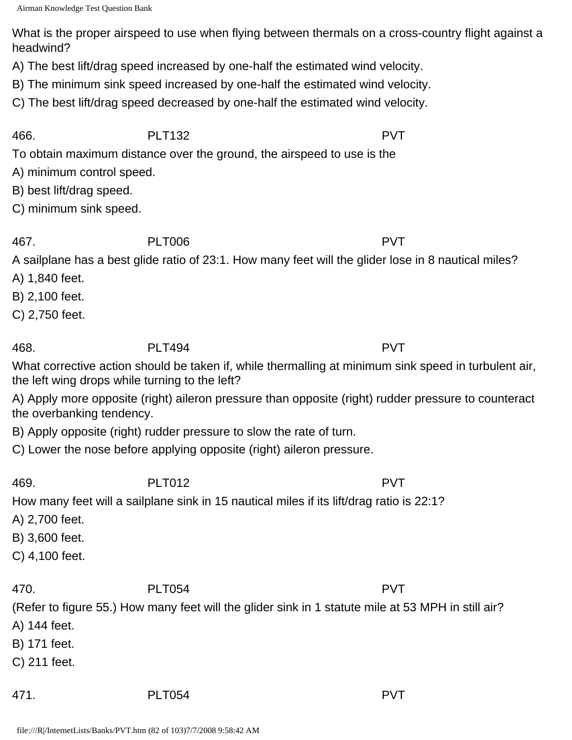What is the proper airspeed to use when flying between thermals on a cross-country flight against a headwind?

A) The best lift/drag speed increased by one-half the estimated wind velocity.

B) The minimum sink speed increased by one-half the estimated wind velocity.

C) The best lift/drag speed decreased by one-half the estimated wind velocity.

466. PLT132 PVT

To obtain maximum distance over the ground, the airspeed to use is the

A) minimum control speed.

B) best lift/drag speed.

C) minimum sink speed.

467. PLT006 PVT

A sailplane has a best glide ratio of 23:1. How many feet will the glider lose in 8 nautical miles?

A) 1,840 feet.

B) 2,100 feet.

C) 2,750 feet.

What corrective action should be taken if, while thermalling at minimum sink speed in turbulent air, the left wing drops while turning to the left?

A) Apply more opposite (right) aileron pressure than opposite (right) rudder pressure to counteract the overbanking tendency.

B) Apply opposite (right) rudder pressure to slow the rate of turn.

C) Lower the nose before applying opposite (right) aileron pressure.

469. PLT012 PVT

How many feet will a sailplane sink in 15 nautical miles if its lift/drag ratio is 22:1?

A) 2,700 feet.

B) 3,600 feet.

C) 4,100 feet.

470. PLT054 PVT

(Refer to figure 55.) How many feet will the glider sink in 1 statute mile at 53 MPH in still air?

A) 144 feet.

B) 171 feet.

C) 211 feet.

471. PLT054 PVT

468. PLT494 PVT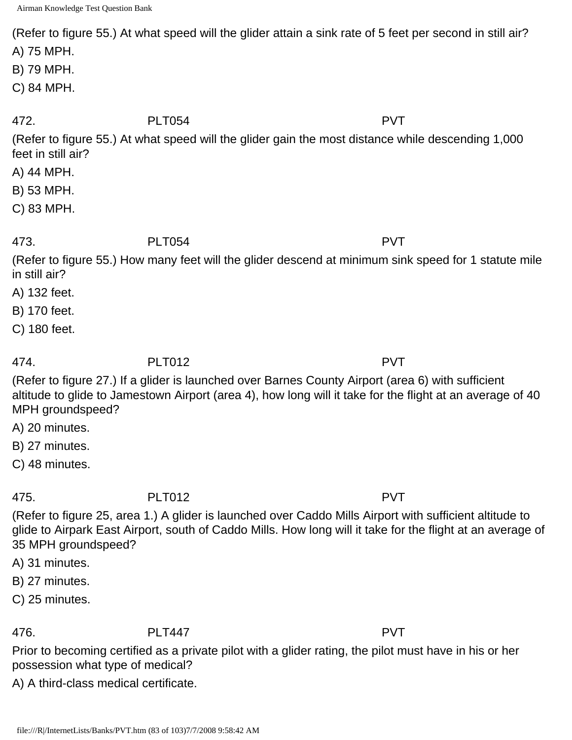(Refer to figure 55.) At what speed will the glider attain a sink rate of 5 feet per second in still air?

A) 75 MPH.

B) 79 MPH.

C) 84 MPH.

472. PLT054 PVT

(Refer to figure 55.) At what speed will the glider gain the most distance while descending 1,000 feet in still air?

A) 44 MPH.

B) 53 MPH.

C) 83 MPH.

473. PLT054 PVT

(Refer to figure 55.) How many feet will the glider descend at minimum sink speed for 1 statute mile in still air?

A) 132 feet.

B) 170 feet.

C) 180 feet.

474. PLT012 PVT

(Refer to figure 27.) If a glider is launched over Barnes County Airport (area 6) with sufficient altitude to glide to Jamestown Airport (area 4), how long will it take for the flight at an average of 40 MPH groundspeed?

A) 20 minutes.

B) 27 minutes.

C) 48 minutes.

475. PLT012 PVT

(Refer to figure 25, area 1.) A glider is launched over Caddo Mills Airport with sufficient altitude to glide to Airpark East Airport, south of Caddo Mills. How long will it take for the flight at an average of 35 MPH groundspeed?

A) 31 minutes.

B) 27 minutes.

C) 25 minutes.

476. PLT447 PVT

Prior to becoming certified as a private pilot with a glider rating, the pilot must have in his or her possession what type of medical?

A) A third-class medical certificate.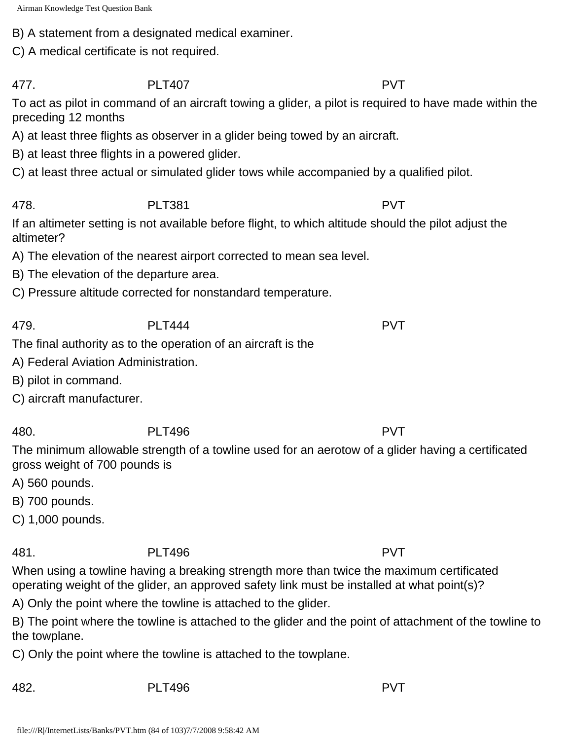B) A statement from a designated medical examiner.

C) A medical certificate is not required.

477. PLT407 PVT

To act as pilot in command of an aircraft towing a glider, a pilot is required to have made within the preceding 12 months

A) at least three flights as observer in a glider being towed by an aircraft.

B) at least three flights in a powered glider.

C) at least three actual or simulated glider tows while accompanied by a qualified pilot.

478. PLT381 PVT

If an altimeter setting is not available before flight, to which altitude should the pilot adjust the altimeter?

A) The elevation of the nearest airport corrected to mean sea level.

B) The elevation of the departure area.

C) Pressure altitude corrected for nonstandard temperature.

479. PLT444 PVT

The final authority as to the operation of an aircraft is the

A) Federal Aviation Administration.

B) pilot in command.

C) aircraft manufacturer.

480. PLT496 PVT

The minimum allowable strength of a towline used for an aerotow of a glider having a certificated gross weight of 700 pounds is

A) 560 pounds.

B) 700 pounds.

C) 1,000 pounds.

481. PLT496 PVT

When using a towline having a breaking strength more than twice the maximum certificated operating weight of the glider, an approved safety link must be installed at what point(s)?

A) Only the point where the towline is attached to the glider.

B) The point where the towline is attached to the glider and the point of attachment of the towline to the towplane.

C) Only the point where the towline is attached to the towplane.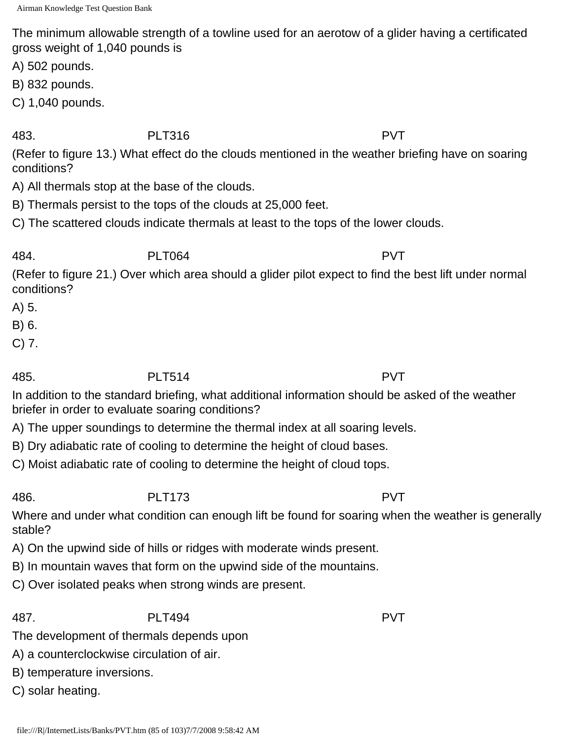The minimum allowable strength of a towline used for an aerotow of a glider having a certificated gross weight of 1,040 pounds is

A) 502 pounds.

B) 832 pounds.

C) 1,040 pounds.

483. PLT316 PVT

(Refer to figure 13.) What effect do the clouds mentioned in the weather briefing have on soaring conditions?

A) All thermals stop at the base of the clouds.

B) Thermals persist to the tops of the clouds at 25,000 feet.

C) The scattered clouds indicate thermals at least to the tops of the lower clouds.

# 484. PLT064 PVT

(Refer to figure 21.) Over which area should a glider pilot expect to find the best lift under normal conditions?

- A) 5.
- B) 6.
- C) 7.

485. PLT514 PVT

In addition to the standard briefing, what additional information should be asked of the weather briefer in order to evaluate soaring conditions?

A) The upper soundings to determine the thermal index at all soaring levels.

B) Dry adiabatic rate of cooling to determine the height of cloud bases.

C) Moist adiabatic rate of cooling to determine the height of cloud tops.

486. PLT173 PVT

Where and under what condition can enough lift be found for soaring when the weather is generally stable?

A) On the upwind side of hills or ridges with moderate winds present.

B) In mountain waves that form on the upwind side of the mountains.

C) Over isolated peaks when strong winds are present.

487. PLT494 PVT

The development of thermals depends upon

A) a counterclockwise circulation of air.

B) temperature inversions.

C) solar heating.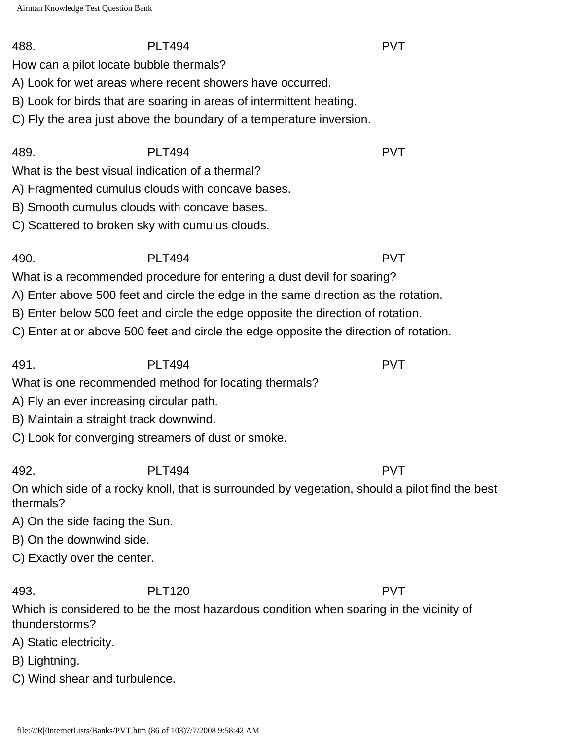How can a pilot locate bubble thermals?

A) Look for wet areas where recent showers have occurred.

B) Look for birds that are soaring in areas of intermittent heating.

C) Fly the area just above the boundary of a temperature inversion.

What is the best visual indication of a thermal?

A) Fragmented cumulus clouds with concave bases.

B) Smooth cumulus clouds with concave bases.

C) Scattered to broken sky with cumulus clouds.

490. PLT494 PVT

What is a recommended procedure for entering a dust devil for soaring?

A) Enter above 500 feet and circle the edge in the same direction as the rotation.

B) Enter below 500 feet and circle the edge opposite the direction of rotation.

C) Enter at or above 500 feet and circle the edge opposite the direction of rotation.

491. PLT494 PVT

What is one recommended method for locating thermals?

A) Fly an ever increasing circular path.

B) Maintain a straight track downwind.

C) Look for converging streamers of dust or smoke.

492. PLT494 PVT

On which side of a rocky knoll, that is surrounded by vegetation, should a pilot find the best thermals?

A) On the side facing the Sun.

B) On the downwind side.

C) Exactly over the center.

493. PLT120 PVT

Which is considered to be the most hazardous condition when soaring in the vicinity of thunderstorms?

A) Static electricity.

B) Lightning.

C) Wind shear and turbulence.

488. PLT494 PVT

489. PLT494 PVT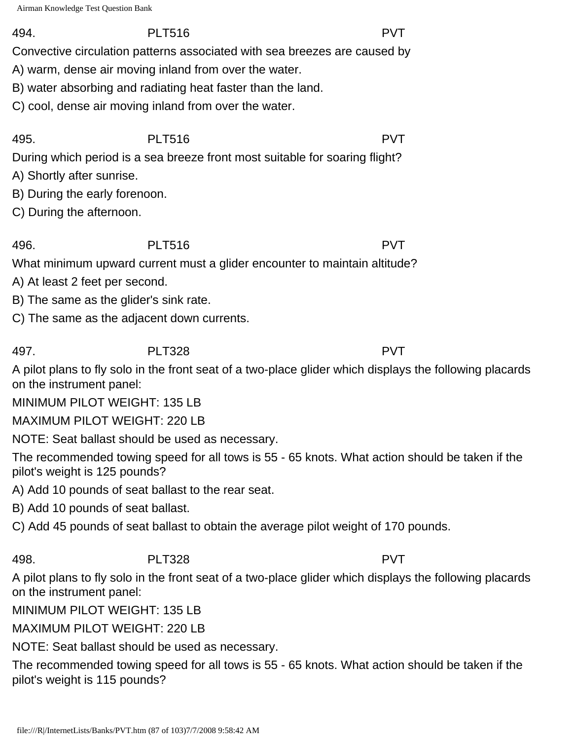494. PLT516 PVT

Convective circulation patterns associated with sea breezes are caused by

A) warm, dense air moving inland from over the water.

B) water absorbing and radiating heat faster than the land.

C) cool, dense air moving inland from over the water.

495. PLT516 PVT During which period is a sea breeze front most suitable for soaring flight?

A) Shortly after sunrise.

B) During the early forenoon.

C) During the afternoon.

496. PLT516 PVT

What minimum upward current must a glider encounter to maintain altitude?

A) At least 2 feet per second.

B) The same as the glider's sink rate.

C) The same as the adjacent down currents.

497. PLT328 PVT

A pilot plans to fly solo in the front seat of a two-place glider which displays the following placards on the instrument panel:

MINIMUM PILOT WEIGHT: 135 LB

MAXIMUM PILOT WEIGHT: 220 LB

NOTE: Seat ballast should be used as necessary.

The recommended towing speed for all tows is 55 - 65 knots. What action should be taken if the pilot's weight is 125 pounds?

A) Add 10 pounds of seat ballast to the rear seat.

B) Add 10 pounds of seat ballast.

C) Add 45 pounds of seat ballast to obtain the average pilot weight of 170 pounds.

# 498. PLT328 PVT

A pilot plans to fly solo in the front seat of a two-place glider which displays the following placards on the instrument panel:

MINIMUM PILOT WEIGHT: 135 LB

MAXIMUM PILOT WEIGHT: 220 LB

NOTE: Seat ballast should be used as necessary.

The recommended towing speed for all tows is 55 - 65 knots. What action should be taken if the pilot's weight is 115 pounds?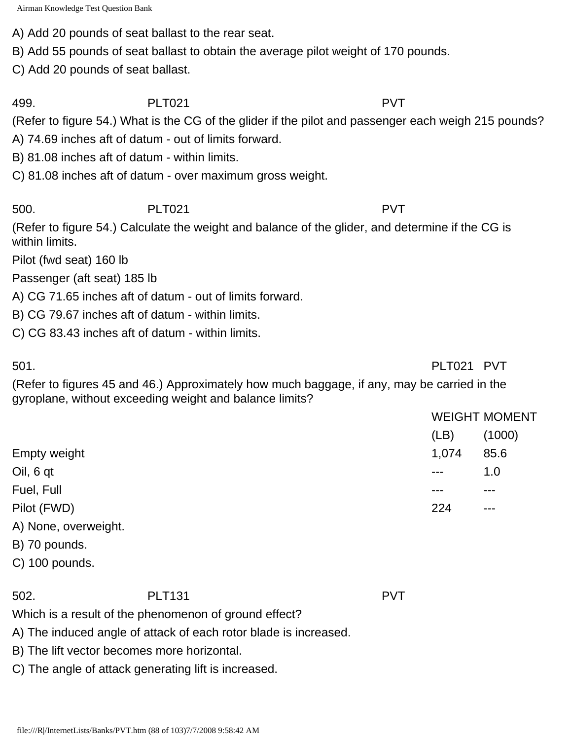A) Add 20 pounds of seat ballast to the rear seat.

B) Add 55 pounds of seat ballast to obtain the average pilot weight of 170 pounds.

C) Add 20 pounds of seat ballast.

499. PLT021 PVT

(Refer to figure 54.) What is the CG of the glider if the pilot and passenger each weigh 215 pounds?

A) 74.69 inches aft of datum - out of limits forward.

B) 81.08 inches aft of datum - within limits.

C) 81.08 inches aft of datum - over maximum gross weight.

### 500. PLT021 PVT

(Refer to figure 54.) Calculate the weight and balance of the glider, and determine if the CG is within limits.

Pilot (fwd seat) 160 lb

Passenger (aft seat) 185 lb

A) CG 71.65 inches aft of datum - out of limits forward.

B) CG 79.67 inches aft of datum - within limits.

C) CG 83.43 inches aft of datum - within limits.

501. PLT021 PVT

(Refer to figures 45 and 46.) Approximately how much baggage, if any, may be carried in the gyroplane, without exceeding weight and balance limits?

|                      |        | <b>WEIGHT MOMENT</b> |  |
|----------------------|--------|----------------------|--|
|                      | (LB)   | (1000)               |  |
| <b>Empty weight</b>  | 1,074  | 85.6                 |  |
| Oil, 6 qt            | $-- -$ | 1.0                  |  |
| Fuel, Full           |        | ---                  |  |
| Pilot (FWD)          | 224    | $- - -$              |  |
| A) None, overweight. |        |                      |  |
| B) 70 pounds.        |        |                      |  |
|                      |        |                      |  |

C) 100 pounds.

502. PLT131 PVT

Which is a result of the phenomenon of ground effect?

A) The induced angle of attack of each rotor blade is increased.

B) The lift vector becomes more horizontal.

C) The angle of attack generating lift is increased.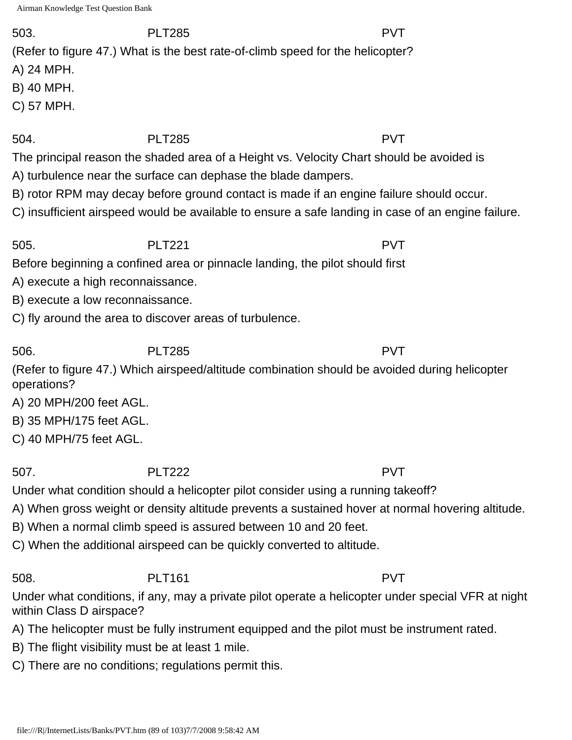### 503. PLT285 PVT

(Refer to figure 47.) What is the best rate-of-climb speed for the helicopter?

A) 24 MPH.

B) 40 MPH.

C) 57 MPH.

## 504. PLT285 PVT

The principal reason the shaded area of a Height vs. Velocity Chart should be avoided is

A) turbulence near the surface can dephase the blade dampers.

B) rotor RPM may decay before ground contact is made if an engine failure should occur.

C) insufficient airspeed would be available to ensure a safe landing in case of an engine failure.

505. PLT221 PVT

Before beginning a confined area or pinnacle landing, the pilot should first

A) execute a high reconnaissance.

B) execute a low reconnaissance.

C) fly around the area to discover areas of turbulence.

506. PLT285 PVT (Refer to figure 47.) Which airspeed/altitude combination should be avoided during helicopter operations?

A) 20 MPH/200 feet AGL.

B) 35 MPH/175 feet AGL.

C) 40 MPH/75 feet AGL.

507. PLT222 PVT

Under what condition should a helicopter pilot consider using a running takeoff?

A) When gross weight or density altitude prevents a sustained hover at normal hovering altitude.

B) When a normal climb speed is assured between 10 and 20 feet.

C) When the additional airspeed can be quickly converted to altitude.

## 508. PLT161 PVT

Under what conditions, if any, may a private pilot operate a helicopter under special VFR at night within Class D airspace?

- A) The helicopter must be fully instrument equipped and the pilot must be instrument rated.
- B) The flight visibility must be at least 1 mile.
- C) There are no conditions; regulations permit this.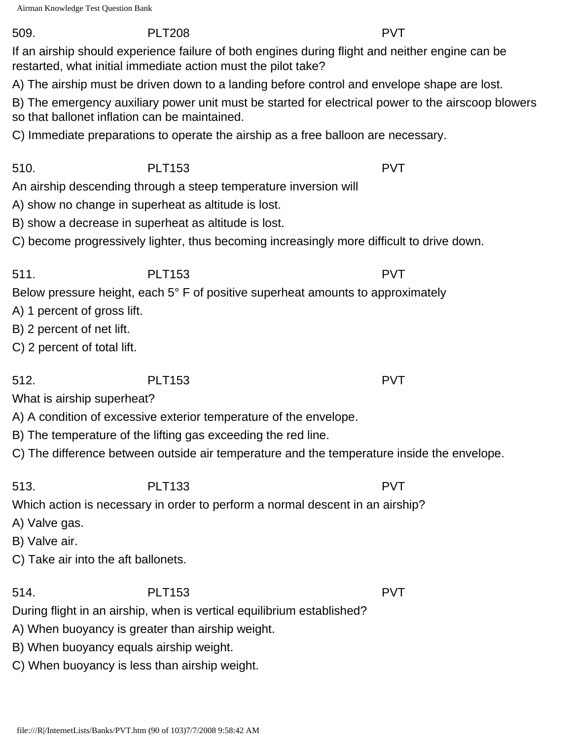### 509. PLT208 PVT

If an airship should experience failure of both engines during flight and neither engine can be restarted, what initial immediate action must the pilot take?

A) The airship must be driven down to a landing before control and envelope shape are lost.

B) The emergency auxiliary power unit must be started for electrical power to the airscoop blowers so that ballonet inflation can be maintained.

C) Immediate preparations to operate the airship as a free balloon are necessary.

510. PLT153 PVT

An airship descending through a steep temperature inversion will

A) show no change in superheat as altitude is lost.

B) show a decrease in superheat as altitude is lost.

C) become progressively lighter, thus becoming increasingly more difficult to drive down.

511. PLT153 PVT Below pressure height, each 5° F of positive superheat amounts to approximately

- A) 1 percent of gross lift.
- B) 2 percent of net lift.
- C) 2 percent of total lift.

512. PLT153 PVT

What is airship superheat?

A) A condition of excessive exterior temperature of the envelope.

- B) The temperature of the lifting gas exceeding the red line.
- C) The difference between outside air temperature and the temperature inside the envelope.

# 513. PLT133 PVT

Which action is necessary in order to perform a normal descent in an airship?

A) Valve gas.

B) Valve air.

C) Take air into the aft ballonets.

514. PLT153 PVT

During flight in an airship, when is vertical equilibrium established?

A) When buoyancy is greater than airship weight.

B) When buoyancy equals airship weight.

C) When buoyancy is less than airship weight.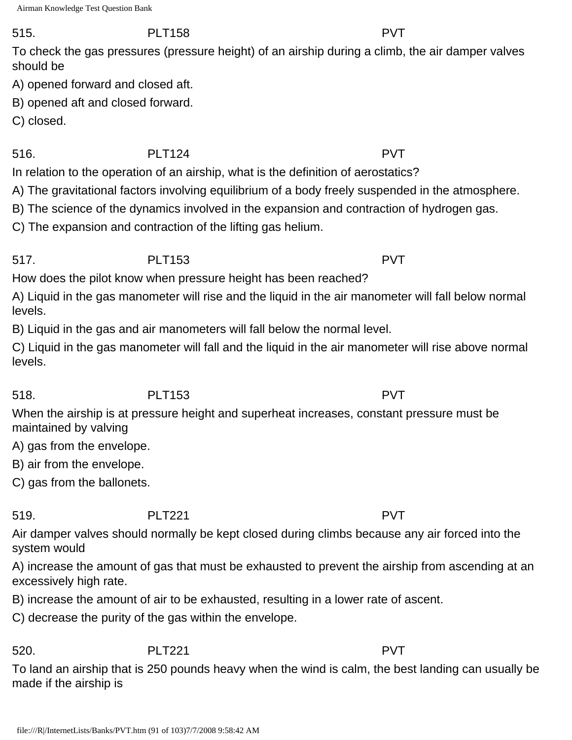### 515. PLT158 PVT

To check the gas pressures (pressure height) of an airship during a climb, the air damper valves should be

A) opened forward and closed aft.

B) opened aft and closed forward.

C) closed.

516. PLT124 PVT

In relation to the operation of an airship, what is the definition of aerostatics?

A) The gravitational factors involving equilibrium of a body freely suspended in the atmosphere.

B) The science of the dynamics involved in the expansion and contraction of hydrogen gas.

C) The expansion and contraction of the lifting gas helium.

### 517. PLT153 PVT

How does the pilot know when pressure height has been reached?

A) Liquid in the gas manometer will rise and the liquid in the air manometer will fall below normal levels.

B) Liquid in the gas and air manometers will fall below the normal level.

C) Liquid in the gas manometer will fall and the liquid in the air manometer will rise above normal levels.

# 518. PLT153 PVT

When the airship is at pressure height and superheat increases, constant pressure must be maintained by valving

A) gas from the envelope.

B) air from the envelope.

C) gas from the ballonets.

# 519. PLT221 PVT

Air damper valves should normally be kept closed during climbs because any air forced into the system would

A) increase the amount of gas that must be exhausted to prevent the airship from ascending at an excessively high rate.

B) increase the amount of air to be exhausted, resulting in a lower rate of ascent.

C) decrease the purity of the gas within the envelope.

## 520. PLT221 PVT

To land an airship that is 250 pounds heavy when the wind is calm, the best landing can usually be made if the airship is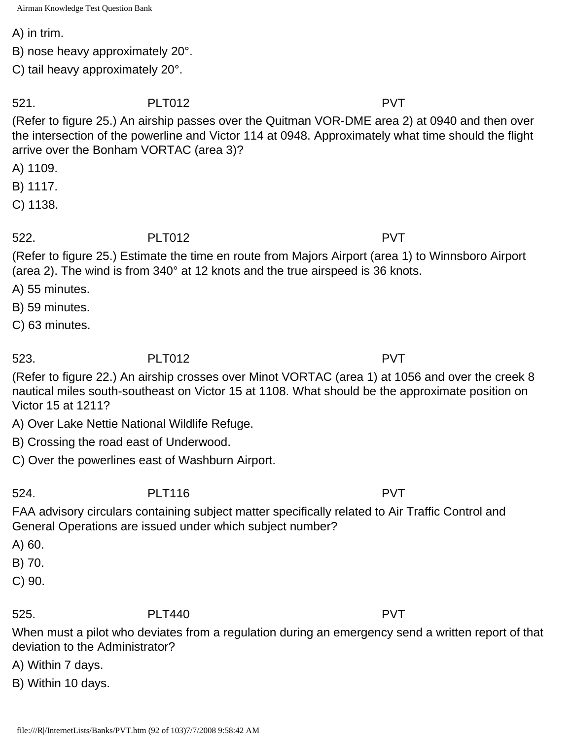A) in trim.

B) nose heavy approximately 20°.

C) tail heavy approximately 20°.

521. PLT012 PVT

(Refer to figure 25.) An airship passes over the Quitman VOR-DME area 2) at 0940 and then over the intersection of the powerline and Victor 114 at 0948. Approximately what time should the flight arrive over the Bonham VORTAC (area 3)?

A) 1109.

B) 1117.

C) 1138.

522. PLT012 PVT

(Refer to figure 25.) Estimate the time en route from Majors Airport (area 1) to Winnsboro Airport (area 2). The wind is from 340° at 12 knots and the true airspeed is 36 knots.

A) 55 minutes.

B) 59 minutes.

C) 63 minutes.

523. PLT012 PVT

(Refer to figure 22.) An airship crosses over Minot VORTAC (area 1) at 1056 and over the creek 8 nautical miles south-southeast on Victor 15 at 1108. What should be the approximate position on Victor 15 at 1211?

A) Over Lake Nettie National Wildlife Refuge.

B) Crossing the road east of Underwood.

C) Over the powerlines east of Washburn Airport.

524. PLT116 PVT

FAA advisory circulars containing subject matter specifically related to Air Traffic Control and General Operations are issued under which subject number?

A) 60.

B) 70.

C) 90.

525. PLT440 PVT

When must a pilot who deviates from a regulation during an emergency send a written report of that deviation to the Administrator?

A) Within 7 days.

B) Within 10 days.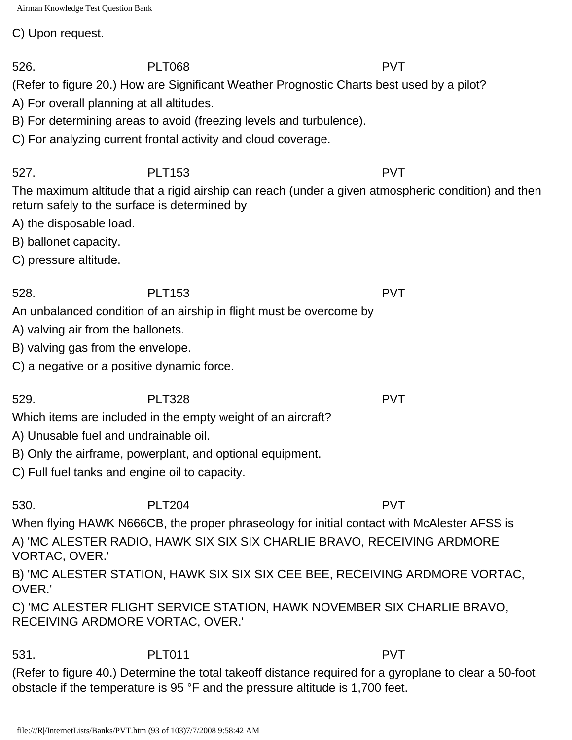C) Upon request.

(Refer to figure 20.) How are Significant Weather Prognostic Charts best used by a pilot?

A) For overall planning at all altitudes.

B) For determining areas to avoid (freezing levels and turbulence).

C) For analyzing current frontal activity and cloud coverage.

527. PLT153 PVT

The maximum altitude that a rigid airship can reach (under a given atmospheric condition) and then return safely to the surface is determined by

- A) the disposable load.
- B) ballonet capacity.
- C) pressure altitude.

528. PLT153 PVT An unbalanced condition of an airship in flight must be overcome by

- A) valving air from the ballonets.
- B) valving gas from the envelope.
- C) a negative or a positive dynamic force.

529. PLT328 PVT

Which items are included in the empty weight of an aircraft?

- A) Unusable fuel and undrainable oil.
- B) Only the airframe, powerplant, and optional equipment.
- C) Full fuel tanks and engine oil to capacity.

530. PLT204 PVT

When flying HAWK N666CB, the proper phraseology for initial contact with McAlester AFSS is A) 'MC ALESTER RADIO, HAWK SIX SIX SIX CHARLIE BRAVO, RECEIVING ARDMORE VORTAC, OVER.'

B) 'MC ALESTER STATION, HAWK SIX SIX SIX CEE BEE, RECEIVING ARDMORE VORTAC, OVER.'

C) 'MC ALESTER FLIGHT SERVICE STATION, HAWK NOVEMBER SIX CHARLIE BRAVO, RECEIVING ARDMORE VORTAC, OVER.'

531. PLT011 PVT

(Refer to figure 40.) Determine the total takeoff distance required for a gyroplane to clear a 50-foot obstacle if the temperature is 95 °F and the pressure altitude is 1,700 feet.

526. PLT068 PVT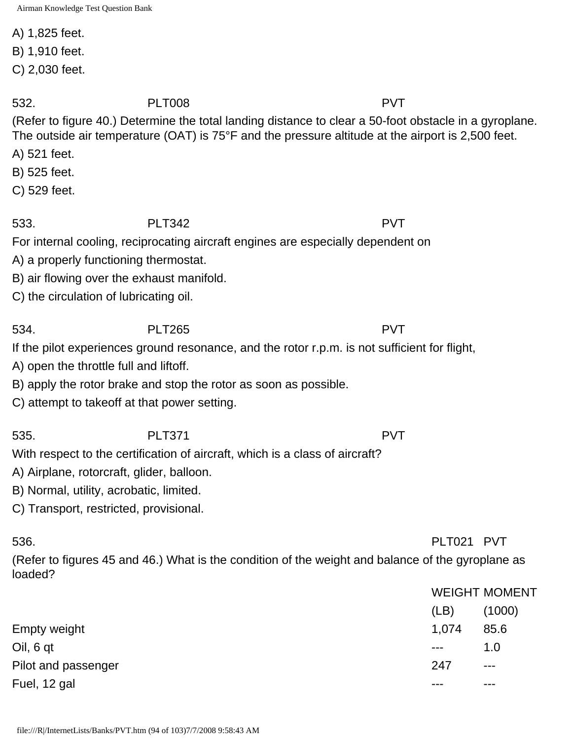A) 1,825 feet.

B) 1,910 feet.

C) 2,030 feet.

532. PLT008 PVT

(Refer to figure 40.) Determine the total landing distance to clear a 50-foot obstacle in a gyroplane. The outside air temperature (OAT) is 75°F and the pressure altitude at the airport is 2,500 feet.

A) 521 feet.

B) 525 feet.

C) 529 feet.

533. PLT342 PVT

For internal cooling, reciprocating aircraft engines are especially dependent on

A) a properly functioning thermostat.

B) air flowing over the exhaust manifold.

C) the circulation of lubricating oil.

534. PLT265 PVT

If the pilot experiences ground resonance, and the rotor r.p.m. is not sufficient for flight,

A) open the throttle full and liftoff.

B) apply the rotor brake and stop the rotor as soon as possible.

C) attempt to takeoff at that power setting.

With respect to the certification of aircraft, which is a class of aircraft?

535. PLT371 PVT

A) Airplane, rotorcraft, glider, balloon.

B) Normal, utility, acrobatic, limited.

C) Transport, restricted, provisional.

(Refer to figures 45 and 46.) What is the condition of the weight and balance of the gyroplane as loaded?

|                     | WEIGHT MOMENT |                      |
|---------------------|---------------|----------------------|
|                     | (LB)          | (1000)               |
| Empty weight        | 1.074         | 85.6                 |
| Oil, 6 qt           | $\frac{1}{2}$ | 1.0                  |
| Pilot and passenger | 247           | $\sim$ $\sim$ $\sim$ |
| Fuel, 12 gal        |               | ---                  |
|                     |               |                      |

536. PLT021 PVT

 $METQHET$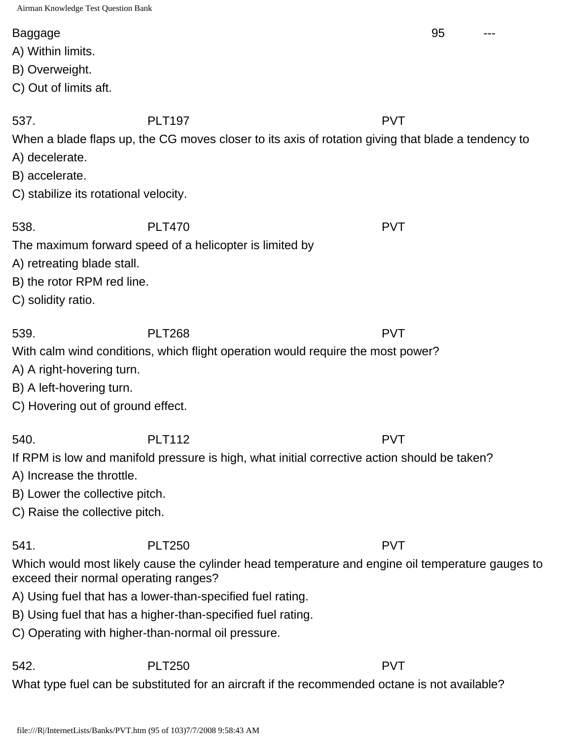### Baggage 95 ---

- A) Within limits.
- B) Overweight.
- C) Out of limits aft.

537. PLT197 PVT

The maximum forward speed of a helicopter is limited by

When a blade flaps up, the CG moves closer to its axis of rotation giving that blade a tendency to

- A) decelerate.
- B) accelerate.

C) solidity ratio.

C) stabilize its rotational velocity.

538. PLT470 PVT

539. PLT268 PVT With calm wind conditions, which flight operation would require the most power?

A) A right-hovering turn.

A) retreating blade stall.

B) the rotor RPM red line.

- B) A left-hovering turn.
- C) Hovering out of ground effect.

If RPM is low and manifold pressure is high, what initial corrective action should be taken?

- A) Increase the throttle.
- B) Lower the collective pitch.
- C) Raise the collective pitch.

541. PLT250 PVT

Which would most likely cause the cylinder head temperature and engine oil temperature gauges to exceed their normal operating ranges?

- A) Using fuel that has a lower-than-specified fuel rating.
- B) Using fuel that has a higher-than-specified fuel rating.
- C) Operating with higher-than-normal oil pressure.

542. PLT250 PVT

What type fuel can be substituted for an aircraft if the recommended octane is not available?

540. PLT112 PVT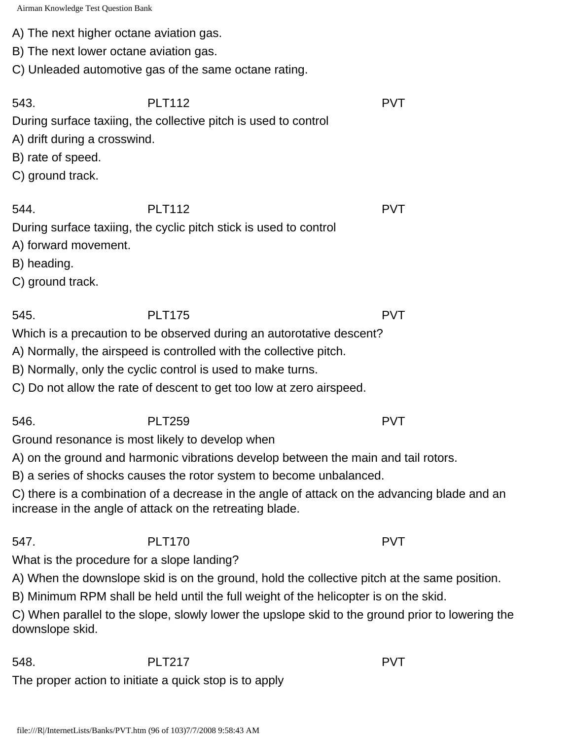A) The next higher octane aviation gas.

B) The next lower octane aviation gas.

C) Unleaded automotive gas of the same octane rating.

543. PLT112 PVT During surface taxiing, the collective pitch is used to control A) drift during a crosswind.

B) rate of speed.

C) ground track.

544. PLT112 PVT

During surface taxiing, the cyclic pitch stick is used to control

A) forward movement.

B) heading.

C) ground track.

Which is a precaution to be observed during an autorotative descent?

545. PLT175 PVT

A) Normally, the airspeed is controlled with the collective pitch.

B) Normally, only the cyclic control is used to make turns.

C) Do not allow the rate of descent to get too low at zero airspeed.

Ground resonance is most likely to develop when

A) on the ground and harmonic vibrations develop between the main and tail rotors.

B) a series of shocks causes the rotor system to become unbalanced.

C) there is a combination of a decrease in the angle of attack on the advancing blade and an increase in the angle of attack on the retreating blade.

547. PLT170 PVT What is the procedure for a slope landing?

A) When the downslope skid is on the ground, hold the collective pitch at the same position.

B) Minimum RPM shall be held until the full weight of the helicopter is on the skid.

C) When parallel to the slope, slowly lower the upslope skid to the ground prior to lowering the downslope skid.

548. PLT217 PVT The proper action to initiate a quick stop is to apply

546. PLT259 PVT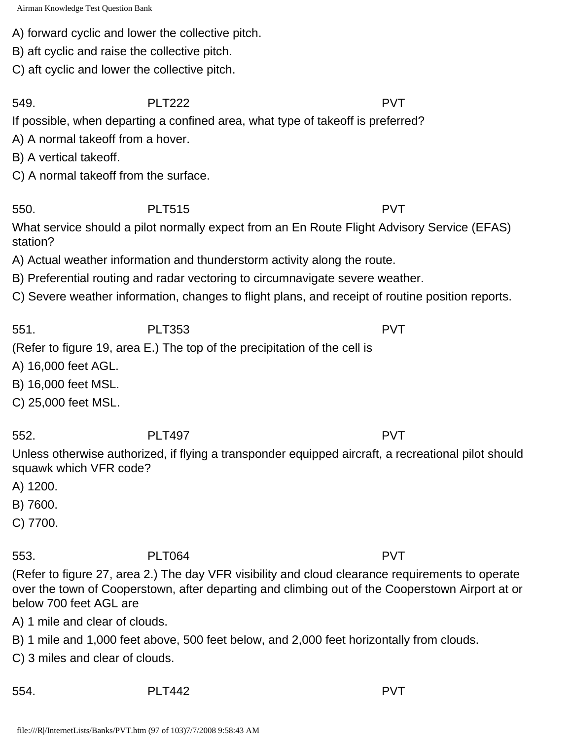A) forward cyclic and lower the collective pitch.

B) aft cyclic and raise the collective pitch.

C) aft cyclic and lower the collective pitch.

549. PLT222 PVT

If possible, when departing a confined area, what type of takeoff is preferred?

A) A normal takeoff from a hover.

B) A vertical takeoff.

C) A normal takeoff from the surface.

550. PLT515 PVT

What service should a pilot normally expect from an En Route Flight Advisory Service (EFAS) station?

A) Actual weather information and thunderstorm activity along the route.

B) Preferential routing and radar vectoring to circumnavigate severe weather.

C) Severe weather information, changes to flight plans, and receipt of routine position reports.

551. PLT353 PVT

## (Refer to figure 19, area E.) The top of the precipitation of the cell is

A) 16,000 feet AGL.

B) 16,000 feet MSL.

C) 25,000 feet MSL.

552. PLT497 PVT

Unless otherwise authorized, if flying a transponder equipped aircraft, a recreational pilot should squawk which VFR code?

A) 1200.

B) 7600.

C) 7700.

## 553. PLT064 PVT

(Refer to figure 27, area 2.) The day VFR visibility and cloud clearance requirements to operate over the town of Cooperstown, after departing and climbing out of the Cooperstown Airport at or below 700 feet AGL are

A) 1 mile and clear of clouds.

B) 1 mile and 1,000 feet above, 500 feet below, and 2,000 feet horizontally from clouds.

C) 3 miles and clear of clouds.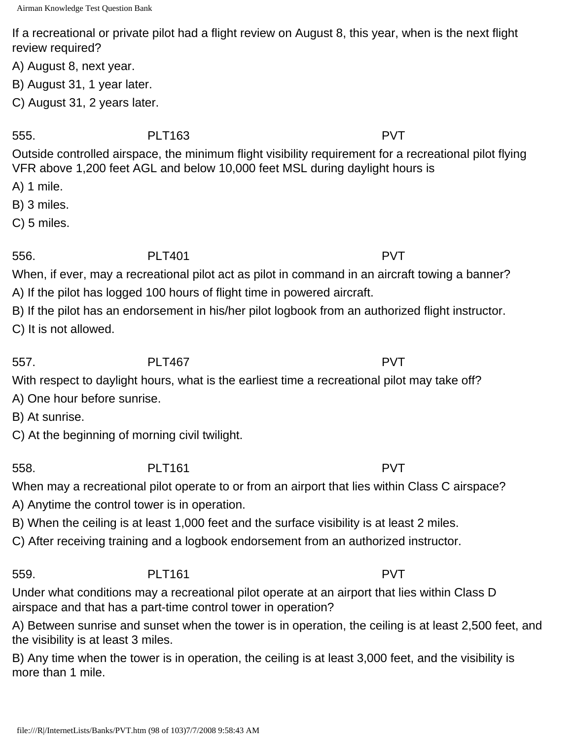If a recreational or private pilot had a flight review on August 8, this year, when is the next flight review required?

A) August 8, next year.

B) August 31, 1 year later.

C) August 31, 2 years later.

555. PLT163 PVT

Outside controlled airspace, the minimum flight visibility requirement for a recreational pilot flying VFR above 1,200 feet AGL and below 10,000 feet MSL during daylight hours is

A) 1 mile.

B) 3 miles.

C) 5 miles.

# 556. PLT401 PVT

When, if ever, may a recreational pilot act as pilot in command in an aircraft towing a banner? A) If the pilot has logged 100 hours of flight time in powered aircraft.

B) If the pilot has an endorsement in his/her pilot logbook from an authorized flight instructor.

C) It is not allowed.

557. PLT467 PVT

With respect to daylight hours, what is the earliest time a recreational pilot may take off?

A) One hour before sunrise.

B) At sunrise.

C) At the beginning of morning civil twilight.

558. PLT161 PVT

When may a recreational pilot operate to or from an airport that lies within Class C airspace?

A) Anytime the control tower is in operation.

B) When the ceiling is at least 1,000 feet and the surface visibility is at least 2 miles.

C) After receiving training and a logbook endorsement from an authorized instructor.

## 559. PLT161 PVT

Under what conditions may a recreational pilot operate at an airport that lies within Class D airspace and that has a part-time control tower in operation?

A) Between sunrise and sunset when the tower is in operation, the ceiling is at least 2,500 feet, and the visibility is at least 3 miles.

B) Any time when the tower is in operation, the ceiling is at least 3,000 feet, and the visibility is more than 1 mile.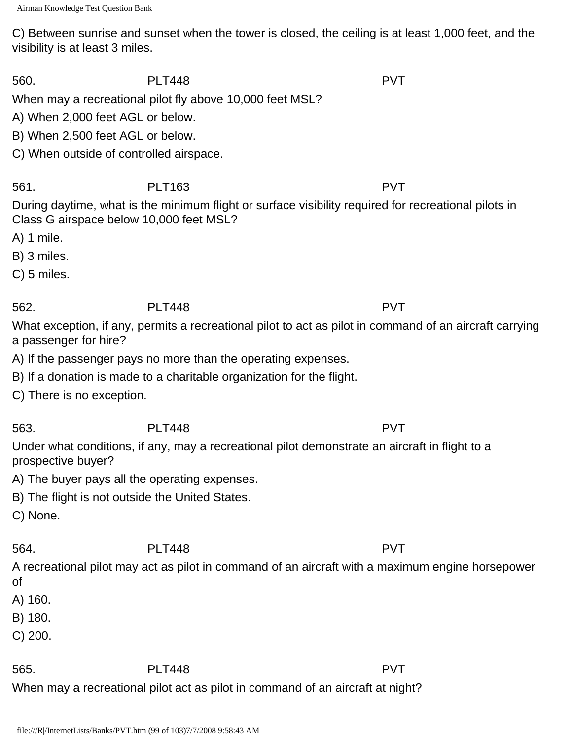C) Between sunrise and sunset when the tower is closed, the ceiling is at least 1,000 feet, and the visibility is at least 3 miles.

560. PLT448 PVT

When may a recreational pilot fly above 10,000 feet MSL?

A) When 2,000 feet AGL or below.

B) When 2,500 feet AGL or below.

C) When outside of controlled airspace.

561. PLT163 PVT

During daytime, what is the minimum flight or surface visibility required for recreational pilots in Class G airspace below 10,000 feet MSL?

A) 1 mile.

B) 3 miles.

C) 5 miles.

# 562. PLT448 PVT

What exception, if any, permits a recreational pilot to act as pilot in command of an aircraft carrying a passenger for hire?

A) If the passenger pays no more than the operating expenses.

B) If a donation is made to a charitable organization for the flight.

C) There is no exception.

prospective buyer?

563. PLT448 PVT Under what conditions, if any, may a recreational pilot demonstrate an aircraft in flight to a

A) The buyer pays all the operating expenses.

B) The flight is not outside the United States.

C) None.

564. PLT448 PVT

A recreational pilot may act as pilot in command of an aircraft with a maximum engine horsepower of

A) 160.

B) 180.

C) 200.

565. PLT448 PVT

When may a recreational pilot act as pilot in command of an aircraft at night?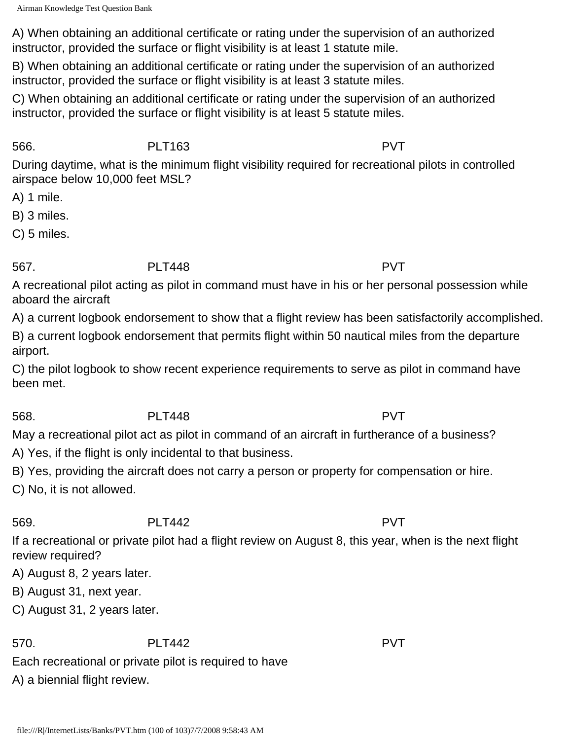A) When obtaining an additional certificate or rating under the supervision of an authorized instructor, provided the surface or flight visibility is at least 1 statute mile.

B) When obtaining an additional certificate or rating under the supervision of an authorized instructor, provided the surface or flight visibility is at least 3 statute miles.

C) When obtaining an additional certificate or rating under the supervision of an authorized instructor, provided the surface or flight visibility is at least 5 statute miles.

## 566. PLT163 PVT

During daytime, what is the minimum flight visibility required for recreational pilots in controlled airspace below 10,000 feet MSL?

A) 1 mile.

B) 3 miles.

C) 5 miles.

# 567. PLT448 PVT

A recreational pilot acting as pilot in command must have in his or her personal possession while aboard the aircraft

A) a current logbook endorsement to show that a flight review has been satisfactorily accomplished.

B) a current logbook endorsement that permits flight within 50 nautical miles from the departure airport.

C) the pilot logbook to show recent experience requirements to serve as pilot in command have been met.

# 568. PLT448 PVT

May a recreational pilot act as pilot in command of an aircraft in furtherance of a business?

A) Yes, if the flight is only incidental to that business.

B) Yes, providing the aircraft does not carry a person or property for compensation or hire.

C) No, it is not allowed.

# 569. PLT442 PVT

If a recreational or private pilot had a flight review on August 8, this year, when is the next flight review required?

A) August 8, 2 years later.

B) August 31, next year.

C) August 31, 2 years later.

570. PLT442 PVT

Each recreational or private pilot is required to have

A) a biennial flight review.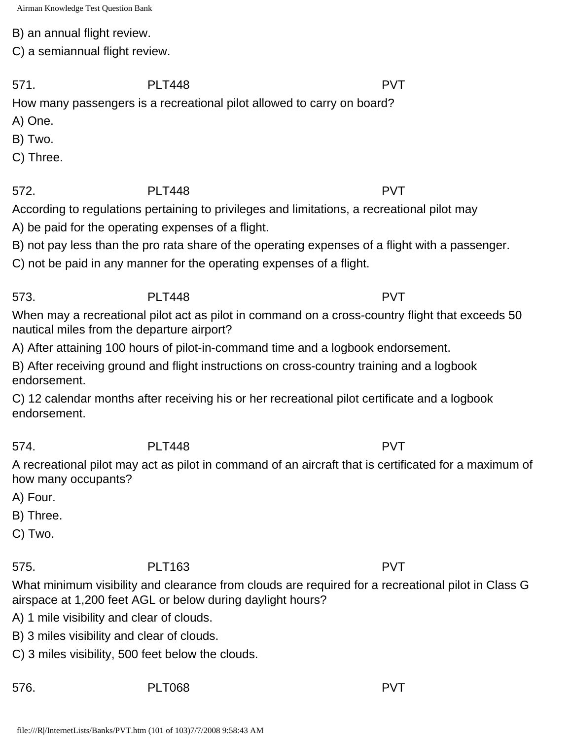B) an annual flight review.

C) a semiannual flight review.

571. PLT448 PVT

How many passengers is a recreational pilot allowed to carry on board?

- A) One.
- B) Two.
- C) Three.

# 572. PLT448 PVT

According to regulations pertaining to privileges and limitations, a recreational pilot may

A) be paid for the operating expenses of a flight.

B) not pay less than the pro rata share of the operating expenses of a flight with a passenger.

C) not be paid in any manner for the operating expenses of a flight.

573. PLT448 PVT

When may a recreational pilot act as pilot in command on a cross-country flight that exceeds 50 nautical miles from the departure airport?

A) After attaining 100 hours of pilot-in-command time and a logbook endorsement.

B) After receiving ground and flight instructions on cross-country training and a logbook endorsement.

C) 12 calendar months after receiving his or her recreational pilot certificate and a logbook endorsement.

## 574. PLT448 PVT

A recreational pilot may act as pilot in command of an aircraft that is certificated for a maximum of how many occupants?

A) Four.

B) Three.

C) Two.

# 575. PLT163 PVT

What minimum visibility and clearance from clouds are required for a recreational pilot in Class G airspace at 1,200 feet AGL or below during daylight hours?

A) 1 mile visibility and clear of clouds.

B) 3 miles visibility and clear of clouds.

C) 3 miles visibility, 500 feet below the clouds.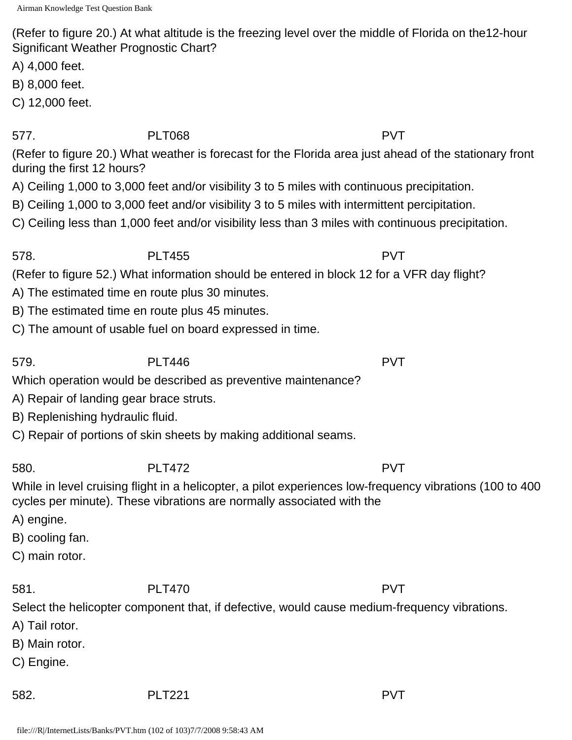(Refer to figure 20.) At what altitude is the freezing level over the middle of Florida on the12-hour Significant Weather Prognostic Chart?

A) 4,000 feet.

B) 8,000 feet.

C) 12,000 feet.

577. PLT068 PVT

(Refer to figure 20.) What weather is forecast for the Florida area just ahead of the stationary front during the first 12 hours?

A) Ceiling 1,000 to 3,000 feet and/or visibility 3 to 5 miles with continuous precipitation.

- B) Ceiling 1,000 to 3,000 feet and/or visibility 3 to 5 miles with intermittent percipitation.
- C) Ceiling less than 1,000 feet and/or visibility less than 3 miles with continuous precipitation.

578. PLT455 PVT

(Refer to figure 52.) What information should be entered in block 12 for a VFR day flight?

- A) The estimated time en route plus 30 minutes.
- B) The estimated time en route plus 45 minutes.
- C) The amount of usable fuel on board expressed in time.

579. PLT446 PVT

Which operation would be described as preventive maintenance?

- A) Repair of landing gear brace struts.
- B) Replenishing hydraulic fluid.

C) Repair of portions of skin sheets by making additional seams.

580. PLT472 PVT

While in level cruising flight in a helicopter, a pilot experiences low-frequency vibrations (100 to 400 cycles per minute). These vibrations are normally associated with the

- A) engine.
- B) cooling fan.
- C) main rotor.

581. PLT470 PVT

Select the helicopter component that, if defective, would cause medium-frequency vibrations.

- A) Tail rotor.
- B) Main rotor.
- C) Engine.